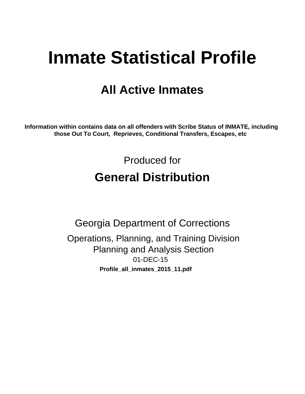# **Inmate Statistical Profile**

# **All Active Inmates**

Information within contains data on all offenders with Scribe Status of INMATE, including those Out To Court, Reprieves, Conditional Transfers, Escapes, etc

> Produced for **General Distribution**

**Georgia Department of Corrections** Operations, Planning, and Training Division **Planning and Analysis Section** 01-DEC-15 Profile\_all\_inmates\_2015\_11.pdf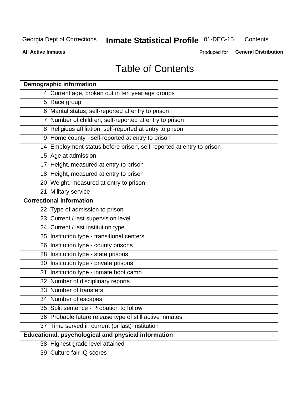#### **Inmate Statistical Profile 01-DEC-15** Contents

**All Active Inmates** 

Produced for General Distribution

# **Table of Contents**

|    | <b>Demographic information</b>                                       |
|----|----------------------------------------------------------------------|
|    | 4 Current age, broken out in ten year age groups                     |
|    | 5 Race group                                                         |
|    | 6 Marital status, self-reported at entry to prison                   |
|    | 7 Number of children, self-reported at entry to prison               |
|    | 8 Religious affiliation, self-reported at entry to prison            |
|    | 9 Home county - self-reported at entry to prison                     |
|    | 14 Employment status before prison, self-reported at entry to prison |
|    | 15 Age at admission                                                  |
|    | 17 Height, measured at entry to prison                               |
|    | 18 Height, measured at entry to prison                               |
|    | 20 Weight, measured at entry to prison                               |
|    | 21 Military service                                                  |
|    | <b>Correctional information</b>                                      |
|    | 22 Type of admission to prison                                       |
|    | 23 Current / last supervision level                                  |
|    | 24 Current / last institution type                                   |
|    | 25 Institution type - transitional centers                           |
|    | 26 Institution type - county prisons                                 |
|    | 28 Institution type - state prisons                                  |
|    | 30 Institution type - private prisons                                |
| 31 | Institution type - inmate boot camp                                  |
|    | 32 Number of disciplinary reports                                    |
|    | 33 Number of transfers                                               |
|    | 34 Number of escapes                                                 |
|    | 35 Split sentence - Probation to follow                              |
|    | 36 Probable future release type of still active inmates              |
|    | 37 Time served in current (or last) institution                      |
|    | Educational, psychological and physical information                  |
|    | 38 Highest grade level attained                                      |
|    | 39 Culture fair IQ scores                                            |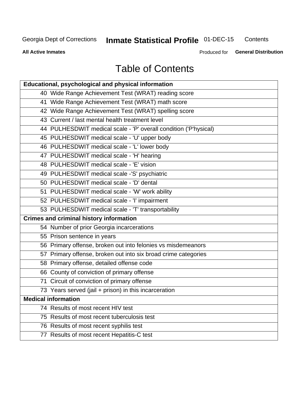#### **Inmate Statistical Profile 01-DEC-15** Contents

**All Active Inmates** 

Produced for General Distribution

# **Table of Contents**

| Educational, psychological and physical information              |
|------------------------------------------------------------------|
| 40 Wide Range Achievement Test (WRAT) reading score              |
| 41 Wide Range Achievement Test (WRAT) math score                 |
| 42 Wide Range Achievement Test (WRAT) spelling score             |
| 43 Current / last mental health treatment level                  |
| 44 PULHESDWIT medical scale - 'P' overall condition ('P'hysical) |
| 45 PULHESDWIT medical scale - 'U' upper body                     |
| 46 PULHESDWIT medical scale - 'L' lower body                     |
| 47 PULHESDWIT medical scale - 'H' hearing                        |
| 48 PULHESDWIT medical scale - 'E' vision                         |
| 49 PULHESDWIT medical scale -'S' psychiatric                     |
| 50 PULHESDWIT medical scale - 'D' dental                         |
| 51 PULHESDWIT medical scale - 'W' work ability                   |
| 52 PULHESDWIT medical scale - 'I' impairment                     |
| 53 PULHESDWIT medical scale - 'T' transportability               |
| <b>Crimes and criminal history information</b>                   |
| 54 Number of prior Georgia incarcerations                        |
| 55 Prison sentence in years                                      |
| 56 Primary offense, broken out into felonies vs misdemeanors     |
| 57 Primary offense, broken out into six broad crime categories   |
| 58 Primary offense, detailed offense code                        |
| 66 County of conviction of primary offense                       |
| 71 Circuit of conviction of primary offense                      |
| 73 Years served (jail + prison) in this incarceration            |
| <b>Medical information</b>                                       |
| 74 Results of most recent HIV test                               |
| 75 Results of most recent tuberculosis test                      |
| 76 Results of most recent syphilis test                          |
| 77 Results of most recent Hepatitis-C test                       |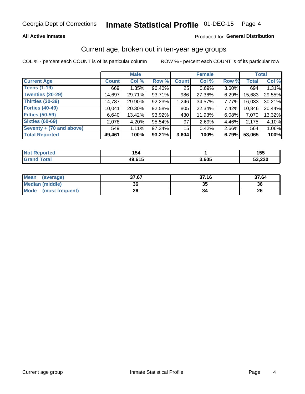# Inmate Statistical Profile 01-DEC-15 Page 4

### **All Active Inmates**

### Produced for General Distribution

### Current age, broken out in ten-year age groups

COL % - percent each COUNT is of its particular column

|                          | <b>Male</b>  |        |        | <b>Female</b>   |        |          | <b>Total</b> |        |
|--------------------------|--------------|--------|--------|-----------------|--------|----------|--------------|--------|
| <b>Current Age</b>       | <b>Count</b> | Col %  | Row %  | <b>Count</b>    | Col %  | Row %    | <b>Total</b> | Col %  |
| <b>Teens (1-19)</b>      | 669          | 1.35%  | 96.40% | 25              | 0.69%  | 3.60%    | 694          | 1.31%  |
| <b>Twenties (20-29)</b>  | 14,697       | 29.71% | 93.71% | 986             | 27.36% | 6.29%    | 15,683       | 29.55% |
| <b>Thirties (30-39)</b>  | 14,787       | 29.90% | 92.23% | 1,246           | 34.57% | 7.77%    | 16,033       | 30.21% |
| <b>Forties (40-49)</b>   | 10,041       | 20.30% | 92.58% | 805             | 22.34% | 7.42%    | 10,846       | 20.44% |
| <b>Fifties (50-59)</b>   | 6,640        | 13.42% | 93.92% | 430             | 11.93% | 6.08%    | 7,070        | 13.32% |
| <b>Sixties (60-69)</b>   | 2,078        | 4.20%  | 95.54% | 97              | 2.69%  | 4.46%    | 2,175        | 4.10%  |
| Seventy + (70 and above) | 549          | 1.11%  | 97.34% | 15 <sup>2</sup> | 0.42%  | $2.66\%$ | 564          | 1.06%  |
| <b>Total Reported</b>    | 49,461       | 100%   | 93.21% | 3,604           | 100%   | 6.79%    | 53,065       | 100%   |

| <b>Not Reported</b> | 154          |       | 155    |
|---------------------|--------------|-------|--------|
| Total               | <b>49615</b> | 3,605 | 53,220 |

| <b>Mean</b><br>(average)       | 37.67 | 37.16 | 37.64 |
|--------------------------------|-------|-------|-------|
| Median (middle)                | 36    | JJ    | 36    |
| <b>Mode</b><br>(most frequent) | 26    |       | 26    |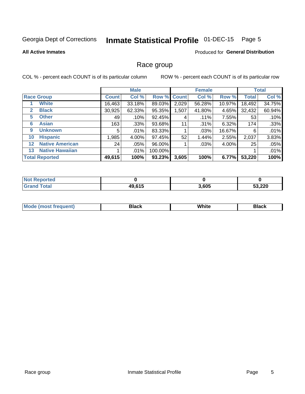#### Inmate Statistical Profile 01-DEC-15 Page 5

### **All Active Inmates**

### Produced for General Distribution

### Race group

COL % - percent each COUNT is of its particular column

|                   |                        | <b>Male</b>  |          |             | <b>Female</b> |         |        | <b>Total</b> |        |
|-------------------|------------------------|--------------|----------|-------------|---------------|---------|--------|--------------|--------|
|                   | <b>Race Group</b>      | <b>Count</b> | Col %    | Row % Count |               | Col %   | Row %  | <b>Total</b> | Col %  |
|                   | <b>White</b>           | 16,463       | 33.18%   | 89.03%      | 2,029         | 56.28%  | 10.97% | 18,492       | 34.75% |
| 2                 | <b>Black</b>           | 30,925       | 62.33%   | 95.35%      | ,507          | 41.80%  | 4.65%  | 32,432       | 60.94% |
| 5                 | <b>Other</b>           | 49           | .10%     | 92.45%      | 4             | $.11\%$ | 7.55%  | 53           | .10%   |
| 6                 | <b>Asian</b>           | 163          | $.33\%$  | 93.68%      | 11            | .31%    | 6.32%  | 174          | .33%   |
| 9                 | <b>Unknown</b>         | 5            | $.01\%$  | 83.33%      |               | .03%    | 16.67% | 6            | .01%   |
| 10                | <b>Hispanic</b>        | ,985         | $4.00\%$ | 97.45%      | 52            | 1.44%   | 2.55%  | 2,037        | 3.83%  |
| $12 \overline{ }$ | <b>Native American</b> | 24           | .05%     | 96.00%      |               | .03%    | 4.00%  | 25           | .05%   |
| 13                | <b>Native Hawaiian</b> |              | $.01\%$  | 100.00%     |               |         |        |              | .01%   |
|                   | <b>Total Reported</b>  | 49,615       | 100%     | 93.23%      | 3,605         | 100%    | 6.77%  | 53,220       | 100%   |

| <b>Not Reported</b> |        |       |        |
|---------------------|--------|-------|--------|
| <b>Grand Total</b>  | 49,615 | 3,605 | 53,220 |

| <b>Mode</b><br>---<br>most frequent) | Black | White | <b>Black</b> |
|--------------------------------------|-------|-------|--------------|
|                                      |       |       |              |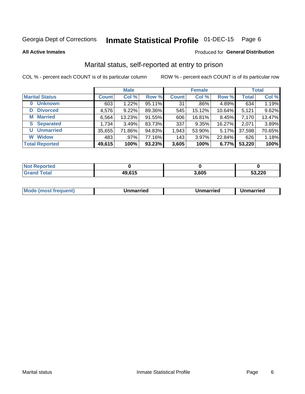#### **Inmate Statistical Profile 01-DEC-15** Page 6

**All Active Inmates** 

### Produced for General Distribution

### Marital status, self-reported at entry to prison

COL % - percent each COUNT is of its particular column

|                            | <b>Male</b>  |        |        |              | <b>Female</b> | <b>Total</b> |              |        |
|----------------------------|--------------|--------|--------|--------------|---------------|--------------|--------------|--------|
| <b>Marital Status</b>      | <b>Count</b> | Col %  | Row %  | <b>Count</b> | Col %         | Row %        | <b>Total</b> | Col %  |
| <b>Unknown</b><br>$\bf{0}$ | 603          | 1.22%  | 95.11% | 31           | $.86\%$       | 4.89%        | 634          | 1.19%  |
| <b>Divorced</b><br>D       | 4,576        | 9.22%  | 89.36% | 545          | 15.12%        | 10.64%       | 5,121        | 9.62%  |
| <b>Married</b><br>М        | 6,564        | 13.23% | 91.55% | 606          | 16.81%        | $8.45\%$     | 7,170        | 13.47% |
| <b>Separated</b><br>S.     | 1,734        | 3.49%  | 83.73% | 337          | 9.35%         | 16.27%       | 2,071        | 3.89%  |
| <b>Unmarried</b><br>U      | 35,655       | 71.86% | 94.83% | 1,943        | 53.90%        | $5.17\%$     | 37,598       | 70.65% |
| <b>Widow</b><br>W          | 483          | .97%   | 77.16% | 143          | 3.97%         | 22.84%       | 626          | 1.18%  |
| <b>Total Reported</b>      | 49,615       | 100%   | 93.23% | 3,605        | 100%          | 6.77%        | 53,220       | 100%   |

| orted<br>I NOT  |        |       |        |
|-----------------|--------|-------|--------|
| $\sim$<br>. Gre | 49,615 | 8.605 | 53,220 |

| <b>Mode (most frequent)</b><br>Unmarried<br>Unmarried<br>Jnmarried |
|--------------------------------------------------------------------|
|--------------------------------------------------------------------|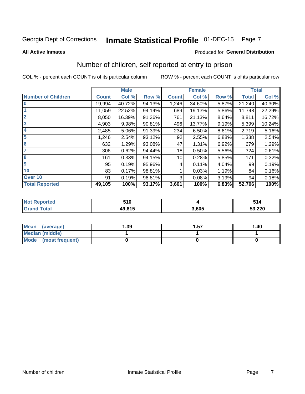#### **Inmate Statistical Profile 01-DEC-15** Page 7

### **All Active Inmates**

### Produced for General Distribution

### Number of children, self reported at entry to prison

COL % - percent each COUNT is of its particular column

|                           |              | <b>Male</b> |        |              | <b>Female</b> |       |              | <b>Total</b> |
|---------------------------|--------------|-------------|--------|--------------|---------------|-------|--------------|--------------|
| <b>Number of Children</b> | <b>Count</b> | Col %       | Row %  | <b>Count</b> | Col %         | Row % | <b>Total</b> | Col %        |
| $\overline{0}$            | 19,994       | 40.72%      | 94.13% | 1,246        | 34.60%        | 5.87% | 21,240       | 40.30%       |
|                           | 11,059       | 22.52%      | 94.14% | 689          | 19.13%        | 5.86% | 11,748       | 22.29%       |
| $\overline{2}$            | 8,050        | 16.39%      | 91.36% | 761          | 21.13%        | 8.64% | 8,811        | 16.72%       |
| $\overline{3}$            | 4,903        | 9.98%       | 90.81% | 496          | 13.77%        | 9.19% | 5,399        | 10.24%       |
| $\overline{\mathbf{4}}$   | 2,485        | 5.06%       | 91.39% | 234          | 6.50%         | 8.61% | 2,719        | 5.16%        |
| 5                         | 1,246        | 2.54%       | 93.12% | 92           | 2.55%         | 6.88% | 1,338        | 2.54%        |
| 6                         | 632          | 1.29%       | 93.08% | 47           | 1.31%         | 6.92% | 679          | 1.29%        |
| 7                         | 306          | 0.62%       | 94.44% | 18           | 0.50%         | 5.56% | 324          | 0.61%        |
| 8                         | 161          | 0.33%       | 94.15% | 10           | 0.28%         | 5.85% | 171          | 0.32%        |
| 9                         | 95           | 0.19%       | 95.96% | 4            | 0.11%         | 4.04% | 99           | 0.19%        |
| 10                        | 83           | 0.17%       | 98.81% |              | 0.03%         | 1.19% | 84           | 0.16%        |
| Over 10                   | 91           | 0.19%       | 96.81% | 3            | 0.08%         | 3.19% | 94           | 0.18%        |
| <b>Total Reported</b>     | 49,105       | 100%        | 93.17% | 3,601        | 100%          | 6.83% | 52,706       | 100%         |

| rteo<br>w. | 510    |      | 514    |
|------------|--------|------|--------|
|            | 49,615 | .605 | 53,220 |

| Mean<br>(average)       | 1.39 | 1.57 | 1.40 |
|-------------------------|------|------|------|
| <b>Median (middle)</b>  |      |      |      |
| Mode<br>(most frequent) |      |      |      |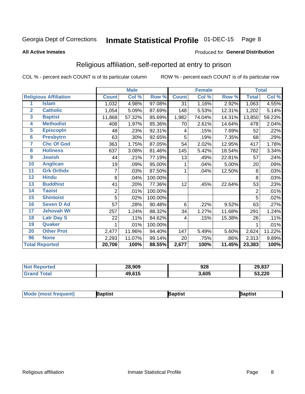#### **Inmate Statistical Profile 01-DEC-15** Page 8

#### **All Active Inmates**

### Produced for General Distribution

### Religious affiliation, self-reported at entry to prison

COL % - percent each COUNT is of its particular column

|                         |                              |              | <b>Male</b> |         |              | <b>Female</b> |        |              | <b>Total</b> |
|-------------------------|------------------------------|--------------|-------------|---------|--------------|---------------|--------|--------------|--------------|
|                         | <b>Religious Affiliation</b> | <b>Count</b> | Col %       | Row %   | <b>Count</b> | Col %         | Row %  | <b>Total</b> | Col %        |
| 1                       | <b>Islam</b>                 | 1,032        | 4.98%       | 97.08%  | 31           | 1.16%         | 2.92%  | 1,063        | 4.55%        |
| $\mathbf{2}$            | <b>Catholic</b>              | 1,054        | 5.09%       | 87.69%  | 148          | 5.53%         | 12.31% | 1,202        | 5.14%        |
| 3                       | <b>Baptist</b>               | 11,868       | 57.32%      | 85.69%  | 1,982        | 74.04%        | 14.31% | 13,850       | 59.23%       |
| $\overline{\mathbf{4}}$ | <b>Methodist</b>             | 408          | 1.97%       | 85.36%  | 70           | 2.61%         | 14.64% | 478          | 2.04%        |
| $\overline{5}$          | <b>EpiscopIn</b>             | 48           | .23%        | 92.31%  | 4            | .15%          | 7.69%  | 52           | .22%         |
| $6\overline{6}$         | <b>Presbytrn</b>             | 63           | .30%        | 92.65%  | 5            | .19%          | 7.35%  | 68           | .29%         |
| 7                       | <b>Chc Of God</b>            | 363          | 1.75%       | 87.05%  | 54           | 2.02%         | 12.95% | 417          | 1.78%        |
| 8                       | <b>Holiness</b>              | 637          | 3.08%       | 81.46%  | 145          | 5.42%         | 18.54% | 782          | 3.34%        |
| $\boldsymbol{9}$        | <b>Jewish</b>                | 44           | .21%        | 77.19%  | 13           | .49%          | 22.81% | 57           | .24%         |
| 10                      | <b>Anglican</b>              | 19           | .09%        | 95.00%  |              | .04%          | 5.00%  | 20           | .09%         |
| 11                      | <b>Grk Orthdx</b>            | 7            | .03%        | 87.50%  |              | .04%          | 12.50% | 8            | .03%         |
| 12                      | <b>Hindu</b>                 | 8            | .04%        | 100.00% |              |               |        | 8            | .03%         |
| 13                      | <b>Buddhist</b>              | 41           | .20%        | 77.36%  | 12           | .45%          | 22.64% | 53           | .23%         |
| 14                      | <b>Taoist</b>                | 2            | .01%        | 100.00% |              |               |        | 2            | .01%         |
| 15                      | <b>Shintoist</b>             | 5            | .02%        | 100.00% |              |               |        | 5            | .02%         |
| 16                      | <b>Seven D Ad</b>            | 57           | .28%        | 90.48%  | 6            | .22%          | 9.52%  | 63           | .27%         |
| 17                      | <b>Jehovah Wt</b>            | 257          | 1.24%       | 88.32%  | 34           | 1.27%         | 11.68% | 291          | 1.24%        |
| 18                      | <b>Latr Day S</b>            | 22           | .11%        | 84.62%  | 4            | .15%          | 15.38% | 26           | .11%         |
| 19                      | Quaker                       |              | .01%        | 100.00% |              |               |        |              | .01%         |
| 20                      | <b>Other Prot</b>            | 2,477        | 11.96%      | 94.40%  | 147          | 5.49%         | 5.60%  | 2,624        | 11.22%       |
| 96                      | <b>None</b>                  | 2,293        | 11.07%      | 99.14%  | 20           | .75%          | .86%   | 2,313        | 9.89%        |
|                         | <b>Total Reported</b>        | 20,706       | 100%        | 88.55%  | 2,677        | 100%          | 11.45% | 23,383       | 100%         |

| Reported<br>NO: | 28,909 | 928   | 29,837 |
|-----------------|--------|-------|--------|
| <b>otal</b>     | 49,615 | 3,605 | 53,220 |

|  | $ $ Mod<br>de (most frequent) | aptist | <b>laptist</b> | 3aptist |
|--|-------------------------------|--------|----------------|---------|
|--|-------------------------------|--------|----------------|---------|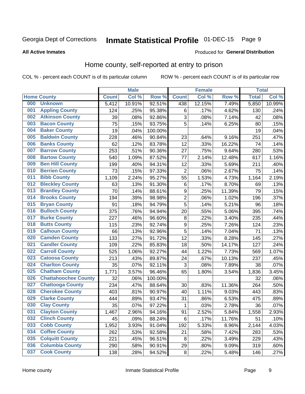#### **Inmate Statistical Profile 01-DEC-15** Page 9

#### **All Active Inmates**

### **Produced for General Distribution**

### Home county, self-reported at entry to prison

COL % - percent each COUNT is of its particular column

|     |                             |              | <b>Male</b> |         |                  | <b>Female</b> |        | <b>Total</b> |        |
|-----|-----------------------------|--------------|-------------|---------|------------------|---------------|--------|--------------|--------|
|     | <b>Home County</b>          | <b>Count</b> | Col %       | Row %   | <b>Count</b>     | Col %         | Row %  | <b>Total</b> | Col %  |
| 000 | <b>Unknown</b>              | 5,412        | 10.91%      | 92.51%  | 438              | 12.15%        | 7.49%  | 5,850        | 10.99% |
| 001 | <b>Appling County</b>       | 124          | .25%        | 95.38%  | 6                | .17%          | 4.62%  | 130          | .24%   |
| 002 | <b>Atkinson County</b>      | 39           | .08%        | 92.86%  | 3                | .08%          | 7.14%  | 42           | .08%   |
| 003 | <b>Bacon County</b>         | 75           | .15%        | 93.75%  | 5                | .14%          | 6.25%  | 80           | .15%   |
| 004 | <b>Baker County</b>         | 19           | .04%        | 100.00% |                  |               |        | 19           | .04%   |
| 005 | <b>Baldwin County</b>       | 228          | .46%        | 90.84%  | 23               | .64%          | 9.16%  | 251          | .47%   |
| 006 | <b>Banks County</b>         | 62           | .12%        | 83.78%  | 12               | .33%          | 16.22% | 74           | .14%   |
| 007 | <b>Barrow County</b>        | 253          | .51%        | 90.36%  | 27               | .75%          | 9.64%  | 280          | .53%   |
| 008 | <b>Bartow County</b>        | 540          | 1.09%       | 87.52%  | 77               | 2.14%         | 12.48% | 617          | 1.16%  |
| 009 | <b>Ben Hill County</b>      | 199          | .40%        | 94.31%  | 12               | .33%          | 5.69%  | 211          | .40%   |
| 010 | <b>Berrien County</b>       | 73           | .15%        | 97.33%  | $\overline{2}$   | .06%          | 2.67%  | 75           | .14%   |
| 011 | <b>Bibb County</b>          | 1,109        | 2.24%       | 95.27%  | 55               | 1.53%         | 4.73%  | 1,164        | 2.19%  |
| 012 | <b>Bleckley County</b>      | 63           | .13%        | 91.30%  | $\,6$            | .17%          | 8.70%  | 69           | .13%   |
| 013 | <b>Brantley County</b>      | 70           | .14%        | 88.61%  | $\boldsymbol{9}$ | .25%          | 11.39% | 79           | .15%   |
| 014 | <b>Brooks County</b>        | 194          | .39%        | 98.98%  | $\overline{2}$   | .06%          | 1.02%  | 196          | .37%   |
| 015 | <b>Bryan County</b>         | 91           | .18%        | 94.79%  | 5                | .14%          | 5.21%  | 96           | .18%   |
| 016 | <b>Bulloch County</b>       | 375          | .76%        | 94.94%  | 20               | .55%          | 5.06%  | 395          | .74%   |
| 017 | <b>Burke County</b>         | 227          | .46%        | 96.60%  | 8                | .22%          | 3.40%  | 235          | .44%   |
| 018 | <b>Butts County</b>         | 115          | .23%        | 92.74%  | $\boldsymbol{9}$ | .25%          | 7.26%  | 124          | .23%   |
| 019 | <b>Calhoun County</b>       | 66           | .13%        | 92.96%  | 5                | .14%          | 7.04%  | 71           | .13%   |
| 020 | <b>Camden County</b>        | 133          | .27%        | 91.72%  | 12               | .33%          | 8.28%  | 145          | .27%   |
| 021 | <b>Candler County</b>       | 109          | .22%        | 85.83%  | 18               | .50%          | 14.17% | 127          | .24%   |
| 022 | <b>Carroll County</b>       | 525          | 1.06%       | 92.27%  | 44               | 1.22%         | 7.73%  | 569          | 1.07%  |
| 023 | <b>Catoosa County</b>       | 213          | .43%        | 89.87%  | 24               | .67%          | 10.13% | 237          | .45%   |
| 024 | <b>Charlton County</b>      | 35           | .07%        | 92.11%  | 3                | .08%          | 7.89%  | 38           | .07%   |
| 025 | <b>Chatham County</b>       | 1,771        | 3.57%       | 96.46%  | 65               | 1.80%         | 3.54%  | 1,836        | 3.45%  |
| 026 | <b>Chattahoochee County</b> | 32           | .06%        | 100.00% |                  |               |        | 32           | .06%   |
| 027 | <b>Chattooga County</b>     | 234          | .47%        | 88.64%  | 30               | .83%          | 11.36% | 264          | .50%   |
| 028 | <b>Cherokee County</b>      | 403          | .81%        | 90.97%  | 40               | 1.11%         | 9.03%  | 443          | .83%   |
| 029 | <b>Clarke County</b>        | 444          | .89%        | 93.47%  | 31               | .86%          | 6.53%  | 475          | .89%   |
| 030 | <b>Clay County</b>          | 35           | .07%        | 97.22%  | $\mathbf{1}$     | .03%          | 2.78%  | 36           | .07%   |
| 031 | <b>Clayton County</b>       | 1,467        | 2.96%       | 94.16%  | 91               | 2.52%         | 5.84%  | 1,558        | 2.93%  |
| 032 | <b>Clinch County</b>        | 45           | .09%        | 88.24%  | 6                | .17%          | 11.76% | 51           | .10%   |
| 033 | <b>Cobb County</b>          | 1,952        | 3.93%       | 91.04%  | 192              | 5.33%         | 8.96%  | 2,144        | 4.03%  |
| 034 | <b>Coffee County</b>        | 262          | .53%        | 92.58%  | 21               | .58%          | 7.42%  | 283          | .53%   |
| 035 | <b>Colquitt County</b>      | 221          | .45%        | 96.51%  | 8                | .22%          | 3.49%  | 229          | .43%   |
| 036 | <b>Columbia County</b>      | 290          | .58%        | 90.91%  | 29               | .80%          | 9.09%  | 319          | .60%   |
| 037 | <b>Cook County</b>          | 138          | .28%        | 94.52%  | $\bf 8$          | .22%          | 5.48%  | 146          | .27%   |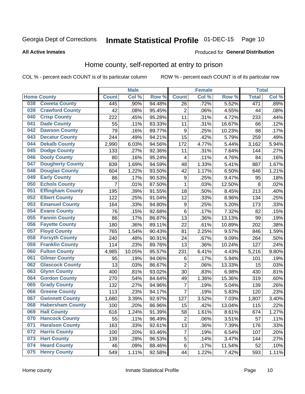# Inmate Statistical Profile 01-DEC-15 Page 10

### **All Active Inmates**

### **Produced for General Distribution**

### Home county, self-reported at entry to prison

COL % - percent each COUNT is of its particular column

|     |                         |                | <b>Male</b> |        |                  | <b>Female</b> |        | <b>Total</b> |       |
|-----|-------------------------|----------------|-------------|--------|------------------|---------------|--------|--------------|-------|
|     | <b>Home County</b>      | <b>Count</b>   | Col %       | Row %  | <b>Count</b>     | Col %         | Row %  | <b>Total</b> | Col % |
| 038 | <b>Coweta County</b>    | 445            | .90%        | 94.48% | 26               | .72%          | 5.52%  | 471          | .89%  |
| 039 | <b>Crawford County</b>  | 42             | .08%        | 95.45% | $\overline{c}$   | .06%          | 4.55%  | 44           | .08%  |
| 040 | <b>Crisp County</b>     | 222            | .45%        | 95.28% | 11               | .31%          | 4.72%  | 233          | .44%  |
| 041 | <b>Dade County</b>      | 55             | .11%        | 83.33% | 11               | .31%          | 16.67% | 66           | .12%  |
| 042 | <b>Dawson County</b>    | 79             | .16%        | 89.77% | $\boldsymbol{9}$ | .25%          | 10.23% | 88           | .17%  |
| 043 | <b>Decatur County</b>   | 244            | .49%        | 94.21% | 15               | .42%          | 5.79%  | 259          | .49%  |
| 044 | <b>Dekalb County</b>    | 2,990          | 6.03%       | 94.56% | 172              | 4.77%         | 5.44%  | 3,162        | 5.94% |
| 045 | <b>Dodge County</b>     | 133            | .27%        | 92.36% | 11               | .31%          | 7.64%  | 144          | .27%  |
| 046 | <b>Dooly County</b>     | 80             | .16%        | 95.24% | 4                | .11%          | 4.76%  | 84           | .16%  |
| 047 | <b>Dougherty County</b> | 839            | 1.69%       | 94.59% | 48               | 1.33%         | 5.41%  | 887          | 1.67% |
| 048 | <b>Douglas County</b>   | 604            | 1.22%       | 93.50% | 42               | 1.17%         | 6.50%  | 646          | 1.21% |
| 049 | <b>Early County</b>     | 86             | .17%        | 90.53% | $\boldsymbol{9}$ | .25%          | 9.47%  | 95           | .18%  |
| 050 | <b>Echols County</b>    | $\overline{7}$ | .01%        | 87.50% | 1                | .03%          | 12.50% | 8            | .02%  |
| 051 | <b>Effingham County</b> | 195            | .39%        | 91.55% | 18               | .50%          | 8.45%  | 213          | .40%  |
| 052 | <b>Elbert County</b>    | 122            | .25%        | 91.04% | 12               | .33%          | 8.96%  | 134          | .25%  |
| 053 | <b>Emanuel County</b>   | 164            | .33%        | 94.80% | $\boldsymbol{9}$ | .25%          | 5.20%  | 173          | .33%  |
| 054 | <b>Evans County</b>     | 76             | .15%        | 92.68% | $\,6$            | .17%          | 7.32%  | 82           | .15%  |
| 055 | <b>Fannin County</b>    | 86             | .17%        | 86.87% | 13               | .36%          | 13.13% | 99           | .19%  |
| 056 | <b>Fayette County</b>   | 180            | .36%        | 89.11% | 22               | .61%          | 10.89% | 202          | .38%  |
| 057 | <b>Floyd County</b>     | 765            | 1.54%       | 90.43% | 81               | 2.25%         | 9.57%  | 846          | 1.59% |
| 058 | <b>Forsyth County</b>   | 240            | .48%        | 90.91% | 24               | .67%          | 9.09%  | 264          | .50%  |
| 059 | <b>Franklin County</b>  | 114            | .23%        | 89.76% | 13               | .36%          | 10.24% | 127          | .24%  |
| 060 | <b>Fulton County</b>    | 4,985          | 10.05%      | 95.57% | 231              | 6.41%         | 4.43%  | 5,216        | 9.80% |
| 061 | <b>Gilmer County</b>    | 95             | .19%        | 94.06% | $\,6$            | .17%          | 5.94%  | 101          | .19%  |
| 062 | <b>Glascock County</b>  | 13             | .03%        | 86.67% | $\overline{2}$   | .06%          | 13.33% | 15           | .03%  |
| 063 | <b>Glynn County</b>     | 400            | .81%        | 93.02% | 30               | .83%          | 6.98%  | 430          | .81%  |
| 064 | <b>Gordon County</b>    | 270            | .54%        | 84.64% | 49               | 1.36%         | 15.36% | 319          | .60%  |
| 065 | <b>Grady County</b>     | 132            | .27%        | 94.96% | $\overline{7}$   | .19%          | 5.04%  | 139          | .26%  |
| 066 | <b>Greene County</b>    | 113            | .23%        | 94.17% | $\overline{7}$   | .19%          | 5.83%  | 120          | .23%  |
| 067 | <b>Gwinnett County</b>  | 1,680          | 3.39%       | 92.97% | 127              | 3.52%         | 7.03%  | 1,807        | 3.40% |
| 068 | <b>Habersham County</b> | 100            | .20%        | 86.96% | 15               | .42%          | 13.04% | 115          | .22%  |
| 069 | <b>Hall County</b>      | 616            | 1.24%       | 91.39% | 58               | 1.61%         | 8.61%  | 674          | 1.27% |
| 070 | <b>Hancock County</b>   | 55             | .11%        | 96.49% | $\overline{2}$   | .06%          | 3.51%  | 57           | .11%  |
| 071 | <b>Haralson County</b>  | 163            | .33%        | 92.61% | 13               | .36%          | 7.39%  | 176          | .33%  |
| 072 | <b>Harris County</b>    | 100            | .20%        | 93.46% | $\boldsymbol{7}$ | .19%          | 6.54%  | 107          | .20%  |
| 073 | <b>Hart County</b>      | 139            | .28%        | 96.53% | 5                | .14%          | 3.47%  | 144          | .27%  |
| 074 | <b>Heard County</b>     | 46             | .09%        | 88.46% | 6                | .17%          | 11.54% | 52           | .10%  |
| 075 | <b>Henry County</b>     | 549            | 1.11%       | 92.58% | 44               | 1.22%         | 7.42%  | 593          | 1.11% |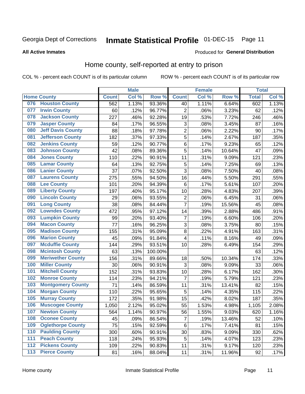# Inmate Statistical Profile 01-DEC-15 Page 11

**All Active Inmates** 

#### Produced for General Distribution

### Home county, self-reported at entry to prison

COL % - percent each COUNT is of its particular column

|                  |                          |              | <b>Male</b> |                  |                         | <b>Female</b> |        | <b>Total</b> |       |
|------------------|--------------------------|--------------|-------------|------------------|-------------------------|---------------|--------|--------------|-------|
|                  | <b>Home County</b>       | <b>Count</b> | Col %       | Row <sup>%</sup> | <b>Count</b>            | Col %         | Row %  | <b>Total</b> | Col % |
| 076              | <b>Houston County</b>    | 562          | 1.13%       | 93.36%           | 40                      | 1.11%         | 6.64%  | 602          | 1.13% |
| 077              | <b>Irwin County</b>      | 60           | .12%        | 96.77%           | $\overline{2}$          | .06%          | 3.23%  | 62           | .12%  |
| 078              | <b>Jackson County</b>    | 227          | .46%        | 92.28%           | 19                      | .53%          | 7.72%  | 246          | .46%  |
| 079              | <b>Jasper County</b>     | 84           | .17%        | 96.55%           | 3                       | .08%          | 3.45%  | 87           | .16%  |
| 080              | <b>Jeff Davis County</b> | 88           | .18%        | 97.78%           | $\overline{c}$          | .06%          | 2.22%  | 90           | .17%  |
| 081              | <b>Jefferson County</b>  | 182          | .37%        | 97.33%           | 5                       | .14%          | 2.67%  | 187          | .35%  |
| 082              | <b>Jenkins County</b>    | 59           | .12%        | 90.77%           | 6                       | .17%          | 9.23%  | 65           | .12%  |
| 083              | <b>Johnson County</b>    | 42           | .08%        | 89.36%           | 5                       | .14%          | 10.64% | 47           | .09%  |
| 084              | <b>Jones County</b>      | 110          | .22%        | 90.91%           | 11                      | .31%          | 9.09%  | 121          | .23%  |
| 085              | <b>Lamar County</b>      | 64           | .13%        | 92.75%           | 5                       | .14%          | 7.25%  | 69           | .13%  |
| 086              | <b>Lanier County</b>     | 37           | .07%        | 92.50%           | 3                       | .08%          | 7.50%  | 40           | .08%  |
| 087              | <b>Laurens County</b>    | 275          | .55%        | 94.50%           | 16                      | .44%          | 5.50%  | 291          | .55%  |
| 088              | <b>Lee County</b>        | 101          | .20%        | 94.39%           | 6                       | .17%          | 5.61%  | 107          | .20%  |
| 089              | <b>Liberty County</b>    | 197          | .40%        | 95.17%           | 10                      | .28%          | 4.83%  | 207          | .39%  |
| 090              | <b>Lincoln County</b>    | 29           | .06%        | 93.55%           | $\mathbf 2$             | .06%          | 6.45%  | 31           | .06%  |
| 091              | <b>Long County</b>       | 38           | .08%        | 84.44%           | $\overline{7}$          | .19%          | 15.56% | 45           | .08%  |
| 092              | <b>Lowndes County</b>    | 472          | .95%        | 97.12%           | 14                      | .39%          | 2.88%  | 486          | .91%  |
| 093              | <b>Lumpkin County</b>    | 99           | .20%        | 93.40%           | $\overline{7}$          | .19%          | 6.60%  | 106          | .20%  |
| 094              | <b>Macon County</b>      | 77           | .16%        | 96.25%           | 3                       | .08%          | 3.75%  | 80           | .15%  |
| 095              | <b>Madison County</b>    | 155          | .31%        | 95.09%           | 8                       | .22%          | 4.91%  | 163          | .31%  |
| 096              | <b>Marion County</b>     | 45           | .09%        | 91.84%           | $\overline{\mathbf{4}}$ | .11%          | 8.16%  | 49           | .09%  |
| 097              | <b>Mcduffie County</b>   | 144          | .29%        | 93.51%           | 10                      | .28%          | 6.49%  | 154          | .29%  |
| 098              | <b>Mcintosh County</b>   | 63           | .13%        | 100.00%          |                         |               |        | 63           | .12%  |
| 099              | <b>Meriwether County</b> | 156          | .31%        | 89.66%           | 18                      | .50%          | 10.34% | 174          | .33%  |
| 100              | <b>Miller County</b>     | 30           | .06%        | 90.91%           | 3                       | .08%          | 9.09%  | 33           | .06%  |
| 101              | <b>Mitchell County</b>   | 152          | .31%        | 93.83%           | 10                      | .28%          | 6.17%  | 162          | .30%  |
| 102              | <b>Monroe County</b>     | 114          | .23%        | 94.21%           | 7                       | .19%          | 5.79%  | 121          | .23%  |
| 103              | <b>Montgomery County</b> | 71           | .14%        | 86.59%           | 11                      | .31%          | 13.41% | 82           | .15%  |
| 104              | <b>Morgan County</b>     | 110          | .22%        | 95.65%           | 5                       | .14%          | 4.35%  | 115          | .22%  |
| 105              | <b>Murray County</b>     | 172          | .35%        | 91.98%           | 15                      | .42%          | 8.02%  | 187          | .35%  |
| 106              | <b>Muscogee County</b>   | 1,050        | 2.12%       | 95.02%           | 55                      | 1.53%         | 4.98%  | 1,105        | 2.08% |
| 107              | <b>Newton County</b>     | 564          | 1.14%       | 90.97%           | 56                      | 1.55%         | 9.03%  | 620          | 1.16% |
| 108              | <b>Oconee County</b>     | 45           | .09%        | 86.54%           | 7                       | .19%          | 13.46% | 52           | .10%  |
| 109              | <b>Oglethorpe County</b> | 75           | .15%        | 92.59%           | 6                       | .17%          | 7.41%  | 81           | .15%  |
| 110              | <b>Paulding County</b>   | 300          | .60%        | 90.91%           | 30                      | .83%          | 9.09%  | 330          | .62%  |
| 111              | <b>Peach County</b>      | 118          | .24%        | 95.93%           | 5                       | .14%          | 4.07%  | 123          | .23%  |
| $\overline{112}$ | <b>Pickens County</b>    | 109          | .22%        | 90.83%           | 11                      | .31%          | 9.17%  | 120          | .23%  |
| 113              | <b>Pierce County</b>     | 81           | .16%        | 88.04%           | 11                      | .31%          | 11.96% | 92           | .17%  |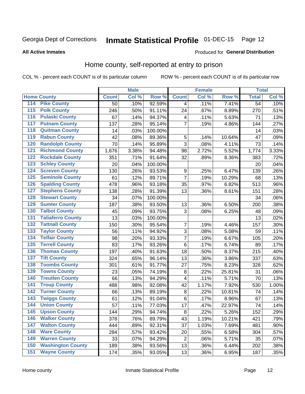# Inmate Statistical Profile 01-DEC-15 Page 12

### **All Active Inmates**

### Produced for General Distribution

### Home county, self-reported at entry to prison

COL % - percent each COUNT is of its particular column

|                  |                          |              | <b>Male</b> |                  |                | <b>Female</b> |        | <b>Total</b>    |       |
|------------------|--------------------------|--------------|-------------|------------------|----------------|---------------|--------|-----------------|-------|
|                  | <b>Home County</b>       | <b>Count</b> | Col %       | Row <sup>%</sup> | <b>Count</b>   | Col %         | Row %  | <b>Total</b>    | Col % |
| 114              | <b>Pike County</b>       | 50           | .10%        | 92.59%           | 4              | .11%          | 7.41%  | $\overline{54}$ | .10%  |
| 115              | <b>Polk County</b>       | 246          | .50%        | 91.11%           | 24             | .67%          | 8.89%  | 270             | .51%  |
| 116              | <b>Pulaski County</b>    | 67           | .14%        | 94.37%           | 4              | .11%          | 5.63%  | 71              | .13%  |
| 117              | <b>Putnam County</b>     | 137          | .28%        | 95.14%           | $\overline{7}$ | .19%          | 4.86%  | 144             | .27%  |
| 118              | <b>Quitman County</b>    | 14           | .03%        | 100.00%          |                |               |        | 14              | .03%  |
| 119              | <b>Rabun County</b>      | 42           | .08%        | 89.36%           | 5              | .14%          | 10.64% | 47              | .09%  |
| 120              | <b>Randolph County</b>   | 70           | .14%        | 95.89%           | $\mathbf{3}$   | .08%          | 4.11%  | 73              | .14%  |
| 121              | <b>Richmond County</b>   | 1,676        | 3.38%       | 94.48%           | 98             | 2.72%         | 5.52%  | 1,774           | 3.33% |
| 122              | <b>Rockdale County</b>   | 351          | .71%        | 91.64%           | 32             | .89%          | 8.36%  | 383             | .72%  |
| 123              | <b>Schley County</b>     | 20           | .04%        | 100.00%          |                |               |        | 20              | .04%  |
| 124              | <b>Screven County</b>    | 130          | .26%        | 93.53%           | 9              | .25%          | 6.47%  | 139             | .26%  |
| 125              | <b>Seminole County</b>   | 61           | .12%        | 89.71%           | $\overline{7}$ | .19%          | 10.29% | 68              | .13%  |
| 126              | <b>Spalding County</b>   | 478          | .96%        | 93.18%           | 35             | .97%          | 6.82%  | 513             | .96%  |
| 127              | <b>Stephens County</b>   | 138          | .28%        | 91.39%           | 13             | .36%          | 8.61%  | 151             | .28%  |
| 128              | <b>Stewart County</b>    | 34           | .07%        | 100.00%          |                |               |        | 34              | .06%  |
| 129              | <b>Sumter County</b>     | 187          | .38%        | 93.50%           | 13             | .36%          | 6.50%  | 200             | .38%  |
| 130              | <b>Talbot County</b>     | 45           | .09%        | 93.75%           | 3              | .08%          | 6.25%  | 48              | .09%  |
| 131              | <b>Taliaferro County</b> | 13           | .03%        | 100.00%          |                |               |        | 13              | .02%  |
| 132              | <b>Tattnall County</b>   | 150          | .30%        | 95.54%           | $\overline{7}$ | .19%          | 4.46%  | 157             | .30%  |
| 133              | <b>Taylor County</b>     | 56           | .11%        | 94.92%           | 3              | .08%          | 5.08%  | 59              | .11%  |
| 134              | <b>Telfair County</b>    | 98           | .20%        | 93.33%           | $\overline{7}$ | .19%          | 6.67%  | 105             | .20%  |
| $\overline{135}$ | <b>Terrell County</b>    | 83           | .17%        | 93.26%           | $\,6$          | .17%          | 6.74%  | 89              | .17%  |
| 136              | <b>Thomas County</b>     | 197          | .40%        | 91.63%           | 18             | .50%          | 8.37%  | 215             | .40%  |
| 137              | <b>Tift County</b>       | 324          | .65%        | 96.14%           | 13             | .36%          | 3.86%  | 337             | .63%  |
| 138              | <b>Toombs County</b>     | 301          | .61%        | 91.77%           | 27             | .75%          | 8.23%  | 328             | .62%  |
| 139              | <b>Towns County</b>      | 23           | .05%        | 74.19%           | $\bf 8$        | .22%          | 25.81% | 31              | .06%  |
| 140              | <b>Treutlen County</b>   | 66           | .13%        | 94.29%           | 4              | .11%          | 5.71%  | 70              | .13%  |
| 141              | <b>Troup County</b>      | 488          | .98%        | 92.08%           | 42             | 1.17%         | 7.92%  | 530             | 1.00% |
| 142              | <b>Turner County</b>     | 66           | .13%        | 89.19%           | $\bf 8$        | .22%          | 10.81% | 74              | .14%  |
| 143              | <b>Twiggs County</b>     | 61           | .12%        | 91.04%           | $\,6$          | .17%          | 8.96%  | 67              | .13%  |
| 144              | <b>Union County</b>      | 57           | .11%        | 77.03%           | 17             | .47%          | 22.97% | 74              | .14%  |
| 145              | <b>Upson County</b>      | 144          | .29%        | 94.74%           | $\bf 8$        | .22%          | 5.26%  | 152             | .29%  |
| 146              | <b>Walker County</b>     | 378          | .76%        | 89.79%           | 43             | 1.19%         | 10.21% | 421             | .79%  |
| 147              | <b>Walton County</b>     | 444          | .89%        | 92.31%           | 37             | 1.03%         | 7.69%  | 481             | .90%  |
| 148              | <b>Ware County</b>       | 284          | .57%        | 93.42%           | 20             | .55%          | 6.58%  | 304             | .57%  |
| 149              | <b>Warren County</b>     | 33           | .07%        | 94.29%           | $\overline{2}$ | .06%          | 5.71%  | 35              | .07%  |
| 150              | <b>Washington County</b> | 189          | .38%        | 93.56%           | 13             | .36%          | 6.44%  | 202             | .38%  |
| 151              | <b>Wayne County</b>      | 174          | .35%        | 93.05%           | 13             | .36%          | 6.95%  | 187             | .35%  |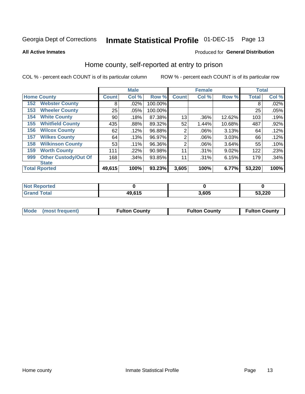# Inmate Statistical Profile 01-DEC-15 Page 13

**All Active Inmates** 

### Produced for General Distribution

### Home county, self-reported at entry to prison

COL % - percent each COUNT is of its particular column

|     |                             |              | <b>Male</b> |         |                | <b>Female</b> |        | <b>Total</b> |       |
|-----|-----------------------------|--------------|-------------|---------|----------------|---------------|--------|--------------|-------|
|     | <b>Home County</b>          | <b>Count</b> | Col %       | Row %   | <b>Count</b>   | Col %         | Row %  | <b>Total</b> | Col % |
| 152 | <b>Webster County</b>       | 8            | .02%        | 100.00% |                |               |        | 8            | .02%  |
| 153 | <b>Wheeler County</b>       | 25           | .05%        | 100.00% |                |               |        | 25           | .05%  |
| 154 | <b>White County</b>         | 90           | .18%        | 87.38%  | 13             | .36%          | 12.62% | 103          | .19%  |
| 155 | <b>Whitfield County</b>     | 435          | .88%        | 89.32%  | 52             | 1.44%         | 10.68% | 487          | .92%  |
| 156 | <b>Wilcox County</b>        | 62           | .12%        | 96.88%  | $\overline{2}$ | .06%          | 3.13%  | 64           | .12%  |
| 157 | <b>Wilkes County</b>        | 64           | .13%        | 96.97%  | $\overline{2}$ | .06%          | 3.03%  | 66           | .12%  |
| 158 | <b>Wilkinson County</b>     | 53           | $.11\%$     | 96.36%  | $\overline{2}$ | .06%          | 3.64%  | 55           | .10%  |
| 159 | <b>Worth County</b>         | 111          | .22%        | 90.98%  | 11             | .31%          | 9.02%  | 122          | .23%  |
| 999 | <b>Other Custody/Out Of</b> | 168          | .34%        | 93.85%  | 11             | .31%          | 6.15%  | 179          | .34%  |
|     | <b>State</b>                |              |             |         |                |               |        |              |       |
|     | <b>Total Rported</b>        | 49,615       | 100%        | 93.23%  | 3,605          | 100%          | 6.77%  | 53,220       | 100%  |

| <b>Not</b><br>Reported |        |       |        |
|------------------------|--------|-------|--------|
| <b>otal</b>            | 49,615 | 3,605 | 53,220 |

|  | Mode (most frequent) | <b>Fulton County</b> | <b>Fulton County</b> | <b>Fulton County</b> |
|--|----------------------|----------------------|----------------------|----------------------|
|--|----------------------|----------------------|----------------------|----------------------|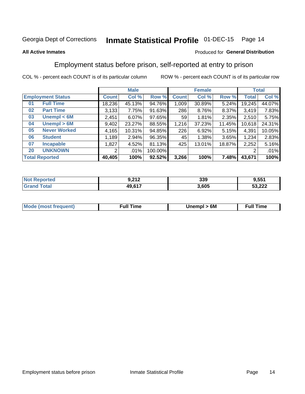#### Inmate Statistical Profile 01-DEC-15 Page 14

### **All Active Inmates**

### Produced for General Distribution

### Employment status before prison, self-reported at entry to prison

COL % - percent each COUNT is of its particular column

|                           |              | <b>Male</b> |         | <b>Female</b> |        |          | <b>Total</b> |        |
|---------------------------|--------------|-------------|---------|---------------|--------|----------|--------------|--------|
| <b>Employment Status</b>  | <b>Count</b> | Col %       | Row %   | <b>Count</b>  | Col %  | Row %    | <b>Total</b> | Col %  |
| <b>Full Time</b><br>01    | 18,236       | 45.13%      | 94.76%  | 1,009         | 30.89% | 5.24%    | 19,245       | 44.07% |
| <b>Part Time</b><br>02    | 3,133        | 7.75%       | 91.63%  | 286           | 8.76%  | $8.37\%$ | 3,419        | 7.83%  |
| Unempl $<$ 6M<br>03       | 2,451        | 6.07%       | 97.65%  | 59            | 1.81%  | 2.35%    | 2,510        | 5.75%  |
| Unempl > 6M<br>04         | 9,402        | 23.27%      | 88.55%  | 1,216         | 37.23% | 11.45%   | 10,618       | 24.31% |
| <b>Never Worked</b><br>05 | 4,165        | 10.31%      | 94.85%  | 226           | 6.92%  | 5.15%    | 4,391        | 10.05% |
| <b>Student</b><br>06      | 1,189        | $2.94\%$    | 96.35%  | 45            | 1.38%  | 3.65%    | 1,234        | 2.83%  |
| <b>Incapable</b><br>07    | 1,827        | 4.52%       | 81.13%  | 425           | 13.01% | 18.87%   | 2,252        | 5.16%  |
| <b>UNKNOWN</b><br>20      | 2            | $.01\%$     | 100.00% |               |        |          | 2            | .01%   |
| <b>Total Reported</b>     | 40,405       | 100%        | 92.52%  | 3,266         | 100%   | 7.48%    | 43,671       | 100%   |

| <b>Not Reported</b> | 9,212  | 339   | 9,551  |
|---------------------|--------|-------|--------|
| <b>Grand Total</b>  | 49,617 | 3,605 | 53,222 |

| <b>Mode (most frequent)</b> | Unempl > 6M | <b>Full Time</b> |
|-----------------------------|-------------|------------------|
|                             |             |                  |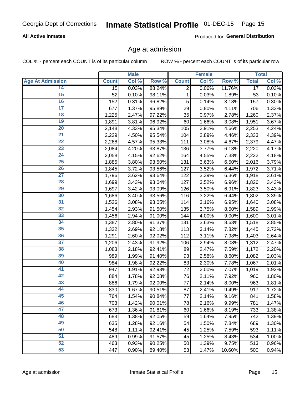# Inmate Statistical Profile 01-DEC-15 Page 15

### **All Active Inmates**

Produced for General Distribution

### Age at admission

COL % - percent each COUNT is of its particular column

|                         |              | <b>Male</b> |        |              | <b>Female</b> |        |              | <b>Total</b> |
|-------------------------|--------------|-------------|--------|--------------|---------------|--------|--------------|--------------|
| <b>Age At Admission</b> | <b>Count</b> | Col %       | Row %  | <b>Count</b> | Col %         | Row %  | <b>Total</b> | Col %        |
| 14                      | 15           | 0.03%       | 88.24% | 2            | 0.06%         | 11.76% | 17           | 0.03%        |
| $\overline{15}$         | 52           | 0.10%       | 98.11% | $\mathbf{1}$ | 0.03%         | 1.89%  | 53           | 0.10%        |
| 16                      | 152          | 0.31%       | 96.82% | 5            | 0.14%         | 3.18%  | 157          | 0.30%        |
| $\overline{17}$         | 677          | 1.37%       | 95.89% | 29           | 0.80%         | 4.11%  | 706          | 1.33%        |
| $\overline{18}$         | 1,225        | 2.47%       | 97.22% | 35           | 0.97%         | 2.78%  | 1,260        | 2.37%        |
| 19                      | 1,891        | 3.81%       | 96.92% | 60           | 1.66%         | 3.08%  | 1,951        | 3.67%        |
| $\overline{20}$         | 2,148        | 4.33%       | 95.34% | 105          | 2.91%         | 4.66%  | 2,253        | 4.24%        |
| $\overline{21}$         | 2,229        | 4.50%       | 95.54% | 104          | 2.89%         | 4.46%  | 2,333        | 4.39%        |
| $\overline{22}$         | 2,268        | 4.57%       | 95.33% | 111          | 3.08%         | 4.67%  | 2,379        | 4.47%        |
| $\overline{23}$         | 2,084        | 4.20%       | 93.87% | 136          | 3.77%         | 6.13%  | 2,220        | 4.17%        |
| $\overline{24}$         | 2,058        | 4.15%       | 92.62% | 164          | 4.55%         | 7.38%  | 2,222        | 4.18%        |
| 25                      | 1,885        | 3.80%       | 93.50% | 131          | 3.63%         | 6.50%  | 2,016        | 3.79%        |
| $\overline{26}$         | 1,845        | 3.72%       | 93.56% | 127          | 3.52%         | 6.44%  | 1,972        | 3.71%        |
| $\overline{27}$         | 1,796        | 3.62%       | 93.64% | 122          | 3.39%         | 6.36%  | 1,918        | 3.61%        |
| 28                      | 1,699        | 3.43%       | 93.04% | 127          | 3.52%         | 6.96%  | 1,826        | 3.43%        |
| 29                      | 1,697        | 3.42%       | 93.09% | 126          | 3.50%         | 6.91%  | 1,823        | 3.43%        |
| 30                      | 1,686        | 3.40%       | 93.56% | 116          | 3.22%         | 6.44%  | 1,802        | 3.39%        |
| $\overline{31}$         | 1,526        | 3.08%       | 93.05% | 114          | 3.16%         | 6.95%  | 1,640        | 3.08%        |
| 32                      | 1,454        | 2.93%       | 91.50% | 135          | 3.75%         | 8.50%  | 1,589        | 2.99%        |
| 33                      | 1,456        | 2.94%       | 91.00% | 144          | 4.00%         | 9.00%  | 1,600        | 3.01%        |
| 34                      | 1,387        | 2.80%       | 91.37% | 131          | 3.63%         | 8.63%  | 1,518        | 2.85%        |
| 35                      | 1,332        | 2.69%       | 92.18% | 113          | 3.14%         | 7.82%  | 1,445        | 2.72%        |
| 36                      | 1,291        | 2.60%       | 92.02% | 112          | 3.11%         | 7.98%  | 1,403        | 2.64%        |
| $\overline{37}$         | 1,206        | 2.43%       | 91.92% | 106          | 2.94%         | 8.08%  | 1,312        | 2.47%        |
| 38                      | 1,083        | 2.18%       | 92.41% | 89           | 2.47%         | 7.59%  | 1,172        | 2.20%        |
| 39                      | 989          | 1.99%       | 91.40% | 93           | 2.58%         | 8.60%  | 1,082        | 2.03%        |
| 40                      | 984          | 1.98%       | 92.22% | 83           | 2.30%         | 7.78%  | 1,067        | 2.01%        |
| 41                      | 947          | 1.91%       | 92.93% | 72           | 2.00%         | 7.07%  | 1,019        | 1.92%        |
| 42                      | 884          | 1.78%       | 92.08% | 76           | 2.11%         | 7.92%  | 960          | 1.80%        |
| 43                      | 886          | 1.79%       | 92.00% | 77           | 2.14%         | 8.00%  | 963          | 1.81%        |
| 44                      | 830          | 1.67%       | 90.51% | 87           | 2.41%         | 9.49%  | 917          | 1.72%        |
| 45                      | 764          | 1.54%       | 90.84% | 77           | 2.14%         | 9.16%  | 841          | 1.58%        |
| 46                      | 703          | 1.42%       | 90.01% | 78           | 2.16%         | 9.99%  | 781          | 1.47%        |
| 47                      | 673          | 1.36%       | 91.81% | 60           | 1.66%         | 8.19%  | 733          | 1.38%        |
| 48                      | 683          | 1.38%       | 92.05% | 59           | 1.64%         | 7.95%  | 742          | 1.39%        |
| 49                      | 635          | 1.28%       | 92.16% | 54           | 1.50%         | 7.84%  | 689          | 1.30%        |
| 50                      | 548          | 1.11%       | 92.41% | 45           | 1.25%         | 7.59%  | 593          | 1.11%        |
| 51                      | 489          | 0.99%       | 91.57% | 45           | 1.25%         | 8.43%  | 534          | 1.00%        |
| 52                      | 463          | 0.93%       | 90.25% | 50           | 1.39%         | 9.75%  | 513          | 0.96%        |
| 53                      | 447          | 0.90%       | 89.40% | 53           | 1.47%         | 10.60% | 500          | 0.94%        |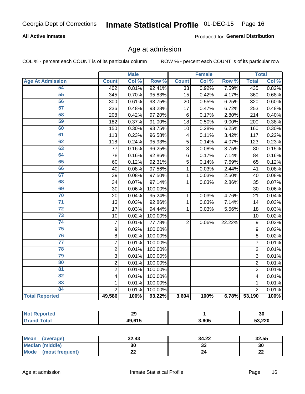# Inmate Statistical Profile 01-DEC-15 Page 16

### **All Active Inmates**

Produced for General Distribution

### Age at admission

COL % - percent each COUNT is of its particular column

|                         |                         | <b>Male</b> |         |                         | <b>Female</b> |                  |                         | <b>Total</b> |
|-------------------------|-------------------------|-------------|---------|-------------------------|---------------|------------------|-------------------------|--------------|
| <b>Age At Admission</b> | <b>Count</b>            | Col %       | Row %   | <b>Count</b>            | Col %         | Row <sup>%</sup> | <b>Total</b>            | Col %        |
| 54                      | 402                     | 0.81%       | 92.41%  | $\overline{33}$         | 0.92%         | 7.59%            | 435                     | 0.82%        |
| 55                      | 345                     | 0.70%       | 95.83%  | 15                      | 0.42%         | 4.17%            | 360                     | 0.68%        |
| 56                      | 300                     | 0.61%       | 93.75%  | 20                      | 0.55%         | 6.25%            | 320                     | 0.60%        |
| $\overline{57}$         | 236                     | 0.48%       | 93.28%  | 17                      | 0.47%         | 6.72%            | 253                     | 0.48%        |
| 58                      | 208                     | 0.42%       | 97.20%  | $6\phantom{1}6$         | 0.17%         | 2.80%            | 214                     | 0.40%        |
| 59                      | 182                     | 0.37%       | 91.00%  | 18                      | 0.50%         | 9.00%            | 200                     | 0.38%        |
| 60                      | 150                     | 0.30%       | 93.75%  | 10                      | 0.28%         | 6.25%            | 160                     | 0.30%        |
| 61                      | 113                     | 0.23%       | 96.58%  | $\overline{\mathbf{4}}$ | 0.11%         | 3.42%            | 117                     | 0.22%        |
| 62                      | 118                     | 0.24%       | 95.93%  | 5                       | 0.14%         | 4.07%            | 123                     | 0.23%        |
| 63                      | 77                      | 0.16%       | 96.25%  | 3                       | 0.08%         | 3.75%            | 80                      | 0.15%        |
| 64                      | 78                      | 0.16%       | 92.86%  | 6                       | 0.17%         | 7.14%            | 84                      | 0.16%        |
| 65                      | 60                      | 0.12%       | 92.31%  | 5                       | 0.14%         | 7.69%            | 65                      | 0.12%        |
| 66                      | 40                      | 0.08%       | 97.56%  | 1                       | 0.03%         | 2.44%            | 41                      | 0.08%        |
| 67                      | 39                      | 0.08%       | 97.50%  | 1                       | 0.03%         | 2.50%            | 40                      | 0.08%        |
| 68                      | 34                      | 0.07%       | 97.14%  | 1                       | 0.03%         | 2.86%            | 35                      | 0.07%        |
| 69                      | 30                      | 0.06%       | 100.00% |                         |               |                  | 30                      | 0.06%        |
| 70                      | 20                      | 0.04%       | 95.24%  | 1                       | 0.03%         | 4.76%            | 21                      | 0.04%        |
| $\overline{71}$         | 13                      | 0.03%       | 92.86%  | 1                       | 0.03%         | 7.14%            | 14                      | 0.03%        |
| $\overline{72}$         | 17                      | 0.03%       | 94.44%  | 1                       | 0.03%         | 5.56%            | 18                      | 0.03%        |
| $\overline{73}$         | 10                      | 0.02%       | 100.00% |                         |               |                  | 10                      | 0.02%        |
| $\overline{74}$         | $\overline{7}$          | 0.01%       | 77.78%  | $\overline{2}$          | 0.06%         | 22.22%           | 9                       | 0.02%        |
| 75                      | $\boldsymbol{9}$        | 0.02%       | 100.00% |                         |               |                  | 9                       | 0.02%        |
| 76                      | 8                       | 0.02%       | 100.00% |                         |               |                  | 8                       | 0.02%        |
| $\overline{77}$         | $\overline{7}$          | 0.01%       | 100.00% |                         |               |                  | $\overline{7}$          | 0.01%        |
| 78                      | $\overline{2}$          | 0.01%       | 100.00% |                         |               |                  | $\overline{2}$          | 0.01%        |
| 79                      | $\overline{3}$          | 0.01%       | 100.00% |                         |               |                  | $\overline{3}$          | 0.01%        |
| 80                      | $\overline{2}$          | 0.01%       | 100.00% |                         |               |                  | $\overline{2}$          | 0.01%        |
| $\overline{81}$         | $\overline{2}$          | 0.01%       | 100.00% |                         |               |                  | $\overline{2}$          | 0.01%        |
| $\overline{82}$         | $\overline{\mathbf{4}}$ | 0.01%       | 100.00% |                         |               |                  | $\overline{\mathbf{4}}$ | 0.01%        |
| 83                      | $\mathbf{1}$            | 0.01%       | 100.00% |                         |               |                  | $\mathbf{1}$            | 0.01%        |
| 84                      | $\overline{2}$          | 0.01%       | 100.00% |                         |               |                  | $\overline{2}$          | 0.01%        |
| <b>Total Reported</b>   | 49,586                  | 100%        | 93.22%  | 3,604                   | 100%          | 6.78%            | 53,190                  | 100%         |

| <b>Not</b>    | ົ          |       | ^^     |
|---------------|------------|-------|--------|
| <b>ported</b> | 23         |       | v,     |
| intal         | $AQ$ $615$ | 3,605 | 53,220 |

| <b>Mean</b><br>(average) | 32.43 | 34.22    | 32.55    |
|--------------------------|-------|----------|----------|
| <b>Median (middle)</b>   | 30    | ^^<br>აა | 30       |
| Mode<br>(most frequent)  | ∸∸    |          | n.<br>44 |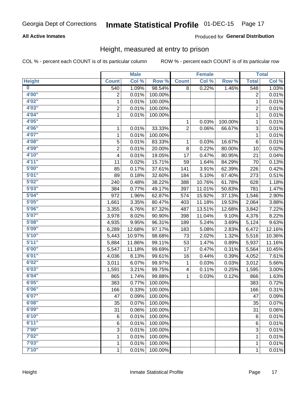#### Inmate Statistical Profile 01-DEC-15 Page 17

### **All Active Inmates**

### Produced for General Distribution

### Height, measured at entry to prison

COL % - percent each COUNT is of its particular column

|                         |                | <b>Male</b> |         |                | <b>Female</b> |         |              | <b>Total</b>        |
|-------------------------|----------------|-------------|---------|----------------|---------------|---------|--------------|---------------------|
| <b>Height</b>           | <b>Count</b>   | Col %       | Row %   | <b>Count</b>   | Col %         | Row %   | <b>Total</b> | Col %               |
| $\overline{\mathbf{0}}$ | 540            | 1.09%       | 98.54%  | 8              | 0.22%         | 1.46%   | 548          | 1.03%               |
| 4'00"                   | $\overline{2}$ | 0.01%       | 100.00% |                |               |         | 2            | 0.01%               |
| 4'02"                   | $\mathbf{1}$   | 0.01%       | 100.00% |                |               |         | $\mathbf{1}$ | 0.01%               |
| 4'03''                  | $\overline{c}$ | 0.01%       | 100.00% |                |               |         | 2            | 0.01%               |
| 4'04"                   | $\mathbf{1}$   | 0.01%       | 100.00% |                |               |         | 1            | 0.01%               |
| 4'05"                   |                |             |         | 1              | 0.03%         | 100.00% | $\mathbf{1}$ | 0.01%               |
| 4'06"                   | 1              | 0.01%       | 33.33%  | $\overline{2}$ | 0.06%         | 66.67%  | 3            | 0.01%               |
| 4'07"                   | 1              | 0.01%       | 100.00% |                |               |         | 1            | 0.01%               |
| 4'08"                   | 5              | 0.01%       | 83.33%  | 1              | 0.03%         | 16.67%  | $\,6$        | 0.01%               |
| 4'09"                   | $\overline{c}$ | 0.01%       | 20.00%  | 8              | 0.22%         | 80.00%  | 10           | 0.02%               |
| 4'10"                   | 4              | 0.01%       | 19.05%  | 17             | 0.47%         | 80.95%  | 21           | 0.04%               |
| 4'11''                  | 11             | 0.02%       | 15.71%  | 59             | 1.64%         | 84.29%  | 70           | 0.13%               |
| 5'00''                  | 85             | 0.17%       | 37.61%  | 141            | 3.91%         | 62.39%  | 226          | 0.42%               |
| 5'01"                   | 89             | 0.18%       | 32.60%  | 184            | 5.10%         | 67.40%  | 273          | 0.51%               |
| 5'02"                   | 240            | 0.48%       | 38.22%  | 388            | 10.76%        | 61.78%  | 628          | 1.18%               |
| 5'03"                   | 384            | 0.77%       | 49.17%  | 397            | 11.01%        | 50.83%  | 781          | 1.47%               |
| 5'04"                   | 972            | 1.96%       | 62.87%  | 574            | 15.92%        | 37.13%  | 1,546        | 2.90%               |
| 5'05"                   | 1,661          | 3.35%       | 80.47%  | 403            | 11.18%        | 19.53%  | 2,064        | 3.88%               |
| 5'06''                  | 3,355          | 6.76%       | 87.32%  | 487            | 13.51%        | 12.68%  | 3,842        | 7.22%               |
| 5'07''                  | 3,978          | 8.02%       | 90.90%  | 398            | 11.04%        | 9.10%   | 4,376        | 8.22%               |
| 5'08''                  | 4,935          | 9.95%       | 96.31%  | 189            | 5.24%         | 3.69%   | 5,124        | 9.63%               |
| 5'09''                  | 6,289          | 12.68%      | 97.17%  | 183            | 5.08%         | 2.83%   | 6,472        | 12.16%              |
| 5'10''                  | 5,443          | 10.97%      | 98.68%  | 73             | 2.02%         | 1.32%   | 5,516        | 10.36%              |
| 5'11"                   | 5,884          | 11.86%      | 99.11%  | 53             | 1.47%         | 0.89%   | 5,937        | 11.16%              |
| 6'00''                  | 5,547          | 11.18%      | 99.69%  | 17             | 0.47%         | 0.31%   | 5,564        | 10.45%              |
| 6'01''                  | 4,036          | 8.13%       | 99.61%  | 16             | 0.44%         | 0.39%   | 4,052        | 7.61%               |
| 6'02"                   | 3,011          | 6.07%       | 99.97%  | 1              | 0.03%         | 0.03%   | 3,012        | 5.66%               |
| 6'03''                  | 1,591          | 3.21%       | 99.75%  | 4              | 0.11%         | 0.25%   | 1,595        | 3.00%               |
| 6'04"                   | 865            | 1.74%       | 99.88%  | 1              | 0.03%         | 0.12%   | 866          | 1.63%               |
| 6'05"                   | 383            | 0.77%       | 100.00% |                |               |         | 383          | 0.72%               |
| 6'06"                   | 166            | 0.33%       | 100.00% |                |               |         | 166          | 0.31%               |
| 6'07"                   | 47             | 0.09%       | 100.00% |                |               |         | 47           | 0.09%               |
| 6'08''                  | 35             | 0.07%       | 100.00% |                |               |         | 35           | 0.07%               |
| 6'09''                  | 31             | 0.06%       | 100.00% |                |               |         | 31           | 0.06%               |
| 6'10''                  | 6              | 0.01%       | 100.00% |                |               |         | $\,6$        | 0.01%               |
| 6'11''                  | 6              | 0.01%       | 100.00% |                |               |         | 6            | $\overline{0.01\%}$ |
| 7'00"                   | 3              | 0.01%       | 100.00% |                |               |         | 3            | 0.01%               |
| 7'02"                   | 1              | 0.01%       | 100.00% |                |               |         | 1            | 0.01%               |
| 7'03''                  | $\mathbf{1}$   | 0.01%       | 100.00% |                |               |         | $\mathbf{1}$ | 0.01%               |
| 7'10''                  | 1              | 0.01%       | 100.00% |                |               |         | $\mathbf{1}$ | $\overline{0.01\%}$ |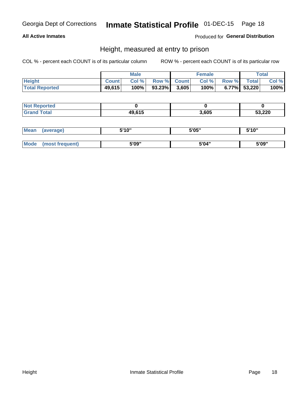#### Inmate Statistical Profile 01-DEC-15 Page 18

### **All Active Inmates**

### Produced for General Distribution

### Height, measured at entry to prison

COL % - percent each COUNT is of its particular column

|                       | <b>Male</b>  |       | <b>Female</b> |       |       | <b>Total</b> |              |       |
|-----------------------|--------------|-------|---------------|-------|-------|--------------|--------------|-------|
| <b>Height</b>         | <b>Count</b> | Col % | Row % Count   |       | Col % | Row %        | <b>Total</b> | Col % |
| <b>Total Reported</b> | 49,615       | 100%  | 93.23%        | 3,605 | 100%  |              | 6.77% 53,220 | 100%  |

| <b>Not Reported</b> |        |       |        |
|---------------------|--------|-------|--------|
| <b>Grand Total</b>  | 49,615 | 3,605 | 53,220 |

| <b>Mean</b> | (average)       | 5'10" | 5'05" | 5'10" |
|-------------|-----------------|-------|-------|-------|
|             |                 |       |       |       |
| <b>Mode</b> | (most frequent) | 5'09" | 5'04" | 5'09" |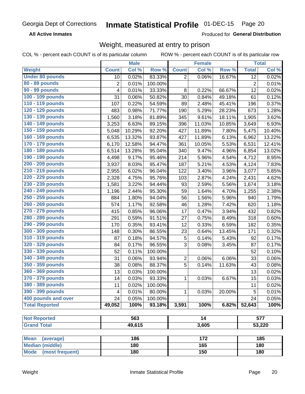#### Inmate Statistical Profile 01-DEC-15 Page 20

**All Active Inmates** 

Produced for General Distribution

### Weight, measured at entry to prison

COL % - percent each COUNT is of its particular column

|                                |                | <b>Male</b> |         |                | <b>Female</b>    |        |                | <b>Total</b> |
|--------------------------------|----------------|-------------|---------|----------------|------------------|--------|----------------|--------------|
| Weight                         | <b>Count</b>   | Col %       | Row %   | <b>Count</b>   | Col %            | Row %  | <b>Total</b>   | Col %        |
| <b>Under 80 pounds</b>         | 10             | 0.02%       | 83.33%  | $\overline{2}$ | 0.06%            | 16.67% | 12             | 0.02%        |
| 80 - 89 pounds                 | $\overline{c}$ | 0.01%       | 100.00% |                |                  |        | $\overline{2}$ | 0.01%        |
| 90 - 99 pounds                 | 4              | 0.01%       | 33.33%  | 8              | 0.22%            | 66.67% | 12             | 0.02%        |
| 100 - 109 pounds               | 31             | 0.06%       | 50.82%  | 30             | 0.84%            | 49.18% | 61             | 0.12%        |
| 110 - 119 pounds               | 107            | 0.22%       | 54.59%  | 89             | 2.48%            | 45.41% | 196            | 0.37%        |
| 120 - 129 pounds               | 483            | 0.98%       | 71.77%  | 190            | 5.29%            | 28.23% | 673            | 1.28%        |
| 130 - 139 pounds               | 1,560          | 3.18%       | 81.89%  | 345            | 9.61%            | 18.11% | 1,905          | 3.62%        |
| 140 - 149 pounds               | 3,253          | 6.63%       | 89.15%  | 396            | 11.03%           | 10.85% | 3,649          | 6.93%        |
| 150 - 159 pounds               | 5,048          | 10.29%      | 92.20%  | 427            | 11.89%           | 7.80%  | 5,475          | 10.40%       |
| 160 - 169 pounds               | 6,535          | 13.32%      | 93.87%  | 427            | 11.89%           | 6.13%  | 6,962          | 13.22%       |
| 170 - 179 pounds               | 6,170          | 12.58%      | 94.47%  | 361            | 10.05%           | 5.53%  | 6,531          | 12.41%       |
| 180 - 189 pounds               | 6,514          | 13.28%      | 95.04%  | 340            | 9.47%            | 4.96%  | 6,854          | 13.02%       |
| 190 - 199 pounds               | 4,498          | 9.17%       | 95.46%  | 214            | 5.96%            | 4.54%  | 4,712          | 8.95%        |
| 200 - 209 pounds               | 3,937          | 8.03%       | 95.47%  | 187            | 5.21%            | 4.53%  | 4,124          | 7.83%        |
| 210 - 219 pounds               | 2,955          | 6.02%       | 96.04%  | 122            | 3.40%            | 3.96%  | 3,077          | 5.85%        |
| 220 - 229 pounds               | 2,328          | 4.75%       | 95.76%  | 103            | 2.87%            | 4.24%  | 2,431          | 4.62%        |
| 230 - 239 pounds               | 1,581          | 3.22%       | 94.44%  | 93             | 2.59%            | 5.56%  | 1,674          | 3.18%        |
| 240 - 249 pounds               | 1,196          | 2.44%       | 95.30%  | 59             | 1.64%            | 4.70%  | 1,255          | 2.38%        |
| 250 - 259 pounds               | 884            | 1.80%       | 94.04%  | 56             | 1.56%            | 5.96%  | 940            | 1.79%        |
| 260 - 269 pounds               | 574            | 1.17%       | 92.58%  | 46             | 1.28%            | 7.42%  | 620            | 1.18%        |
| 270 - 279 pounds               | 415            | 0.85%       | 96.06%  | 17             | 0.47%            | 3.94%  | 432            | 0.82%        |
| 280 - 289 pounds               | 291            | 0.59%       | 91.51%  | 27             | 0.75%            | 8.49%  | 318            | 0.60%        |
| 290 - 299 pounds               | 170            | 0.35%       | 93.41%  | 12             | 0.33%            | 6.59%  | 182            | 0.35%        |
| 300 - 309 pounds               | 148            | 0.30%       | 86.55%  | 23             | 0.64%            | 13.45% | 171            | 0.32%        |
| 310 - 319 pounds               | 87             | 0.18%       | 94.57%  | 5              | 0.14%            | 5.43%  | 92             | 0.17%        |
| 320 - 329 pounds               | 84             | 0.17%       | 96.55%  | 3              | 0.08%            | 3.45%  | 87             | 0.17%        |
| 330 - 339 pounds               | 52             | 0.11%       | 100.00% |                |                  |        | 52             | 0.10%        |
| 340 - 349 pounds               | 31             | 0.06%       | 93.94%  | $\overline{2}$ | 0.06%            | 6.06%  | 33             | 0.06%        |
| 350 - 359 pounds               | 38             | 0.08%       | 88.37%  | 5              | 0.14%            | 11.63% | 43             | 0.08%        |
| 360 - 369 pounds               | 13             | 0.03%       | 100.00% |                |                  |        | 13             | 0.02%        |
| 370 - 379 pounds               | 14             | 0.03%       | 93.33%  | 1              | 0.03%            | 6.67%  | 15             | 0.03%        |
| 380 - 389 pounds               | 11             | 0.02%       | 100.00% |                |                  |        | 11             | 0.02%        |
| 390 - 399 pounds               | 4              | 0.01%       | 80.00%  | 1              | 0.03%            | 20.00% | 5              | 0.01%        |
| 400 pounds and over            | 24             | 0.05%       | 100.00% |                |                  |        | 24             | 0.05%        |
| <b>Total Reported</b>          | 49,052         | 100%        | 93.18%  | 3,591          | 100%             | 6.82%  | 52,643         | 100%         |
|                                |                |             |         |                |                  |        |                |              |
| <b>Not Reported</b>            |                | 563         |         |                | 14               |        |                | 577          |
| <b>Grand Total</b>             |                | 49,615      |         |                | 3,605            |        |                | 53,220       |
|                                |                |             |         |                |                  |        |                |              |
| <b>Mean</b><br>(average)       |                | 186         |         |                | $\overline{172}$ |        |                | 185          |
| <b>Median (middle)</b>         |                | 180         |         |                | 165              |        |                | 180          |
| <b>Mode</b><br>(most frequent) |                | 180         |         |                | 150              |        |                | 180          |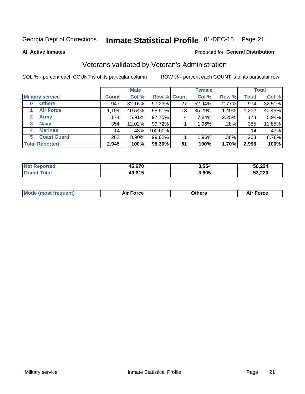#### **Inmate Statistical Profile 01-DEC-15** Page 21

**All Active Inmates** 

#### Produced for General Distribution

### Veterans validated by Veteran's Administration

COL % - percent each COUNT is of its particular column

|                         |              | <b>Male</b> |         |                    | <b>Female</b> |       |                 | <b>Total</b> |
|-------------------------|--------------|-------------|---------|--------------------|---------------|-------|-----------------|--------------|
| <b>Military service</b> | <b>Count</b> | Col %       |         | <b>Row % Count</b> | Col %         | Row % | <b>Total</b>    | Col %        |
| <b>Others</b><br>0      | 947          | 32.16%      | 97.23%  | 27                 | 52.94%        | 2.77% | 974             | 32.51%       |
| <b>Air Force</b>        | 1.194        | 40.54%      | 98.51%  | 18                 | 35.29%        | 1.49% | 1,212           | 40.45%       |
| 2<br><b>Army</b>        | 174          | 5.91%       | 97.75%  | 4                  | 7.84%         | 2.25% | 178             | 5.94%        |
| <b>Navy</b><br>3        | 354          | 12.02%      | 99.72%  |                    | 1.96%         | .28%  | 355             | 11.85%       |
| <b>Marines</b><br>4     | 14           | .48%        | 100.00% |                    |               |       | 14 <sub>1</sub> | .47%         |
| <b>Coast Guard</b><br>5 | 262          | 8.90%       | 99.62%  |                    | 1.96%         | .38%  | 263             | 8.78%        |
| <b>Total Reported</b>   | 2,945        | 100%        | 98.30%  | 51                 | 100%          | 1.70% | 2,996           | 100%         |

| <b>Not</b><br><b>Reported</b> | 46,670 | 3,554 | 50,224 |
|-------------------------------|--------|-------|--------|
| ⊺otal                         | 49,615 | 3,605 | 53,220 |

|  |  | <b>Mode (most frequent)</b> | <b>Force</b><br>Aır | วthers | orce |
|--|--|-----------------------------|---------------------|--------|------|
|--|--|-----------------------------|---------------------|--------|------|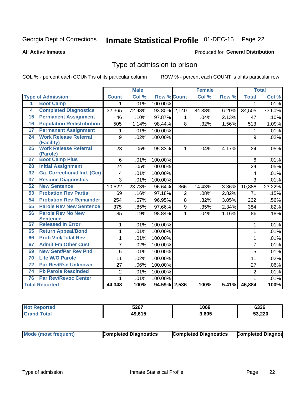#### **Inmate Statistical Profile 01-DEC-15** Page 22

#### **All Active Inmates**

### Produced for General Distribution

### Type of admission to prison

COL % - percent each COUNT is of its particular column

|                 |                                             |                | <b>Male</b> |                    |                | <b>Female</b> |       |                 | <b>Total</b> |
|-----------------|---------------------------------------------|----------------|-------------|--------------------|----------------|---------------|-------|-----------------|--------------|
|                 | <b>Type of Admission</b>                    | <b>Count</b>   | Col %       | <b>Row % Count</b> |                | Col %         | Row % | <b>Total</b>    | Col %        |
| 1               | <b>Boot Camp</b>                            | 1.             | .01%        | 100.00%            |                |               |       | 1               | .01%         |
| $\overline{4}$  | <b>Completed Diagnostics</b>                | 32,365         | 72.98%      | 93.80% 2,140       |                | 84.38%        | 6.20% | 34,505          | 73.60%       |
| 15              | <b>Permanent Assignment</b>                 | 46             | .10%        | 97.87%             | 1              | .04%          | 2.13% | 47              | .10%         |
| 16              | <b>Population Redistribution</b>            | 505            | 1.14%       | 98.44%             | 8              | .32%          | 1.56% | 513             | 1.09%        |
| 17              | <b>Permanent Assignment</b>                 | 1              | .01%        | 100.00%            |                |               |       | 1               | .01%         |
| 24              | <b>Work Release Referral</b><br>(Facility)  | 9              | .02%        | 100.00%            |                |               |       | $9\,$           | .02%         |
| 25              | <b>Work Release Referral</b>                | 23             | .05%        | 95.83%             | $\mathbf 1$    | .04%          | 4.17% | 24              | .05%         |
|                 | (Parole)                                    |                |             |                    |                |               |       |                 |              |
| 27              | <b>Boot Camp Plus</b>                       | 6              | .01%        | 100.00%            |                |               |       | $6\phantom{1}6$ | .01%         |
| 28              | <b>Initial Assignment</b>                   | 24             | .05%        | 100.00%            |                |               |       | 24              | .05%         |
| 32              | <b>Ga. Correctional Ind. (Gci)</b>          | 4              | .01%        | 100.00%            |                |               |       | 4               | .01%         |
| 37              | <b>Resume Diagnostics</b>                   | $\overline{3}$ | .01%        | 100.00%            |                |               |       | 3               | .01%         |
| 52              | <b>New Sentence</b>                         | 10,522         | 23.73%      | 96.64%             | 366            | 14.43%        | 3.36% | 10,888          | 23.22%       |
| 53              | <b>Probation Rev Partial</b>                | 69             | .16%        | 97.18%             | $\overline{2}$ | .08%          | 2.82% | 71              | .15%         |
| 54              | <b>Probation Rev Remainder</b>              | 254            | .57%        | 96.95%             | 8              | .32%          | 3.05% | 262             | .56%         |
| 55              | <b>Parole Rev New Sentence</b>              | 375            | .85%        | 97.66%             | 9              | .35%          | 2.34% | 384             | .82%         |
| 56              | <b>Parole Rev No New</b><br><b>Sentence</b> | 85             | .19%        | 98.84%             | $\mathbf{1}$   | .04%          | 1.16% | 86              | .18%         |
| 57              | <b>Released In Error</b>                    | 1              | .01%        | 100.00%            |                |               |       | 1               | .01%         |
| 65              | <b>Return Appeal/Bond</b>                   | $\mathbf{1}$   | .01%        | 100.00%            |                |               |       | $\mathbf{1}$    | .01%         |
| 66              | <b>Prob Viol/Total Rev</b>                  | $\mathbf{1}$   | .01%        | 100.00%            |                |               |       | $\mathbf{1}$    | .01%         |
| 67              | <b>Admit Fm Other Cust</b>                  | $\overline{7}$ | .02%        | 100.00%            |                |               |       | $\overline{7}$  | .01%         |
| 69              | <b>New Sent/Par Rev Pnd</b>                 | 5              | .01%        | 100.00%            |                |               |       | $\overline{5}$  | .01%         |
| 70              | <b>Life W/O Parole</b>                      | 11             | .02%        | 100.00%            |                |               |       | 11              | .02%         |
| $\overline{72}$ | <b>Par Rev/Rsn Unknown</b>                  | 27             | .06%        | 100.00%            |                |               |       | 27              | .06%         |
| 74              | <b>Pb Parole Rescinded</b>                  | $\overline{2}$ | .01%        | 100.00%            |                |               |       | $\overline{2}$  | .01%         |
| 76              | <b>Par Rev/Revoc Center</b>                 | $\mathbf{1}$   | .01%        | 100.00%            |                |               |       | $\mathbf{1}$    | .01%         |
|                 | <b>Total Reported</b>                       | 44,348         | 100%        | 94.59% 2,536       |                | 100%          | 5.41% | 46,884          | 100%         |

| <b>Not Reported</b> | 5267  | 1069  | 6336   |
|---------------------|-------|-------|--------|
| <i>i</i> otal       | 4961F | 3,605 | 53,220 |

| <b>Mode (most frequent)</b> | <b>Completed Diagnostics</b> | <b>Completed Diagnostics</b> | <b>Completed Diagnos</b> |
|-----------------------------|------------------------------|------------------------------|--------------------------|
|-----------------------------|------------------------------|------------------------------|--------------------------|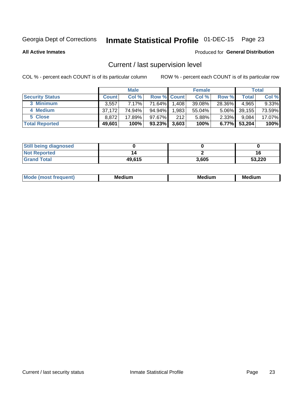# Inmate Statistical Profile 01-DEC-15 Page 23

**All Active Inmates** 

### Produced for General Distribution

### Current / last supervision level

COL % - percent each COUNT is of its particular column

|                        |              | <b>Male</b> |                    |       | <b>Female</b> |          |        | <b>Total</b> |
|------------------------|--------------|-------------|--------------------|-------|---------------|----------|--------|--------------|
| <b>Security Status</b> | <b>Count</b> | Col %       | <b>Row % Count</b> |       | Col %         | Row %    | Total  | Col %        |
| 3 Minimum              | 3,557        | 7.17%       | 71.64%             | 1,408 | 39.08%        | 28.36%   | 4,965  | $9.33\%$     |
| 4 Medium               | 37.172       | 74.94%      | 94.94%             | 1,983 | $55.04\%$     | $5.06\%$ | 39,155 | 73.59%       |
| 5 Close                | 8.872        | 17.89%      | 97.67%             | 212   | 5.88%         | $2.33\%$ | 9,084  | 17.07%       |
| <b>Total Reported</b>  | 49,601       | 100%        | 93.23%             | 3,603 | 100%          | $6.77\%$ | 53,204 | 100%         |

| <b>Still being diagnosed</b> |        |       |        |
|------------------------------|--------|-------|--------|
| <b>Not Reported</b>          |        |       |        |
| <b>Grand Total</b>           | 49,615 | 3,605 | 53,220 |

| M | M | . . |
|---|---|-----|
|   |   |     |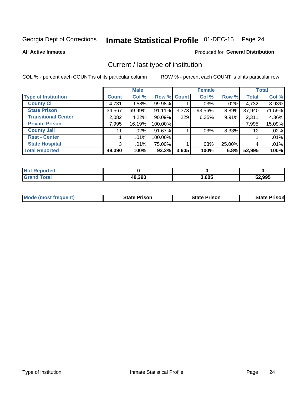# Inmate Statistical Profile 01-DEC-15 Page 24

**All Active Inmates** 

### Produced for General Distribution

### Current / last type of institution

COL % - percent each COUNT is of its particular column

|                            |                | <b>Male</b> |             |       | <b>Female</b> |        |              | <b>Total</b> |
|----------------------------|----------------|-------------|-------------|-------|---------------|--------|--------------|--------------|
| <b>Type of Institution</b> | <b>Count</b>   | Col %       | Row % Count |       | Col %         | Row %  | <b>Total</b> | Col %        |
| <b>County Ci</b>           | 4,731          | 9.58%       | 99.98%      |       | $.03\%$       | .02%   | 4,732        | 8.93%        |
| <b>State Prison</b>        | 34,567         | 69.99%      | 91.11%      | 3,373 | 93.56%        | 8.89%  | 37,940       | 71.59%       |
| <b>Transitional Center</b> | 2,082          | 4.22%       | 90.09%      | 229   | 6.35%         | 9.91%  | 2,311        | 4.36%        |
| <b>Private Prison</b>      | 7,995          | 16.19%      | 100.00%     |       |               |        | 7,995        | 15.09%       |
| <b>County Jail</b>         | 11             | .02%        | 91.67%      |       | .03%          | 8.33%  | 12           | .02%         |
| <b>Rsat - Center</b>       |                | .01%        | 100.00%     |       |               |        |              | .01%         |
| <b>State Hospital</b>      | 3 <sup>1</sup> | $.01\%$     | 75.00%      |       | .03%          | 25.00% | 4            | .01%         |
| <b>Total Reported</b>      | 49,390         | 100%        | 93.2%       | 3,605 | 100%          | 6.8%   | 52,995       | 100%         |

| oorted<br>NOT |        |       |        |
|---------------|--------|-------|--------|
| <b>otal</b>   | 49,390 | 3,605 | 52,995 |

| <b>Mode (most frequent)</b> | <b>State Prison</b> | <b>State Prison</b> | <b>State Prison</b> |
|-----------------------------|---------------------|---------------------|---------------------|
|                             |                     |                     |                     |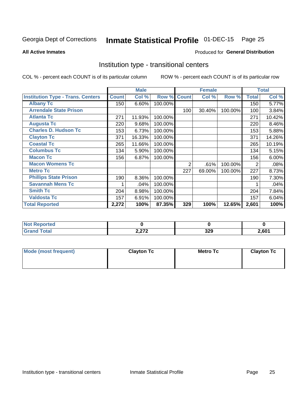# Inmate Statistical Profile 01-DEC-15 Page 25

#### **All Active Inmates**

### **Produced for General Distribution**

### Institution type - transitional centers

COL % - percent each COUNT is of its particular column

|                                          |              | <b>Male</b> |         |              | <b>Female</b> |         |              | <b>Total</b> |
|------------------------------------------|--------------|-------------|---------|--------------|---------------|---------|--------------|--------------|
| <b>Institution Type - Trans. Centers</b> | <b>Count</b> | Col %       | Row %   | <b>Count</b> | Col %         | Row %   | <b>Total</b> | Col %        |
| <b>Albany Tc</b>                         | 150          | 6.60%       | 100.00% |              |               |         | 150          | 5.77%        |
| <b>Arrendale State Prison</b>            |              |             |         | 100          | 30.40%        | 100.00% | 100          | 3.84%        |
| <b>Atlanta Tc</b>                        | 271          | 11.93%      | 100.00% |              |               |         | 271          | 10.42%       |
| <b>Augusta Tc</b>                        | 220          | 9.68%       | 100.00% |              |               |         | 220          | 8.46%        |
| <b>Charles D. Hudson Tc</b>              | 153          | 6.73%       | 100.00% |              |               |         | 153          | 5.88%        |
| <b>Clayton Tc</b>                        | 371          | 16.33%      | 100.00% |              |               |         | 371          | 14.26%       |
| <b>Coastal Tc</b>                        | 265          | 11.66%      | 100.00% |              |               |         | 265          | 10.19%       |
| <b>Columbus Tc</b>                       | 134          | 5.90%       | 100.00% |              |               |         | 134          | 5.15%        |
| <b>Macon Tc</b>                          | 156          | 6.87%       | 100.00% |              |               |         | 156          | 6.00%        |
| <b>Macon Womens Tc</b>                   |              |             |         | 2            | .61%          | 100.00% | 2            | .08%         |
| <b>Metro Tc</b>                          |              |             |         | 227          | 69.00%        | 100.00% | 227          | 8.73%        |
| <b>Phillips State Prison</b>             | 190          | 8.36%       | 100.00% |              |               |         | 190          | 7.30%        |
| <b>Savannah Mens Tc</b>                  |              | .04%        | 100.00% |              |               |         |              | .04%         |
| <b>Smith Tc</b>                          | 204          | 8.98%       | 100.00% |              |               |         | 204          | 7.84%        |
| <b>Valdosta Tc</b>                       | 157          | 6.91%       | 100.00% |              |               |         | 157          | 6.04%        |
| <b>Total Reported</b>                    | 2,272        | 100%        | 87.35%  | 329          | 100%          | 12.65%  | 2,601        | 100%         |

| τeα |                 |                   |       |
|-----|-----------------|-------------------|-------|
|     | מדה ה<br>4,41 L | <b>200</b><br>┚┻┙ | 2.601 |

| Mode (most frequent) | <b>Clayton Tc</b> | <b>Metro Tc</b> | <b>Clayton Tc</b> |
|----------------------|-------------------|-----------------|-------------------|
|                      |                   |                 |                   |
|                      |                   |                 |                   |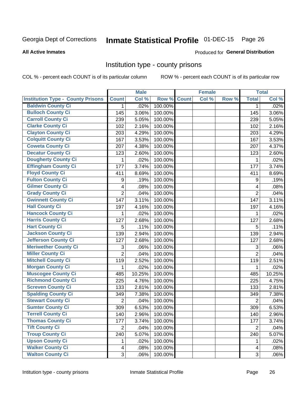# Inmate Statistical Profile 01-DEC-15 Page 26

#### **All Active Inmates**

#### Produced for General Distribution

### Institution type - county prisons

COL % - percent each COUNT is of its particular column

|                                          |                           | <b>Male</b> |         |              | <b>Female</b> |       |                  | <b>Total</b> |
|------------------------------------------|---------------------------|-------------|---------|--------------|---------------|-------|------------------|--------------|
| <b>Institution Type - County Prisons</b> | <b>Count</b>              | Col %       | Row %   | <b>Count</b> | Col %         | Row % | <b>Total</b>     | Col %        |
| <b>Baldwin County Ci</b>                 | $\mathbf{1}$              | .02%        | 100.00% |              |               |       | $\mathbf 1$      | .02%         |
| <b>Bulloch County Ci</b>                 | 145                       | 3.06%       | 100.00% |              |               |       | 145              | 3.06%        |
| <b>Carroll County Ci</b>                 | 239                       | 5.05%       | 100.00% |              |               |       | 239              | 5.05%        |
| <b>Clarke County Ci</b>                  | 102                       | 2.16%       | 100.00% |              |               |       | 102              | 2.16%        |
| <b>Clayton County Ci</b>                 | 203                       | 4.29%       | 100.00% |              |               |       | 203              | 4.29%        |
| <b>Colquitt County Ci</b>                | 167                       | 3.53%       | 100.00% |              |               |       | 167              | 3.53%        |
| <b>Coweta County Ci</b>                  | 207                       | 4.38%       | 100.00% |              |               |       | 207              | 4.37%        |
| <b>Decatur County Ci</b>                 | 123                       | 2.60%       | 100.00% |              |               |       | 123              | 2.60%        |
| <b>Dougherty County Ci</b>               | 1                         | .02%        | 100.00% |              |               |       | 1                | .02%         |
| <b>Effingham County Ci</b>               | 177                       | 3.74%       | 100.00% |              |               |       | 177              | 3.74%        |
| <b>Floyd County Ci</b>                   | 411                       | 8.69%       | 100.00% |              |               |       | 411              | 8.69%        |
| <b>Fulton County Ci</b>                  | 9                         | .19%        | 100.00% |              |               |       | $\boldsymbol{9}$ | .19%         |
| <b>Gilmer County Ci</b>                  | $\overline{\mathbf{4}}$   | .08%        | 100.00% |              |               |       | 4                | .08%         |
| <b>Grady County Ci</b>                   | $\overline{c}$            | .04%        | 100.00% |              |               |       | $\overline{2}$   | .04%         |
| <b>Gwinnett County Ci</b>                | 147                       | 3.11%       | 100.00% |              |               |       | 147              | 3.11%        |
| <b>Hall County Ci</b>                    | 197                       | 4.16%       | 100.00% |              |               |       | 197              | 4.16%        |
| <b>Hancock County Ci</b>                 | 1                         | .02%        | 100.00% |              |               |       | 1                | .02%         |
| <b>Harris County Ci</b>                  | 127                       | 2.68%       | 100.00% |              |               |       | 127              | 2.68%        |
| <b>Hart County Ci</b>                    | 5                         | .11%        | 100.00% |              |               |       | 5                | .11%         |
| <b>Jackson County Ci</b>                 | 139                       | 2.94%       | 100.00% |              |               |       | 139              | 2.94%        |
| <b>Jefferson County Ci</b>               | 127                       | 2.68%       | 100.00% |              |               |       | 127              | 2.68%        |
| <b>Meriwether County Ci</b>              | $\ensuremath{\mathsf{3}}$ | .06%        | 100.00% |              |               |       | 3                | .06%         |
| <b>Miller County Ci</b>                  | $\overline{2}$            | .04%        | 100.00% |              |               |       | $\overline{2}$   | .04%         |
| <b>Mitchell County Ci</b>                | 119                       | 2.52%       | 100.00% |              |               |       | 119              | 2.51%        |
| <b>Morgan County Ci</b>                  | 1                         | .02%        | 100.00% |              |               |       | 1                | .02%         |
| <b>Muscogee County Ci</b>                | 485                       | 10.25%      | 100.00% |              |               |       | 485              | 10.25%       |
| <b>Richmond County Ci</b>                | 225                       | 4.76%       | 100.00% |              |               |       | 225              | 4.75%        |
| <b>Screven County Ci</b>                 | 133                       | 2.81%       | 100.00% |              |               |       | 133              | 2.81%        |
| <b>Spalding County Ci</b>                | 349                       | 7.38%       | 100.00% |              |               |       | 349              | 7.38%        |
| <b>Stewart County Ci</b>                 | $\overline{2}$            | .04%        | 100.00% |              |               |       | $\overline{2}$   | .04%         |
| <b>Sumter County Ci</b>                  | 309                       | 6.53%       | 100.00% |              |               |       | 309              | 6.53%        |
| <b>Terrell County Ci</b>                 | 140                       | 2.96%       | 100.00% |              |               |       | 140              | 2.96%        |
| <b>Thomas County Ci</b>                  | 177                       | 3.74%       | 100.00% |              |               |       | 177              | 3.74%        |
| <b>Tift County Ci</b>                    | $\overline{2}$            | .04%        | 100.00% |              |               |       | $\overline{2}$   | .04%         |
| <b>Troup County Ci</b>                   | 240                       | 5.07%       | 100.00% |              |               |       | 240              | 5.07%        |
| <b>Upson County Ci</b>                   | 1                         | .02%        | 100.00% |              |               |       | 1                | .02%         |
| <b>Walker County Ci</b>                  | $\overline{4}$            | .08%        | 100.00% |              |               |       | 4                | .08%         |
| <b>Walton County Ci</b>                  | 3                         | .06%        | 100.00% |              |               |       | 3                | .06%         |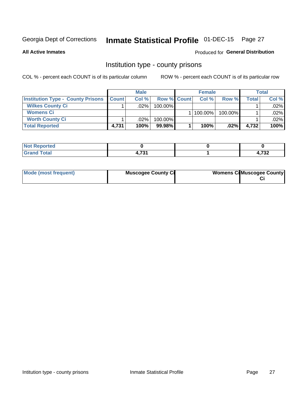# Inmate Statistical Profile 01-DEC-15 Page 27

**All Active Inmates** 

### Produced for General Distribution

### Institution type - county prisons

COL % - percent each COUNT is of its particular column

|                                          |              | <b>Male</b> |                    | <b>Female</b> |         |       | <b>Total</b> |
|------------------------------------------|--------------|-------------|--------------------|---------------|---------|-------|--------------|
| <b>Institution Type - County Prisons</b> | <b>Count</b> | Col%        | <b>Row % Count</b> | Col%          | Row %   | Total | Col %        |
| <b>Wilkes County Ci</b>                  |              | .02%        | 100.00%            |               |         |       | $.02\%$      |
| <b>Womens Ci</b>                         |              |             |                    | 100.00%       | 100.00% |       | .02%         |
| <b>Worth County Ci</b>                   |              | $.02\%$     | 100.00%            |               |         |       | $.02\%$      |
| <b>Total Reported</b>                    | 4,731        | 100%        | $99.98\%$          | 100%          | .02%    | 4,732 | 100%         |

| いこし                                |     |                     |
|------------------------------------|-----|---------------------|
| $\sim$ $\sim$ $\sim$ $\sim$ $\sim$ | 704 | $\sim$ $\sim$<br>◡▵ |

| Mode (most frequent) | <b>Muscogee County Ci</b> | <b>Womens CilMuscogee County</b> |
|----------------------|---------------------------|----------------------------------|
|----------------------|---------------------------|----------------------------------|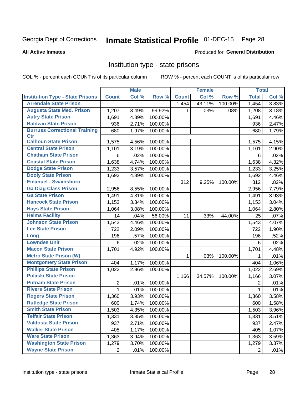# Inmate Statistical Profile 01-DEC-15 Page 28

#### **All Active Inmates**

### Produced for General Distribution

### Institution type - state prisons

COL % - percent each COUNT is of its particular column

|                                         |              | <b>Male</b> |         |              | <b>Female</b> |         | <b>Total</b>   |       |
|-----------------------------------------|--------------|-------------|---------|--------------|---------------|---------|----------------|-------|
| <b>Institution Type - State Prisons</b> | <b>Count</b> | Col %       | Row %   | <b>Count</b> | Col %         | Row %   | <b>Total</b>   | Col % |
| <b>Arrendale State Prison</b>           |              |             |         | 1,454        | 43.11%        | 100.00% | 1,454          | 3.83% |
| <b>Augusta State Med. Prison</b>        | 1,207        | 3.49%       | 99.92%  | 1.           | .03%          | .08%    | 1,208          | 3.18% |
| <b>Autry State Prison</b>               | 1,691        | 4.89%       | 100.00% |              |               |         | 1,691          | 4.46% |
| <b>Baldwin State Prison</b>             | 936          | 2.71%       | 100.00% |              |               |         | 936            | 2.47% |
| <b>Burruss Correctional Training</b>    | 680          | 1.97%       | 100.00% |              |               |         | 680            | 1.79% |
| <b>Ctr</b>                              |              |             |         |              |               |         |                |       |
| <b>Calhoun State Prison</b>             | 1,575        | 4.56%       | 100.00% |              |               |         | 1,575          | 4.15% |
| <b>Central State Prison</b>             | 1,101        | 3.19%       | 100.00% |              |               |         | 1,101          | 2.90% |
| <b>Chatham State Prison</b>             | 6            | .02%        | 100.00% |              |               |         | 6              | .02%  |
| <b>Coastal State Prison</b>             | 1,638        | 4.74%       | 100.00% |              |               |         | 1,638          | 4.32% |
| <b>Dodge State Prison</b>               | 1,233        | 3.57%       | 100.00% |              |               |         | 1,233          | 3.25% |
| <b>Dooly State Prison</b>               | 1,692        | 4.89%       | 100.00% |              |               |         | 1,692          | 4.46% |
| <b>Emanuel - Swainsboro</b>             |              |             |         | 312          | 9.25%         | 100.00% | 312            | .82%  |
| <b>Ga Diag Class Prison</b>             | 2,956        | 8.55%       | 100.00% |              |               |         | 2,956          | 7.79% |
| <b>Ga State Prison</b>                  | 1,491        | 4.31%       | 100.00% |              |               |         | 1,491          | 3.93% |
| <b>Hancock State Prison</b>             | 1,153        | 3.34%       | 100.00% |              |               |         | 1,153          | 3.04% |
| <b>Hays State Prison</b>                | 1,064        | 3.08%       | 100.00% |              |               |         | 1,064          | 2.80% |
| <b>Helms Facility</b>                   | 14           | .04%        | 56.00%  | 11           | .33%          | 44.00%  | 25             | .07%  |
| <b>Johnson State Prison</b>             | 1,543        | 4.46%       | 100.00% |              |               |         | 1,543          | 4.07% |
| <b>Lee State Prison</b>                 | 722          | 2.09%       | 100.00% |              |               |         | 722            | 1.90% |
| Long                                    | 196          | .57%        | 100.00% |              |               |         | 196            | .52%  |
| <b>Lowndes Unit</b>                     | 6            | .02%        | 100.00% |              |               |         | 6              | .02%  |
| <b>Macon State Prison</b>               | 1,701        | 4.92%       | 100.00% |              |               |         | 1,701          | 4.48% |
| <b>Metro State Prison (W)</b>           |              |             |         | 1            | .03%          | 100.00% | 1              | .01%  |
| <b>Montgomery State Prison</b>          | 404          | 1.17%       | 100.00% |              |               |         | 404            | 1.06% |
| <b>Phillips State Prison</b>            | 1,022        | 2.96%       | 100.00% |              |               |         | 1,022          | 2.69% |
| <b>Pulaski State Prison</b>             |              |             |         | 1,166        | 34.57%        | 100.00% | 1,166          | 3.07% |
| <b>Putnam State Prison</b>              | 2            | .01%        | 100.00% |              |               |         | 2              | .01%  |
| <b>Rivers State Prison</b>              | 1            | .01%        | 100.00% |              |               |         | 1              | .01%  |
| <b>Rogers State Prison</b>              | 1,360        | 3.93%       | 100.00% |              |               |         | 1,360          | 3.58% |
| <b>Rutledge State Prison</b>            | 600          | 1.74%       | 100.00% |              |               |         | 600            | 1.58% |
| <b>Smith State Prison</b>               | 1,503        | 4.35%       | 100.00% |              |               |         | 1,503          | 3.96% |
| <b>Telfair State Prison</b>             | 1,331        | 3.85%       | 100.00% |              |               |         | 1,331          | 3.51% |
| <b>Valdosta State Prison</b>            | 937          | 2.71%       | 100.00% |              |               |         | 937            | 2.47% |
| <b>Walker State Prison</b>              | 405          | 1.17%       | 100.00% |              |               |         | 405            | 1.07% |
| <b>Ware State Prison</b>                | 1,363        | 3.94%       | 100.00% |              |               |         | 1,363          | 3.59% |
| <b>Washington State Prison</b>          | 1,279        | 3.70%       | 100.00% |              |               |         | 1,279          | 3.37% |
| <b>Wayne State Prison</b>               | 2            | .01%        | 100.00% |              |               |         | $\overline{2}$ | .01%  |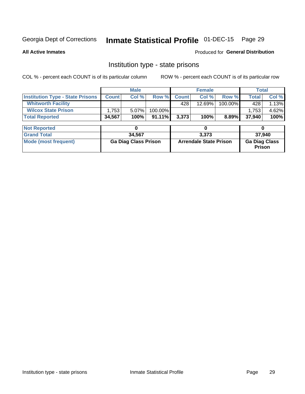# Inmate Statistical Profile 01-DEC-15 Page 29

**All Active Inmates** 

Produced for General Distribution

### Institution type - state prisons

COL % - percent each COUNT is of its particular column

|                                         |                             | <b>Male</b> |                               | <b>Female</b> |        |                                       | <b>Total</b> |       |
|-----------------------------------------|-----------------------------|-------------|-------------------------------|---------------|--------|---------------------------------------|--------------|-------|
| <b>Institution Type - State Prisons</b> | <b>Count</b>                | Col %       | Row %                         | <b>Count</b>  | Col %  | Row %                                 | <b>Total</b> | Col % |
| <b>Whitworth Facility</b>               |                             |             |                               | 428           | 12.69% | 100.00%                               | 428          | 1.13% |
| <b>Wilcox State Prison</b>              | 1,753                       | 5.07%       | 100.00%                       |               |        |                                       | 1,753        | 4.62% |
| <b>Total Reported</b>                   | 34,567                      | 100%        | 91.11%                        | 3,373         | 100%   | 8.89%                                 | 37,940       | 100%  |
|                                         |                             |             |                               |               |        |                                       |              |       |
| <b>Not Reported</b>                     |                             | 0           |                               |               | 0      |                                       | 0            |       |
| <b>Grand Total</b>                      |                             | 34,567      |                               | 3,373         |        |                                       | 37,940       |       |
| <b>Mode (most frequent)</b>             | <b>Ga Diag Class Prison</b> |             | <b>Arrendale State Prison</b> |               |        | <b>Ga Diag Class</b><br><b>Prison</b> |              |       |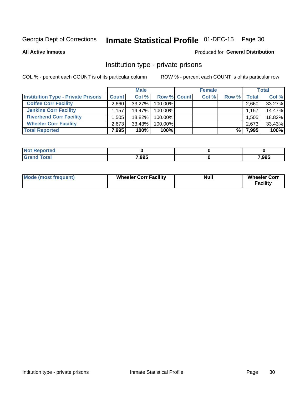# Inmate Statistical Profile 01-DEC-15 Page 30

Produced for General Distribution

#### **All Active Inmates**

### Institution type - private prisons

COL % - percent each COUNT is of its particular column

|                                           |              | <b>Male</b> |             | <b>Female</b> |       |              | <b>Total</b> |
|-------------------------------------------|--------------|-------------|-------------|---------------|-------|--------------|--------------|
| <b>Institution Type - Private Prisons</b> | <b>Count</b> | Col %       | Row % Count | Col %         | Row % | <b>Total</b> | Col %        |
| <b>Coffee Corr Facility</b>               | 2.660        | 33.27%      | 100.00%     |               |       | 2,660        | 33.27%       |
| <b>Jenkins Corr Facility</b>              | 1.157        | $14.47\%$   | 100.00%     |               |       | 1,157        | 14.47%       |
| <b>Riverbend Corr Facility</b>            | ا 505. ا     | 18.82%      | 100.00%     |               |       | 1,505        | 18.82%       |
| <b>Wheeler Corr Facility</b>              | 2,673        | 33.43%      | 100.00%     |               |       | 2,673        | 33.43%       |
| <b>Total Reported</b>                     | 7,995        | 100%        | $100\%$     |               | %     | 7,995        | 100%         |

| ported<br><b>NOT</b> |       |       |
|----------------------|-------|-------|
| $\sim$ $\sim$ $\sim$ | 7,995 | 7,995 |

| <b>Mode (most frequent)</b> | <b>Wheeler Corr Facility</b> | <b>Null</b> | <b>Wheeler Corr</b><br><b>Facility</b> |
|-----------------------------|------------------------------|-------------|----------------------------------------|
|-----------------------------|------------------------------|-------------|----------------------------------------|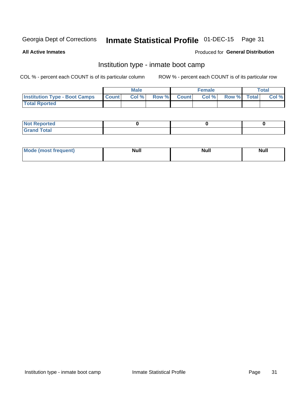#### **Inmate Statistical Profile 01-DEC-15** Page 31

**All Active Inmates** 

### **Produced for General Distribution**

### Institution type - inmate boot camp

COL % - percent each COUNT is of its particular column

|                                      |              | <b>Male</b> |               |              | <b>Female</b> |             | <b>Total</b> |
|--------------------------------------|--------------|-------------|---------------|--------------|---------------|-------------|--------------|
| <b>Institution Type - Boot Camps</b> | <b>Count</b> | Col %       | <b>Row %I</b> | <b>Count</b> | Col %         | Row % Total | Col %        |
| <b>Total Rported</b>                 |              |             |               |              |               |             |              |

| <b>Not Reported</b>            |  |  |
|--------------------------------|--|--|
| <b>Total</b><br>C <sub>r</sub> |  |  |

| Mod<br>uamo | Nul.<br>$- - - - - -$ | <b>Null</b> | . .<br>uu.<br>------ |
|-------------|-----------------------|-------------|----------------------|
|             |                       |             |                      |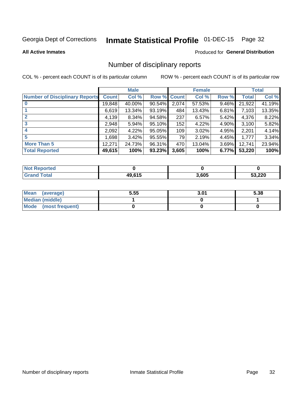# Inmate Statistical Profile 01-DEC-15 Page 32

#### **All Active Inmates**

### Produced for General Distribution

### Number of disciplinary reports

COL % - percent each COUNT is of its particular column

|                                       |              | <b>Male</b> |        |       | <b>Female</b> |          |              | <b>Total</b> |
|---------------------------------------|--------------|-------------|--------|-------|---------------|----------|--------------|--------------|
| <b>Number of Disciplinary Reports</b> | <b>Count</b> | Col %       | Row %  | Count | Col %         | Row %    | <b>Total</b> | Col %        |
| $\bf{0}$                              | 19,848       | 40.00%      | 90.54% | 2,074 | 57.53%        | 9.46%    | 21,922       | 41.19%       |
|                                       | 6,619        | 13.34%      | 93.19% | 484   | 13.43%        | 6.81%    | 7,103        | 13.35%       |
| $\overline{2}$                        | 4,139        | $8.34\%$    | 94.58% | 237   | 6.57%         | $5.42\%$ | 4,376        | 8.22%        |
| 3                                     | 2,948        | 5.94%       | 95.10% | 152   | 4.22%         | $4.90\%$ | 3,100        | 5.82%        |
| 4                                     | 2,092        | 4.22%       | 95.05% | 109   | 3.02%         | 4.95%    | 2,201        | 4.14%        |
| 5                                     | 1,698        | $3.42\%$    | 95.55% | 79    | 2.19%         | 4.45%    | 1,777        | 3.34%        |
| <b>More Than 5</b>                    | 12,271       | 24.73%      | 96.31% | 470   | 13.04%        | 3.69%    | 12,741       | 23.94%       |
| <b>Total Reported</b>                 | 49,615       | 100%        | 93.23% | 3,605 | 100%          | 6.77%    | 53,220       | 100%         |

| <b>Not Reported</b> |                      |       |        |
|---------------------|----------------------|-------|--------|
| <b>Total</b>        | IN 64 E<br>AO.<br>13 | 3,605 | 53,220 |

| Mean (average)       | 5.55 | 3.01 | 5.38 |
|----------------------|------|------|------|
| Median (middle)      |      |      |      |
| Mode (most frequent) |      |      |      |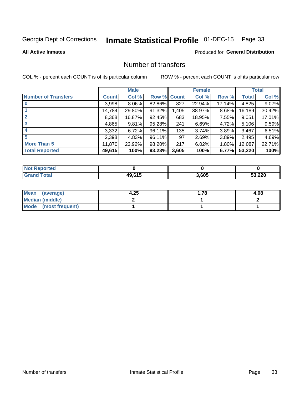# Inmate Statistical Profile 01-DEC-15 Page 33

### **All Active Inmates**

### **Produced for General Distribution**

### Number of transfers

COL % - percent each COUNT is of its particular column

|                            |         | <b>Male</b> |             |       | <b>Female</b> |           |        | <b>Total</b> |
|----------------------------|---------|-------------|-------------|-------|---------------|-----------|--------|--------------|
| <b>Number of Transfers</b> | Count l | Col %       | Row % Count |       | Col %         | Row %     | Total  | Col %        |
|                            | 3,998   | $8.06\%$    | 82.86%      | 827   | 22.94%        | $17.14\%$ | 4,825  | 9.07%        |
|                            | 14,784  | 29.80%      | 91.32%      | 1,405 | 38.97%        | 8.68%     | 16,189 | 30.42%       |
|                            | 8,368   | 16.87%      | 92.45%      | 683   | 18.95%        | 7.55%     | 9,051  | 17.01%       |
| 3                          | 4,865   | 9.81%       | 95.28%      | 241   | 6.69%         | 4.72%     | 5,106  | 9.59%        |
|                            | 3,332   | 6.72%       | 96.11%      | 135   | 3.74%         | 3.89%     | 3,467  | 6.51%        |
| 5                          | 2,398   | 4.83%       | 96.11%      | 97    | 2.69%         | $3.89\%$  | 2,495  | 4.69%        |
| <b>More Than 5</b>         | 11,870  | 23.92%      | 98.20%      | 217   | 6.02%         | $1.80\%$  | 12,087 | 22.71%       |
| <b>Total Reported</b>      | 49,615  | 100%        | 93.23%      | 3,605 | 100%          | 6.77%     | 53,220 | 100%         |

| <b>Not Reported</b> |                      |       |        |
|---------------------|----------------------|-------|--------|
| <b>Total</b>        | IN 64 E<br>AO.<br>13 | 3,605 | 53,220 |

| Mean (average)         | 4.25 | 1.78 | 4.08 |
|------------------------|------|------|------|
| <b>Median (middle)</b> |      |      |      |
| Mode (most frequent)   |      |      |      |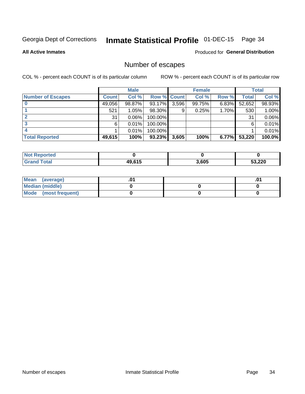# Inmate Statistical Profile 01-DEC-15 Page 34

**All Active Inmates** 

**Produced for General Distribution** 

### Number of escapes

COL % - percent each COUNT is of its particular column

|                          |              | <b>Male</b> |                    |       | <b>Female</b> |          |        | <b>Total</b> |
|--------------------------|--------------|-------------|--------------------|-------|---------------|----------|--------|--------------|
| <b>Number of Escapes</b> | <b>Count</b> | Col %       | <b>Row % Count</b> |       | Col %         | Row %    | Total  | Col %        |
|                          | 49,056       | 98.87%      | 93.17%             | 3,596 | 99.75%        | $6.83\%$ | 52,652 | 98.93%       |
|                          | 521          | 1.05%       | 98.30%             | 9     | 0.25%         | 1.70%    | 530    | 1.00%        |
|                          | 31           | 0.06%       | 100.00%            |       |               |          | 31     | 0.06%        |
|                          | 6            | 0.01%       | $100.00\%$         |       |               |          | 6      | 0.01%        |
|                          |              | 0.01%       | 100.00%            |       |               |          |        | 0.01%        |
| <b>Total Reported</b>    | 49,615       | 100%        | 93.23%             | 3,605 | 100%          | $6.77\%$ | 53,220 | 100.0%       |

| <b>Not Reported</b> |        |       |        |
|---------------------|--------|-------|--------|
| <b>Grand Total</b>  | 49,615 | 3,605 | 53,220 |

| Mean<br>(average)    |  | .0 |
|----------------------|--|----|
| Median (middle)      |  |    |
| Mode (most frequent) |  |    |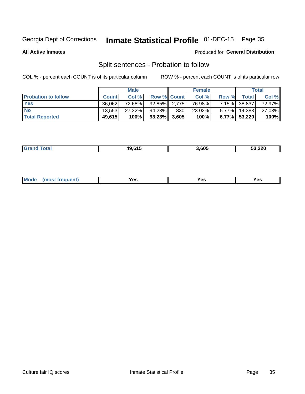# Inmate Statistical Profile 01-DEC-15 Page 35

**All Active Inmates** 

### Produced for General Distribution

### Split sentences - Probation to follow

COL % - percent each COUNT is of its particular column

|                            |              | <b>Male</b> |                    |     | <b>Female</b> |          |              | <b>Total</b> |
|----------------------------|--------------|-------------|--------------------|-----|---------------|----------|--------------|--------------|
| <b>Probation to follow</b> | <b>Count</b> | Col%        | <b>Row % Count</b> |     | Col %         | Row %    | Total        | Col %        |
| <b>Yes</b>                 | 36.062       | 72.68%      | $92.85\%$ 2.775    |     | 76.98%        |          | 7.15% 38,837 | 72.97%       |
| <b>No</b>                  | 13.553       | 27.32%      | 94.23%             | 830 | 23.02%        | $5.77\%$ | 14,383       | 27.03%       |
| <b>Total Reported</b>      | 49,615       | 100%        | $93.23\%$ 3,605    |     | 100%          |          | 6.77% 53,220 | 100%         |

|  | $\mathbf{f}$ | $\overline{A}$ | 3.605 | 53,220 |
|--|--------------|----------------|-------|--------|
|--|--------------|----------------|-------|--------|

| M<br>reauent)<br>/٥<br>$\sim$<br>v.,<br>.<br>w<br>$\cdot$ - $\cdot$ |  |  |  |  |  |
|---------------------------------------------------------------------|--|--|--|--|--|
|---------------------------------------------------------------------|--|--|--|--|--|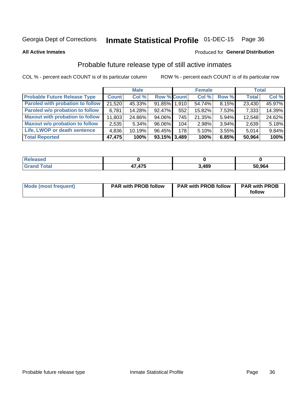# Inmate Statistical Profile 01-DEC-15 Page 36

**All Active Inmates** 

#### Produced for General Distribution

### Probable future release type of still active inmates

COL % - percent each COUNT is of its particular column

|                                        |              | <b>Male</b> |                    |       | <b>Female</b> |       | <b>Total</b> |        |
|----------------------------------------|--------------|-------------|--------------------|-------|---------------|-------|--------------|--------|
| <b>Probable Future Release Type</b>    | <b>Count</b> | Col %       | <b>Row % Count</b> |       | Col %         | Row % | <b>Total</b> | Col %  |
| Paroled with probation to follow       | 21,520       | 45.33%      | 91.85% 1.910       |       | 54.74%        | 8.15% | 23,430       | 45.97% |
| Paroled w/o probation to follow        | 6,781        | 14.28%      | 92.47%             | 552   | 15.82%        | 7.53% | 7,333        | 14.39% |
| <b>Maxout with probation to follow</b> | 11,803       | 24.86%      | 94.06%             | 745 l | 21.35%        | 5.94% | 12,548       | 24.62% |
| <b>Maxout w/o probation to follow</b>  | 2,535        | 5.34%       | 96.06%             | 104   | 2.98%         | 3.94% | 2,639        | 5.18%  |
| Life, LWOP or death sentence           | 4,836        | 10.19%      | 96.45%             | 178   | 5.10%         | 3.55% | 5,014        | 9.84%  |
| <b>Total Reported</b>                  | 47,475       | 100%        | $93.15\%$ 3,489    |       | 100%          | 6.85% | 50,964       | 100%   |

| eleased     |     |                     |        |
|-------------|-----|---------------------|--------|
| <b>otal</b> | 47F | <b>3 180</b><br>40J | 50.964 |

| Mode (most frequent) | <b>PAR with PROB follow</b> | <b>PAR with PROB follow</b> | <b>PAR with PROB</b><br>follow |
|----------------------|-----------------------------|-----------------------------|--------------------------------|
|                      |                             |                             |                                |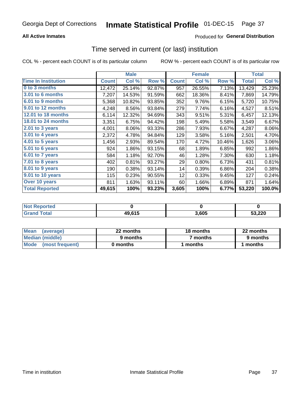# Inmate Statistical Profile 01-DEC-15 Page 37

### **All Active Inmates**

### **Produced for General Distribution**

### Time served in current (or last) institution

COL % - percent each COUNT is of its particular column

|                            |              | <b>Male</b> |        |              | <b>Female</b> |        |              | <b>Total</b> |
|----------------------------|--------------|-------------|--------|--------------|---------------|--------|--------------|--------------|
| <b>Time In Institution</b> | <b>Count</b> | Col %       | Row %  | <b>Count</b> | Col %         | Row %  | <b>Total</b> | Col %        |
| 0 to 3 months              | 12,472       | 25.14%      | 92.87% | 957          | 26.55%        | 7.13%  | 13,429       | 25.23%       |
| 3.01 to 6 months           | 7,207        | 14.53%      | 91.59% | 662          | 18.36%        | 8.41%  | 7,869        | 14.79%       |
| 6.01 to 9 months           | 5,368        | 10.82%      | 93.85% | 352          | 9.76%         | 6.15%  | 5,720        | 10.75%       |
| 9.01 to 12 months          | 4,248        | 8.56%       | 93.84% | 279          | 7.74%         | 6.16%  | 4,527        | 8.51%        |
| <b>12.01 to 18 months</b>  | 6,114        | 12.32%      | 94.69% | 343          | 9.51%         | 5.31%  | 6,457        | 12.13%       |
| <b>18.01 to 24 months</b>  | 3,351        | 6.75%       | 94.42% | 198          | 5.49%         | 5.58%  | 3,549        | 6.67%        |
| 2.01 to 3 years            | 4,001        | 8.06%       | 93.33% | 286          | 7.93%         | 6.67%  | 4,287        | 8.06%        |
| $3.01$ to 4 years          | 2,372        | 4.78%       | 94.84% | 129          | 3.58%         | 5.16%  | 2,501        | 4.70%        |
| 4.01 to 5 years            | 1,456        | 2.93%       | 89.54% | 170          | 4.72%         | 10.46% | 1,626        | 3.06%        |
| 5.01 to 6 years            | 924          | 1.86%       | 93.15% | 68           | 1.89%         | 6.85%  | 992          | 1.86%        |
| 6.01 to 7 years            | 584          | 1.18%       | 92.70% | 46           | 1.28%         | 7.30%  | 630          | 1.18%        |
| 7.01 to 8 years            | 402          | 0.81%       | 93.27% | 29           | 0.80%         | 6.73%  | 431          | 0.81%        |
| 8.01 to 9 years            | 190          | 0.38%       | 93.14% | 14           | 0.39%         | 6.86%  | 204          | 0.38%        |
| 9.01 to 10 years           | 115          | 0.23%       | 90.55% | 12           | 0.33%         | 9.45%  | 127          | 0.24%        |
| Over 10 years              | 811          | 1.63%       | 93.11% | 60           | 1.66%         | 6.89%  | 871          | 1.64%        |
| <b>Total Reported</b>      | 49,615       | 100%        | 93.23% | 3,605        | 100%          | 6.77%  | 53,220       | 100.0%       |

| <b>Not</b><br>Reported |        |       |        |
|------------------------|--------|-------|--------|
| .'otal                 | 49,615 | 3,605 | 53,220 |

| <b>Mean</b><br>(average) | 22 months | 18 months | 22 months |
|--------------------------|-----------|-----------|-----------|
| Median (middle)          | 9 months  | 7 months  | 9 months  |
| Mode<br>(most frequent)  | 0 months  | months    | ∖ months  |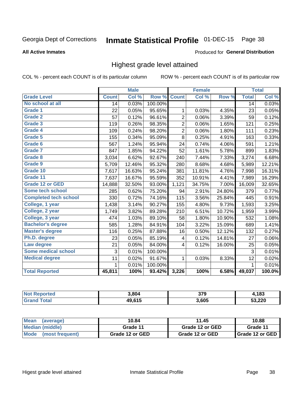#### Inmate Statistical Profile 01-DEC-15 Page 38

### **All Active Inmates**

### Produced for General Distribution

## Highest grade level attained

COL % - percent each COUNT is of its particular column

|                              |                 | <b>Male</b> |         |                         | <b>Female</b> |        |                 | <b>Total</b> |
|------------------------------|-----------------|-------------|---------|-------------------------|---------------|--------|-----------------|--------------|
| <b>Grade Level</b>           | <b>Count</b>    | Col %       | Row %   | <b>Count</b>            | Col %         | Row %  | <b>Total</b>    | Col %        |
| No school at all             | $\overline{14}$ | 0.03%       | 100.00% |                         |               |        | $\overline{14}$ | 0.03%        |
| Grade 1                      | 22              | 0.05%       | 95.65%  | 1                       | 0.03%         | 4.35%  | 23              | 0.05%        |
| <b>Grade 2</b>               | 57              | 0.12%       | 96.61%  | $\overline{2}$          | 0.06%         | 3.39%  | 59              | 0.12%        |
| <b>Grade 3</b>               | 119             | 0.26%       | 98.35%  | 2                       | 0.06%         | 1.65%  | 121             | 0.25%        |
| Grade 4                      | 109             | 0.24%       | 98.20%  | $\overline{2}$          | 0.06%         | 1.80%  | 111             | 0.23%        |
| Grade 5                      | 155             | 0.34%       | 95.09%  | $\overline{8}$          | 0.25%         | 4.91%  | 163             | 0.33%        |
| Grade 6                      | 567             | 1.24%       | 95.94%  | 24                      | 0.74%         | 4.06%  | 591             | 1.21%        |
| <b>Grade 7</b>               | 847             | 1.85%       | 94.22%  | 52                      | 1.61%         | 5.78%  | 899             | 1.83%        |
| Grade 8                      | 3,034           | 6.62%       | 92.67%  | 240                     | 7.44%         | 7.33%  | 3,274           | 6.68%        |
| Grade 9                      | 5,709           | 12.46%      | 95.32%  | 280                     | 8.68%         | 4.68%  | 5,989           | 12.21%       |
| Grade 10                     | 7,617           | 16.63%      | 95.24%  | 381                     | 11.81%        | 4.76%  | 7,998           | 16.31%       |
| Grade 11                     | 7,637           | 16.67%      | 95.59%  | 352                     | 10.91%        | 4.41%  | 7,989           | 16.29%       |
| <b>Grade 12 or GED</b>       | 14,888          | 32.50%      | 93.00%  | 1,121                   | 34.75%        | 7.00%  | 16,009          | 32.65%       |
| <b>Some tech school</b>      | 285             | 0.62%       | 75.20%  | 94                      | 2.91%         | 24.80% | 379             | 0.77%        |
| <b>Completed tech school</b> | 330             | 0.72%       | 74.16%  | 115                     | 3.56%         | 25.84% | 445             | 0.91%        |
| College, 1 year              | 1,438           | 3.14%       | 90.27%  | 155                     | 4.80%         | 9.73%  | 1,593           | 3.25%        |
| College, 2 year              | 1,749           | 3.82%       | 89.28%  | 210                     | 6.51%         | 10.72% | 1,959           | 3.99%        |
| College, 3 year              | 474             | 1.03%       | 89.10%  | 58                      | 1.80%         | 10.90% | 532             | 1.08%        |
| <b>Bachelor's degree</b>     | 585             | 1.28%       | 84.91%  | 104                     | 3.22%         | 15.09% | 689             | 1.41%        |
| <b>Master's degree</b>       | 116             | 0.25%       | 87.88%  | 16                      | 0.50%         | 12.12% | 132             | 0.27%        |
| Ph.D. degree                 | 23              | 0.05%       | 85.19%  | $\overline{\mathbf{4}}$ | 0.12%         | 14.81% | 27              | $0.06\%$     |
| Law degree                   | 21              | 0.05%       | 84.00%  | 4                       | 0.12%         | 16.00% | 25              | 0.05%        |
| <b>Some medical school</b>   | 3               | 0.01%       | 100.00% |                         |               |        | 3               | 0.01%        |
| <b>Medical degree</b>        | 11              | 0.02%       | 91.67%  | $\mathbf{1}$            | 0.03%         | 8.33%  | 12              | 0.02%        |
|                              | 1               | 0.01%       | 100.00% |                         |               |        | $\mathbf 1$     | 0.01%        |
| <b>Total Reported</b>        | 45,811          | 100%        | 93.42%  | 3,226                   | 100%          | 6.58%  | 49,037          | 100.0%       |

| 3.804      | 270<br>ง เ ฮ | 183    |
|------------|--------------|--------|
| <b>615</b> | 3,605        | 53,220 |

| <b>Mean</b><br>(average) | 10.84           | 11.45           | 10.88           |
|--------------------------|-----------------|-----------------|-----------------|
| Median (middle)          | Grade 11        | Grade 12 or GED | Grade 11        |
| Mode (most frequent)     | Grade 12 or GED | Grade 12 or GED | Grade 12 or GED |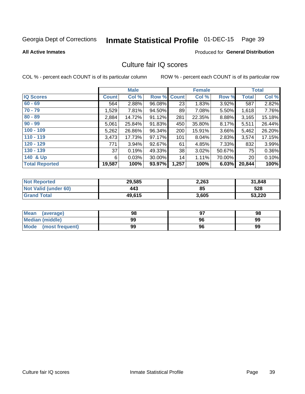# Inmate Statistical Profile 01-DEC-15 Page 39

**All Active Inmates** 

## Produced for General Distribution

## Culture fair IQ scores

COL % - percent each COUNT is of its particular column

|                       |              | <b>Male</b> |             |       | <b>Female</b> |        |                 | <b>Total</b> |
|-----------------------|--------------|-------------|-------------|-------|---------------|--------|-----------------|--------------|
| <b>IQ Scores</b>      | <b>Count</b> | Col %       | Row % Count |       | Col %         | Row %  | <b>Total</b>    | Col %        |
| $60 - 69$             | 564          | 2.88%       | 96.08%      | 23'   | 1.83%         | 3.92%  | 587             | 2.82%        |
| $70 - 79$             | ,529         | 7.81%       | 94.50%      | 89    | 7.08%         | 5.50%  | 1,618           | 7.76%        |
| $80 - 89$             | 2,884        | 14.72%      | 91.12%      | 281   | 22.35%        | 8.88%  | 3,165           | 15.18%       |
| $90 - 99$             | 5,061        | 25.84%      | 91.83%      | 450   | 35.80%        | 8.17%  | 5,511           | 26.44%       |
| $100 - 109$           | 5,262        | 26.86%      | 96.34%      | 200   | 15.91%        | 3.66%  | 5,462           | 26.20%       |
| $110 - 119$           | 3,473        | 17.73%      | 97.17%      | 101   | 8.04%         | 2.83%  | 3,574           | 17.15%       |
| $120 - 129$           | 771          | 3.94%       | 92.67%      | 61    | 4.85%         | 7.33%  | 832             | 3.99%        |
| $130 - 139$           | 37           | 0.19%       | 49.33%      | 38    | 3.02%         | 50.67% | 75              | 0.36%        |
| 140 & Up              | 6            | 0.03%       | 30.00%      | 14    | 1.11%         | 70.00% | 20 <sub>1</sub> | 0.10%        |
| <b>Total Reported</b> | 19,587       | 100%        | 93.97%      | 1,257 | 100%          | 6.03%  | 20,844          | 100%         |

| <b>Not Reported</b>         | 29,585 | 2,263 | 31,848 |
|-----------------------------|--------|-------|--------|
| <b>Not Valid (under 60)</b> | 443    | 85    | 528    |
| <b>Grand Total</b>          | 49,615 | 3,605 | 53,220 |

| <b>Mean</b><br>(average) | 98 |    | 98 |
|--------------------------|----|----|----|
| Median (middle)          | 99 | 96 | 99 |
| Mode<br>(most frequent)  | 99 | 96 | 99 |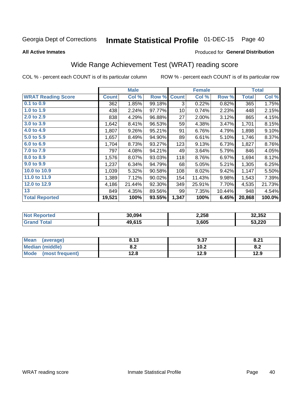#### **Inmate Statistical Profile 01-DEC-15** Page 40

**All Active Inmates** 

### Produced for General Distribution

## Wide Range Achievement Test (WRAT) reading score

COL % - percent each COUNT is of its particular column

|                           |              | <b>Male</b> |        |              | <b>Female</b> |        |              | <b>Total</b> |
|---------------------------|--------------|-------------|--------|--------------|---------------|--------|--------------|--------------|
| <b>WRAT Reading Score</b> | <b>Count</b> | Col %       | Row %  | <b>Count</b> | Col %         | Row %  | <b>Total</b> | Col %        |
| $0.1$ to $0.9$            | 362          | 1.85%       | 99.18% | 3            | 0.22%         | 0.82%  | 365          | 1.75%        |
| 1.0 to 1.9                | 438          | 2.24%       | 97.77% | 10           | 0.74%         | 2.23%  | 448          | 2.15%        |
| 2.0 to 2.9                | 838          | 4.29%       | 96.88% | 27           | 2.00%         | 3.12%  | 865          | 4.15%        |
| 3.0 to 3.9                | 1,642        | 8.41%       | 96.53% | 59           | 4.38%         | 3.47%  | 1,701        | 8.15%        |
| 4.0 to 4.9                | 1,807        | 9.26%       | 95.21% | 91           | 6.76%         | 4.79%  | 1,898        | 9.10%        |
| 5.0 to 5.9                | 1,657        | 8.49%       | 94.90% | 89           | 6.61%         | 5.10%  | 1,746        | 8.37%        |
| 6.0 to 6.9                | 1,704        | 8.73%       | 93.27% | 123          | 9.13%         | 6.73%  | 1,827        | 8.76%        |
| 7.0 to 7.9                | 797          | 4.08%       | 94.21% | 49           | 3.64%         | 5.79%  | 846          | 4.05%        |
| 8.0 to 8.9                | 1,576        | 8.07%       | 93.03% | 118          | 8.76%         | 6.97%  | 1,694        | 8.12%        |
| 9.0 to 9.9                | 1,237        | 6.34%       | 94.79% | 68           | 5.05%         | 5.21%  | 1,305        | 6.25%        |
| 10.0 to 10.9              | 1,039        | 5.32%       | 90.58% | 108          | 8.02%         | 9.42%  | 1,147        | 5.50%        |
| 11.0 to 11.9              | 1,389        | 7.12%       | 90.02% | 154          | 11.43%        | 9.98%  | 1,543        | 7.39%        |
| 12.0 to 12.9              | 4,186        | 21.44%      | 92.30% | 349          | 25.91%        | 7.70%  | 4,535        | 21.73%       |
| 13                        | 849          | 4.35%       | 89.56% | 99           | 7.35%         | 10.44% | 948          | 4.54%        |
| <b>Total Reported</b>     | 19,521       | 100%        | 93.55% | 1,347        | 100%          | 6.45%  | 20,868       | 100.0%       |
|                           |              |             |        |              |               |        |              |              |

| <b>Not Reported</b> | 30,094 | 2,258 | 32,352 |
|---------------------|--------|-------|--------|
| Total<br>'Grand.    | 49,615 | 3,605 | 53,220 |

| Mean (average)         | 8.13       | 9.37 | 8.21 |
|------------------------|------------|------|------|
| <b>Median (middle)</b> | י ה<br>o.z | 10.2 | 0.Z  |
| Mode (most frequent)   | 12.8       | 12.9 | 12.9 |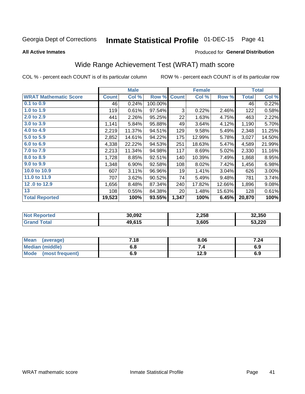#### **Inmate Statistical Profile 01-DEC-15** Page 41

**All Active Inmates** 

### Produced for General Distribution

## Wide Range Achievement Test (WRAT) math score

COL % - percent each COUNT is of its particular column

|                              |              | <b>Male</b> |         |              | <b>Female</b> |        |              | <b>Total</b> |
|------------------------------|--------------|-------------|---------|--------------|---------------|--------|--------------|--------------|
| <b>WRAT Mathematic Score</b> | <b>Count</b> | Col %       | Row %   | <b>Count</b> | Col %         | Row %  | <b>Total</b> | Col %        |
| $0.1$ to $0.9$               | 46           | 0.24%       | 100.00% |              |               |        | 46           | 0.22%        |
| 1.0 to 1.9                   | 119          | 0.61%       | 97.54%  | 3            | 0.22%         | 2.46%  | 122          | 0.58%        |
| 2.0 to 2.9                   | 441          | 2.26%       | 95.25%  | 22           | 1.63%         | 4.75%  | 463          | 2.22%        |
| 3.0 to 3.9                   | 1,141        | 5.84%       | 95.88%  | 49           | 3.64%         | 4.12%  | 1,190        | 5.70%        |
| 4.0 to 4.9                   | 2,219        | 11.37%      | 94.51%  | 129          | 9.58%         | 5.49%  | 2,348        | 11.25%       |
| 5.0 to 5.9                   | 2,852        | 14.61%      | 94.22%  | 175          | 12.99%        | 5.78%  | 3,027        | 14.50%       |
| 6.0 to 6.9                   | 4,338        | 22.22%      | 94.53%  | 251          | 18.63%        | 5.47%  | 4,589        | 21.99%       |
| 7.0 to 7.9                   | 2,213        | 11.34%      | 94.98%  | 117          | 8.69%         | 5.02%  | 2,330        | 11.16%       |
| 8.0 to 8.9                   | 1,728        | 8.85%       | 92.51%  | 140          | 10.39%        | 7.49%  | 1,868        | 8.95%        |
| 9.0 to 9.9                   | 1,348        | 6.90%       | 92.58%  | 108          | 8.02%         | 7.42%  | 1,456        | 6.98%        |
| 10.0 to 10.9                 | 607          | 3.11%       | 96.96%  | 19           | 1.41%         | 3.04%  | 626          | 3.00%        |
| 11.0 to 11.9                 | 707          | 3.62%       | 90.52%  | 74           | 5.49%         | 9.48%  | 781          | 3.74%        |
| 12.0 to 12.9                 | 1,656        | 8.48%       | 87.34%  | 240          | 17.82%        | 12.66% | 1,896        | 9.08%        |
| 13                           | 108          | 0.55%       | 84.38%  | 20           | 1.48%         | 15.63% | 128          | 0.61%        |
| <b>Total Reported</b>        | 19,523       | 100%        | 93.55%  | 1,347        | 100%          | 6.45%  | 20,870       | 100%         |

| <b>Not Reported</b> | 30,092 | 2,258 | 32,350 |
|---------------------|--------|-------|--------|
| <b>Grand Total</b>  | 49,615 | 3,605 | 53,220 |

| Mean (average)         | 7.18 | 8.06 | 7.24 |
|------------------------|------|------|------|
| <b>Median (middle)</b> | 6.8  | 74   | 6.9  |
| Mode (most frequent)   | 6.9  | 12.9 | 6.9  |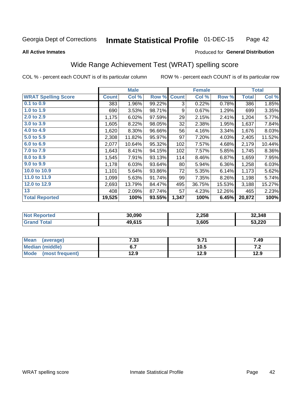#### **Inmate Statistical Profile 01-DEC-15** Page 42

**All Active Inmates** 

### Produced for General Distribution

## Wide Range Achievement Test (WRAT) spelling score

COL % - percent each COUNT is of its particular column

|                            |              | <b>Male</b> |        |              | <b>Female</b> |        |              | <b>Total</b> |
|----------------------------|--------------|-------------|--------|--------------|---------------|--------|--------------|--------------|
| <b>WRAT Spelling Score</b> | <b>Count</b> | Col %       | Row %  | <b>Count</b> | Col %         | Row %  | <b>Total</b> | Col %        |
| $0.1$ to $0.9$             | 383          | 1.96%       | 99.22% | 3            | 0.22%         | 0.78%  | 386          | 1.85%        |
| 1.0 to 1.9                 | 690          | 3.53%       | 98.71% | 9            | 0.67%         | 1.29%  | 699          | 3.35%        |
| 2.0 to 2.9                 | 1,175        | 6.02%       | 97.59% | 29           | 2.15%         | 2.41%  | 1,204        | 5.77%        |
| 3.0 to 3.9                 | 1,605        | 8.22%       | 98.05% | 32           | 2.38%         | 1.95%  | 1,637        | 7.84%        |
| 4.0 to 4.9                 | 1,620        | 8.30%       | 96.66% | 56           | 4.16%         | 3.34%  | 1,676        | 8.03%        |
| 5.0 to 5.9                 | 2,308        | 11.82%      | 95.97% | 97           | 7.20%         | 4.03%  | 2,405        | 11.52%       |
| 6.0 to 6.9                 | 2,077        | 10.64%      | 95.32% | 102          | 7.57%         | 4.68%  | 2,179        | 10.44%       |
| 7.0 to 7.9                 | 1,643        | 8.41%       | 94.15% | 102          | 7.57%         | 5.85%  | 1,745        | 8.36%        |
| 8.0 to 8.9                 | 1,545        | 7.91%       | 93.13% | 114          | 8.46%         | 6.87%  | 1,659        | 7.95%        |
| 9.0 to 9.9                 | 1,178        | 6.03%       | 93.64% | 80           | 5.94%         | 6.36%  | 1,258        | 6.03%        |
| 10.0 to 10.9               | 1,101        | 5.64%       | 93.86% | 72           | 5.35%         | 6.14%  | 1,173        | 5.62%        |
| 11.0 to 11.9               | 1,099        | 5.63%       | 91.74% | 99           | 7.35%         | 8.26%  | 1,198        | 5.74%        |
| 12.0 to 12.9               | 2,693        | 13.79%      | 84.47% | 495          | 36.75%        | 15.53% | 3,188        | 15.27%       |
| 13                         | 408          | 2.09%       | 87.74% | 57           | 4.23%         | 12.26% | 465          | 2.23%        |
| <b>Total Reported</b>      | 19,525       | 100%        | 93.55% | 1,347        | 100%          | 6.45%  | 20,872       | 100%         |

| <b>Not Reported</b> | 30,090 | 2,258 | 32,348 |
|---------------------|--------|-------|--------|
| Total<br>'Grand     | 49,615 | 3,605 | 53,220 |

| <b>Mean</b><br>(average) | 7.33 | 9.71 | 7.49  |
|--------------------------|------|------|-------|
| Median (middle)          |      | 10.5 | . . Z |
| Mode<br>(most frequent)  | 12.9 | 12.9 | 12.9  |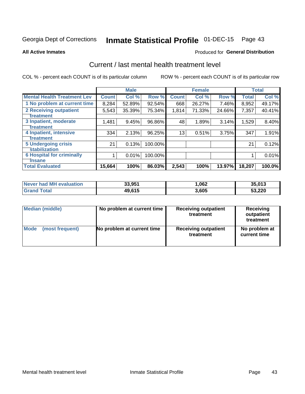# Inmate Statistical Profile 01-DEC-15 Page 43

### **All Active Inmates**

### Produced for General Distribution

## Current / last mental health treatment level

COL % - percent each COUNT is of its particular column

|                                    |              | <b>Male</b> |         |              | <b>Female</b> |           |              | <b>Total</b> |
|------------------------------------|--------------|-------------|---------|--------------|---------------|-----------|--------------|--------------|
| <b>Mental Health Treatment Lev</b> | <b>Count</b> | Col %       | Row %   | <b>Count</b> | Col %         | Row %     | <b>Total</b> | Col %        |
| 1 No problem at current time       | 8,284        | 52.89%      | 92.54%  | 668          | 26.27%        | 7.46%     | 8,952        | 49.17%       |
| 2 Receiving outpatient             | 5,543        | 35.39%      | 75.34%  | 1,814        | 71.33%        | 24.66%    | 7,357        | 40.41%       |
| <b>Treatment</b>                   |              |             |         |              |               |           |              |              |
| 3 Inpatient, moderate              | 1,481        | 9.45%       | 96.86%  | 48           | 1.89%         | 3.14%     | 1,529        | 8.40%        |
| Treatment                          |              |             |         |              |               |           |              |              |
| 4 Inpatient, intensive             | 334          | 2.13%       | 96.25%  | 13           | 0.51%         | 3.75%     | 347          | 1.91%        |
| <b>Treatment</b>                   |              |             |         |              |               |           |              |              |
| <b>5 Undergoing crisis</b>         | 21           | 0.13%       | 100.00% |              |               |           | 21           | 0.12%        |
| <b>Stabilization</b>               |              |             |         |              |               |           |              |              |
| <b>6 Hospital for criminally</b>   |              | 0.01%       | 100.00% |              |               |           |              | 0.01%        |
| <b>Tinsane</b>                     |              |             |         |              |               |           |              |              |
| <b>Total Evaluated</b>             | 15,664       | 100%        | 86.03%  | 2,543        | 100%          | $13.97\%$ | 18,207       | 100.0%       |

| Never had MH evaluation | 33,951 | 062. ا | 35,013 |
|-------------------------|--------|--------|--------|
| <b>Grand Total</b>      | 49,615 | 3,605  | 53,220 |

| Median (middle) | No problem at current time | <b>Receiving outpatient</b><br>treatment | <b>Receiving</b><br>outpatient<br>treatment |  |  |
|-----------------|----------------------------|------------------------------------------|---------------------------------------------|--|--|
| <b>Mode</b>     | No problem at current time | <b>Receiving outpatient</b>              | No problem at                               |  |  |
| (most frequent) |                            | treatment                                | current time                                |  |  |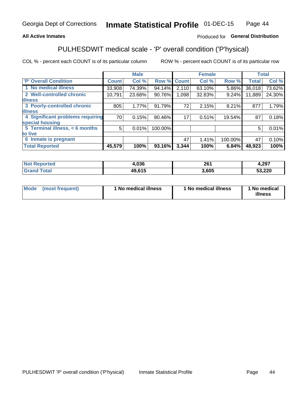## **All Active Inmates**

## Produced for General Distribution

## PULHESDWIT medical scale - 'P' overall condition ('P'hysical)

COL % - percent each COUNT is of its particular column

|                                  |              | <b>Male</b> |         |              | <b>Female</b> |         |              | <b>Total</b> |
|----------------------------------|--------------|-------------|---------|--------------|---------------|---------|--------------|--------------|
| 'P' Overall Condition            | <b>Count</b> | Col %       | Row %   | <b>Count</b> | Col %         | Row %   | <b>Total</b> | Col %        |
| 1 No medical illness             | 33,908       | 74.39%      | 94.14%  | 2,110        | 63.10%        | 5.86%   | 36,018       | 73.62%       |
| 2 Well-controlled chronic        | 10,791       | 23.68%      | 90.76%  | 1,098        | 32.83%        | 9.24%   | 11,889       | 24.30%       |
| <b>illness</b>                   |              |             |         |              |               |         |              |              |
| 3 Poorly-controlled chronic      | 805          | 1.77%       | 91.79%  | 72           | 2.15%         | 8.21%   | 877          | 1.79%        |
| <b>illness</b>                   |              |             |         |              |               |         |              |              |
| 4 Significant problems requiring | 70           | 0.15%       | 80.46%  | 17           | 0.51%         | 19.54%  | 87           | 0.18%        |
| special housing                  |              |             |         |              |               |         |              |              |
| 5 Terminal illness, < 6 months   | 5            | 0.01%       | 100.00% |              |               |         | 5            | 0.01%        |
| to live                          |              |             |         |              |               |         |              |              |
| 6 Inmate is pregnant             |              |             |         | 47           | 1.41%         | 100.00% | 47           | 0.10%        |
| <b>Total Reported</b>            | 45,579       | 100%        | 93.16%  | 3,344        | 100%          | 6.84%   | 48,923       | 100%         |

| тео | 02C<br>טכט ו | 261  | 207<br>H,ZJ 1   |
|-----|--------------|------|-----------------|
|     | $AQ$ $61F$   | .605 | מממ כ<br>, 22 J |

| Mode | (most frequent) | 1 No medical illness | 1 No medical illness | 1 No medical<br>illness |
|------|-----------------|----------------------|----------------------|-------------------------|
|------|-----------------|----------------------|----------------------|-------------------------|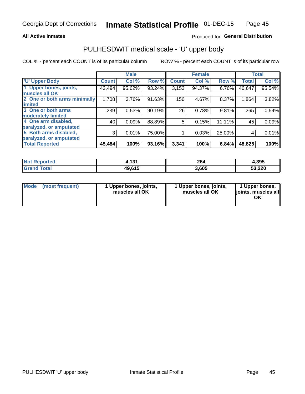## **All Active Inmates**

## Produced for General Distribution

# PULHESDWIT medical scale - 'U' upper body

COL % - percent each COUNT is of its particular column

|                              |               | <b>Male</b> |        |              | <b>Female</b> |        |              | <b>Total</b> |
|------------------------------|---------------|-------------|--------|--------------|---------------|--------|--------------|--------------|
| <b>U' Upper Body</b>         | <b>Count!</b> | Col %       | Row %  | <b>Count</b> | Col %         | Row %  | <b>Total</b> | Col %        |
| 1 Upper bones, joints,       | 43,494        | 95.62%      | 93.24% | 3,153        | 94.37%        | 6.76%  | 46,647       | 95.54%       |
| muscles all OK               |               |             |        |              |               |        |              |              |
| 2 One or both arms minimally | 1,708         | 3.76%       | 91.63% | 156          | 4.67%         | 8.37%  | 1,864        | 3.82%        |
| limited                      |               |             |        |              |               |        |              |              |
| 3 One or both arms           | 239           | 0.53%       | 90.19% | 26           | 0.78%         | 9.81%  | 265          | 0.54%        |
| moderately limited           |               |             |        |              |               |        |              |              |
| 4 One arm disabled,          | 40            | 0.09%       | 88.89% | 5            | 0.15%         | 11.11% | 45           | 0.09%        |
| paralyzed, or amputated      |               |             |        |              |               |        |              |              |
| 5 Both arms disabled,        | 3             | 0.01%       | 75.00% |              | 0.03%         | 25.00% | 4            | 0.01%        |
| paralyzed, or amputated      |               |             |        |              |               |        |              |              |
| <b>Total Reported</b>        | 45,484        | 100%        | 93.16% | 3,341        | 100%          | 6.84%  | 48,825       | 100%         |

| <b>Not Reported</b> | 12 <sub>4</sub><br>1. I J I | 264   | 4,395  |
|---------------------|-----------------------------|-------|--------|
| <b>Grand Total</b>  | 49,615                      | 3,605 | 53,220 |

| Mode (most frequent) | 1 Upper bones, joints,<br>muscles all OK | 1 Upper bones, joints,<br>muscles all OK | 1 Upper bones,<br>joints, muscles all<br>ΟK |
|----------------------|------------------------------------------|------------------------------------------|---------------------------------------------|
|----------------------|------------------------------------------|------------------------------------------|---------------------------------------------|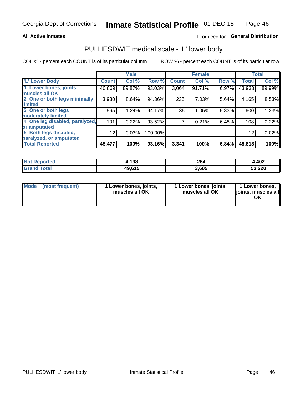## **All Active Inmates**

## Produced for General Distribution

## PULHESDWIT medical scale - 'L' lower body

COL % - percent each COUNT is of its particular column

|                                |              | <b>Male</b> |         |              | <b>Female</b> |       |                 | <b>Total</b> |
|--------------------------------|--------------|-------------|---------|--------------|---------------|-------|-----------------|--------------|
| 'L' Lower Body                 | <b>Count</b> | Col %       | Row %   | <b>Count</b> | Col %         | Row % | <b>Total</b>    | Col %        |
| 1 Lower bones, joints,         | 40,869       | 89.87%      | 93.03%  | 3,064        | 91.71%        | 6.97% | 43,933          | 89.99%       |
| muscles all OK                 |              |             |         |              |               |       |                 |              |
| 2 One or both legs minimally   | 3,930        | 8.64%       | 94.36%  | 235          | 7.03%         | 5.64% | 4,165           | 8.53%        |
| limited                        |              |             |         |              |               |       |                 |              |
| 3 One or both legs             | 565          | 1.24%       | 94.17%  | 35           | 1.05%         | 5.83% | 600             | 1.23%        |
| moderately limited             |              |             |         |              |               |       |                 |              |
| 4 One leg disabled, paralyzed, | 101          | 0.22%       | 93.52%  |              | 0.21%         | 6.48% | 108             | 0.22%        |
| or amputated                   |              |             |         |              |               |       |                 |              |
| 5 Both legs disabled,          | 12           | 0.03%       | 100.00% |              |               |       | 12 <sup>2</sup> | 0.02%        |
| paralyzed, or amputated        |              |             |         |              |               |       |                 |              |
| <b>Total Reported</b>          | 45,477       | 100%        | 93.16%  | 3,341        | 100%          | 6.84% | 48,818          | 100%         |

| <b>Not Reported</b> | 1,138  | 264   | 402    |
|---------------------|--------|-------|--------|
| <b>Total</b>        | 49,615 | 3,605 | 53,220 |

| Mode (most frequent) | 1 Lower bones, joints,<br>muscles all OK | 1 Lower bones, joints,<br>muscles all OK | 1 Lower bones,<br>joints, muscles all<br>ΟK |
|----------------------|------------------------------------------|------------------------------------------|---------------------------------------------|
|----------------------|------------------------------------------|------------------------------------------|---------------------------------------------|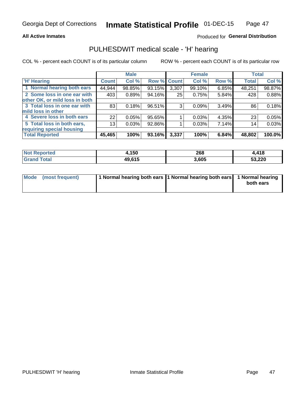## **All Active Inmates**

## Produced for General Distribution

# PULHESDWIT medical scale - 'H' hearing

COL % - percent each COUNT is of its particular column

|                                |              | <b>Male</b> |                    |       | <b>Female</b> |       | <b>Total</b> |        |
|--------------------------------|--------------|-------------|--------------------|-------|---------------|-------|--------------|--------|
| <b>'H' Hearing</b>             | <b>Count</b> | Col %       | <b>Row % Count</b> |       | Col %         | Row % | <b>Total</b> | Col %  |
| 1 Normal hearing both ears     | 44,944       | 98.85%      | 93.15%             | 3,307 | 99.10%        | 6.85% | 48,251       | 98.87% |
| 2 Some loss in one ear with    | 403          | 0.89%       | 94.16%             | 25    | 0.75%         | 5.84% | 428          | 0.88%  |
| other OK, or mild loss in both |              |             |                    |       |               |       |              |        |
| 3 Total loss in one ear with   | 83           | 0.18%       | 96.51%             | 3     | 0.09%         | 3.49% | 86           | 0.18%  |
| mild loss in other             |              |             |                    |       |               |       |              |        |
| 4 Severe loss in both ears     | 22           | 0.05%       | 95.65%             |       | 0.03%         | 4.35% | 23           | 0.05%  |
| 5 Total loss in both ears,     | 13           | 0.03%       | 92.86%             |       | 0.03%         | 7.14% | 14           | 0.03%  |
| requiring special housing      |              |             |                    |       |               |       |              |        |
| <b>Total Reported</b>          | 45,465       | 100%        | 93.16%             | 3,337 | 100%          | 6.84% | 48,802       | 100.0% |

| <b>Not Renc</b><br>anorted and | .,150  | 268   | .418   |
|--------------------------------|--------|-------|--------|
| Total                          | 49,615 | 3,605 | 53,220 |

| Mode (most frequent) | 1 Normal hearing both ears 1 Normal hearing both ears 1 Normal hearing | both ears |
|----------------------|------------------------------------------------------------------------|-----------|
|                      |                                                                        |           |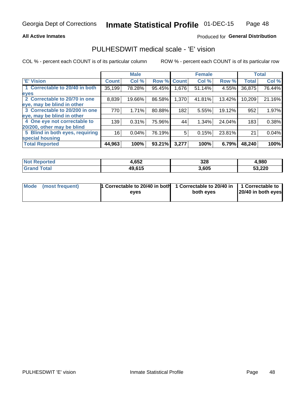## **All Active Inmates**

## Produced for General Distribution

## PULHESDWIT medical scale - 'E' vision

COL % - percent each COUNT is of its particular column

|                                 |              | <b>Male</b> |        |              | <b>Female</b> |        |              | <b>Total</b> |
|---------------------------------|--------------|-------------|--------|--------------|---------------|--------|--------------|--------------|
| 'E' Vision                      | <b>Count</b> | Col %       | Row %  | <b>Count</b> | Col %         | Row %  | <b>Total</b> | Col %        |
| 1 Correctable to 20/40 in both  | 35,199       | 78.28%      | 95.45% | .676         | 51.14%        | 4.55%  | 36,875       | 76.44%       |
| eyes                            |              |             |        |              |               |        |              |              |
| 2 Correctable to 20/70 in one   | 8,839        | 19.66%      | 86.58% | 1,370        | 41.81%        | 13.42% | 10,209       | 21.16%       |
| eye, may be blind in other      |              |             |        |              |               |        |              |              |
| 3 Correctable to 20/200 in one  | 770          | 1.71%       | 80.88% | 182          | 5.55%         | 19.12% | 952          | 1.97%        |
| eye, may be blind in other      |              |             |        |              |               |        |              |              |
| 4 One eye not correctable to    | 139          | 0.31%       | 75.96% | 44           | 1.34%         | 24.04% | 183          | 0.38%        |
| 20/200, other may be blind      |              |             |        |              |               |        |              |              |
| 5 Blind in both eyes, requiring | 16           | 0.04%       | 76.19% | 5            | 0.15%         | 23.81% | 21           | 0.04%        |
| special housing                 |              |             |        |              |               |        |              |              |
| <b>Total Reported</b>           | 44,963       | 100%        | 93.21% | 3,277        | 100%          | 6.79%  | 48,240       | 100%         |

| <b>Not Reported</b> | 4,652  | 328   | 4,980  |
|---------------------|--------|-------|--------|
| <b>Total</b>        | 49,615 | 3,605 | 53,220 |

| Mode (most frequent) | 1 Correctable to 20/40 in both<br>eves | 1 Correctable to 20/40 in   1 Correctable to  <br>both eves | 20/40 in both eyes |
|----------------------|----------------------------------------|-------------------------------------------------------------|--------------------|
|                      |                                        |                                                             |                    |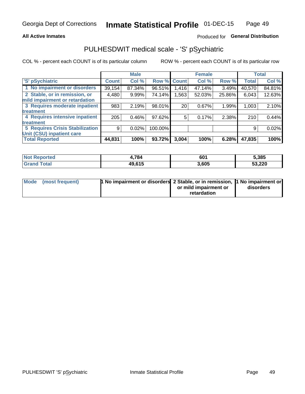## **All Active Inmates**

## Produced for General Distribution

## PULHESDWIT medical scale - 'S' pSychiatric

COL % - percent each COUNT is of its particular column

|                                        |              | <b>Male</b> |         |                    | <b>Female</b> |        |              | <b>Total</b> |
|----------------------------------------|--------------|-------------|---------|--------------------|---------------|--------|--------------|--------------|
| 'S' pSychiatric                        | <b>Count</b> | Col %       |         | <b>Row % Count</b> | Col %         | Row %  | <b>Total</b> | Col %        |
| 1 No impairment or disorders           | 39,154       | 87.34%      | 96.51%  | 1,416              | 47.14%        | 3.49%  | 40,570       | 84.81%       |
| 2 Stable, or in remission, or          | 4,480        | 9.99%       | 74.14%  | 1,563              | 52.03%        | 25.86% | 6,043        | 12.63%       |
| mild impairment or retardation         |              |             |         |                    |               |        |              |              |
| 3 Requires moderate inpatient          | 983          | 2.19%       | 98.01%  | 20                 | 0.67%         | 1.99%  | 1,003        | 2.10%        |
| treatment                              |              |             |         |                    |               |        |              |              |
| 4 Requires intensive inpatient         | 205          | 0.46%       | 97.62%  | 5                  | 0.17%         | 2.38%  | 210          | 0.44%        |
| treatment                              |              |             |         |                    |               |        |              |              |
| <b>5 Requires Crisis Stabilization</b> | 9            | 0.02%       | 100.00% |                    |               |        | 9            | 0.02%        |
| Unit (CSU) inpatient care              |              |             |         |                    |               |        |              |              |
| <b>Total Reported</b>                  | 44,831       | 100%        | 93.72%  | 3,004              | 100%          | 6.28%  | 47,835       | 100%         |

| <b>Not Reported</b>     | 1,784  | 601   | 5,385  |
|-------------------------|--------|-------|--------|
| <b>Total</b><br>' Grand | 49,615 | 3,605 | 53,220 |

| Mode (most frequent) | <b>t No impairment or disorders 2 Stable, or in remission, 1 No impairment or</b> |                       |           |
|----------------------|-----------------------------------------------------------------------------------|-----------------------|-----------|
|                      |                                                                                   | or mild impairment or | disorders |
|                      |                                                                                   | retardation           |           |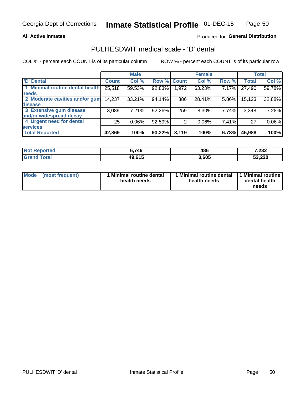## **All Active Inmates**

## Produced for General Distribution

## PULHESDWIT medical scale - 'D' dental

COL % - percent each COUNT is of its particular column

|                                 |              | <b>Male</b> |        |             | <b>Female</b> |          |              | <b>Total</b> |
|---------------------------------|--------------|-------------|--------|-------------|---------------|----------|--------------|--------------|
| <b>D'</b> Dental                | <b>Count</b> | Col %       |        | Row % Count | Col %         | Row %    | <b>Total</b> | Col %        |
| 1 Minimal routine dental health | 25,518       | 59.53%      | 92.83% | 1,972       | 63.23%        | $7.17\%$ | 27,490       | 59.78%       |
| <b>needs</b>                    |              |             |        |             |               |          |              |              |
| 2 Moderate cavities and/or gum  | 14,237       | 33.21%      | 94.14% | 886         | 28.41%        | 5.86%    | 15,123       | 32.88%       |
| disease                         |              |             |        |             |               |          |              |              |
| 3 Extensive gum disease         | 3,089        | 7.21%       | 92.26% | 259         | $8.30\%$      | 7.74%    | 3,348        | 7.28%        |
| and/or widespread decay         |              |             |        |             |               |          |              |              |
| 4 Urgent need for dental        | 25           | 0.06%       | 92.59% | 2           | 0.06%         | 7.41%    | 27           | 0.06%        |
| <b>services</b>                 |              |             |        |             |               |          |              |              |
| <b>Total Reported</b>           | 42,869       | 100%        | 93.22% | 3,119       | 100%          | 6.78%    | 45,988       | 100%         |

| <b>Not R</b><br><b>Phorted</b> | 6,746  | 486   | ר פר<br>232. ا |
|--------------------------------|--------|-------|----------------|
| Гоtal                          | 49,615 | 3,605 | 53,220         |

| <b>Mode</b> | (most frequent) | Minimal routine dental<br>health needs | 1 Minimal routine dental 11 Minimal routine<br>health needs | dental health<br>needs |
|-------------|-----------------|----------------------------------------|-------------------------------------------------------------|------------------------|
|-------------|-----------------|----------------------------------------|-------------------------------------------------------------|------------------------|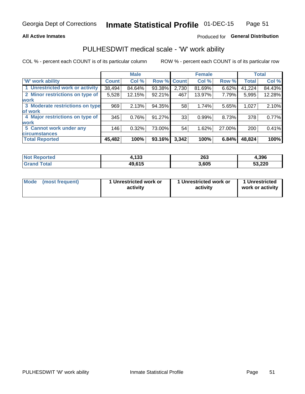## **All Active Inmates**

## Produced for General Distribution

## PULHESDWIT medical scale - 'W' work ability

COL % - percent each COUNT is of its particular column

|                                 |              | <b>Male</b> |        |                    | <b>Female</b> |        |              | <b>Total</b> |
|---------------------------------|--------------|-------------|--------|--------------------|---------------|--------|--------------|--------------|
| <b>W' work ability</b>          | <b>Count</b> | Col %       |        | <b>Row % Count</b> | Col %         | Row %  | <b>Total</b> | Col %        |
| 1 Unrestricted work or activity | 38,494       | 84.64%      | 93.38% | 2,730              | 81.69%        | 6.62%  | 41,224       | 84.43%       |
| 2 Minor restrictions on type of | 5,528        | 12.15%      | 92.21% | 467                | 13.97%        | 7.79%  | 5,995        | 12.28%       |
| <b>work</b>                     |              |             |        |                    |               |        |              |              |
| 3 Moderate restrictions on type | 969          | 2.13%       | 94.35% | 58                 | 1.74%         | 5.65%  | 1,027        | 2.10%        |
| of work                         |              |             |        |                    |               |        |              |              |
| 4 Major restrictions on type of | 345          | 0.76%       | 91.27% | 33                 | 0.99%         | 8.73%  | 378          | 0.77%        |
| <b>work</b>                     |              |             |        |                    |               |        |              |              |
| 5 Cannot work under any         | 146          | 0.32%       | 73.00% | 54                 | 1.62%         | 27.00% | 200          | 0.41%        |
| <b>circumstances</b>            |              |             |        |                    |               |        |              |              |
| <b>Total Reported</b>           | 45,482       | 100%        | 93.16% | 3,342              | 100%          | 6.84%  | 48,824       | 100%         |

| <b>Not Reported</b>          | 4,133  | 263   | 4,396  |
|------------------------------|--------|-------|--------|
| <b>Total</b><br><b>Grand</b> | 49,615 | 3,605 | 53,220 |

| Mode            | 1 Unrestricted work or | 1 Unrestricted work or | 1 Unrestricted   |
|-----------------|------------------------|------------------------|------------------|
| (most frequent) | activity               | activity               | work or activity |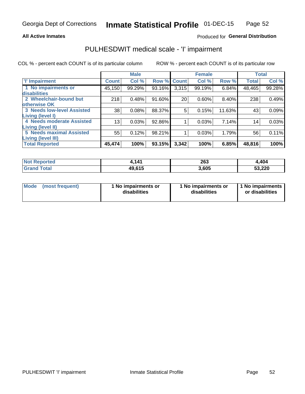## **All Active Inmates**

## Produced for General Distribution

## PULHESDWIT medical scale - 'I' impairment

COL % - percent each COUNT is of its particular column

|                                   |              | <b>Male</b> |        |             | <b>Female</b> |        |              | <b>Total</b> |
|-----------------------------------|--------------|-------------|--------|-------------|---------------|--------|--------------|--------------|
| <b>T' Impairment</b>              | <b>Count</b> | Col %       |        | Row % Count | Col %         | Row %  | <b>Total</b> | Col %        |
| 1 No impairments or               | 45,150       | 99.29%      | 93.16% | 3,315       | 99.19%        | 6.84%  | 48,465       | 99.28%       |
| disabilities                      |              |             |        |             |               |        |              |              |
| 2 Wheelchair-bound but            | 218          | 0.48%       | 91.60% | 20          | 0.60%         | 8.40%  | 238          | 0.49%        |
| otherwise OK                      |              |             |        |             |               |        |              |              |
| <b>3 Needs low-level Assisted</b> | 38           | 0.08%       | 88.37% | 5           | 0.15%         | 11.63% | 43           | 0.09%        |
| Living (level I)                  |              |             |        |             |               |        |              |              |
| 4 Needs moderate Assisted         | 13           | 0.03%       | 92.86% |             | 0.03%         | 7.14%  | 14           | 0.03%        |
| <b>Living (level II)</b>          |              |             |        |             |               |        |              |              |
| <b>5 Needs maximal Assisted</b>   | 55           | 0.12%       | 98.21% |             | 0.03%         | 1.79%  | 56           | 0.11%        |
| Living (level III)                |              |             |        |             |               |        |              |              |
| <b>Total Reported</b>             | 45,474       | 100%        | 93.15% | 3,342       | 100%          | 6.85%  | 48,816       | 100%         |

| Not F<br>Reported     | ,141   | 263   | 4,404  |
|-----------------------|--------|-------|--------|
| Total<br><b>Grand</b> | 49,615 | 3,605 | 53,220 |

| Mode | (most frequent) | 1 No impairments or<br>disabilities | 1 No impairments or<br>disabilities | 1 No impairments<br>or disabilities |
|------|-----------------|-------------------------------------|-------------------------------------|-------------------------------------|
|------|-----------------|-------------------------------------|-------------------------------------|-------------------------------------|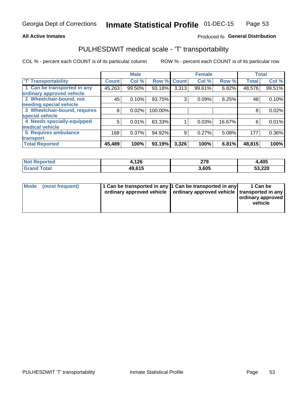## **All Active Inmates**

## Produced fo General Distribution

## PULHESDWIT medical scale - 'T' transportability

COL % - percent each COUNT is of its particular column

|                              |              | <b>Male</b> |         |              | <b>Female</b> |        | <b>Total</b> |          |
|------------------------------|--------------|-------------|---------|--------------|---------------|--------|--------------|----------|
| <b>T' Transportability</b>   | <b>Count</b> | Col %       | Row %   | <b>Count</b> | Col %         | Row %  | <b>Total</b> | Col %    |
| 1 Can be transported in any  | 45,263       | 99.50%      | 93.18%  | 3,313        | 99.61%        | 6.82%  | 48,576       | 99.51%   |
| ordinary approved vehicle    |              |             |         |              |               |        |              |          |
| 2 Wheelchair-bound, not      | 45           | 0.10%       | 93.75%  | 3            | 0.09%         | 6.25%  | 48           | 0.10%    |
| needing special vehicle      |              |             |         |              |               |        |              |          |
| 3 Wheelchair-bound, requires | 8            | 0.02%       | 100.00% |              |               |        | 8            | 0.02%    |
| special vehicle              |              |             |         |              |               |        |              |          |
| 4 Needs specially-equipped   | 5            | 0.01%       | 83.33%  |              | 0.03%         | 16.67% | 6            | 0.01%    |
| medical vehicle              |              |             |         |              |               |        |              |          |
| <b>5 Requires ambulance</b>  | 168          | 0.37%       | 94.92%  | 9            | 0.27%         | 5.08%  | 177          | $0.36\%$ |
| transport                    |              |             |         |              |               |        |              |          |
| <b>Total Reported</b>        | 45,489       | 100%        | 93.19%  | 3,326        | 100%          | 6.81%  | 48,815       | 100%     |

| orted       | .126   | 279<br>____ | 4,405  |
|-------------|--------|-------------|--------|
| <b>otal</b> | 49.615 | 3,605       | 53,220 |

|  | Mode (most frequent) | 1 Can be transported in any 1 Can be transported in any<br>ordinary approved vehicle   ordinary approved vehicle   transported in any |  | 1 Can be<br>  ordinary approved  <br>vehicle |
|--|----------------------|---------------------------------------------------------------------------------------------------------------------------------------|--|----------------------------------------------|
|--|----------------------|---------------------------------------------------------------------------------------------------------------------------------------|--|----------------------------------------------|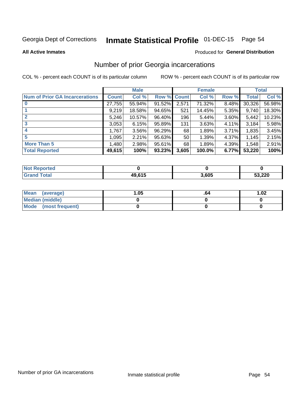# Inmate Statistical Profile 01-DEC-15 Page 54

**All Active Inmates** 

### Produced for General Distribution

## Number of prior Georgia incarcerations

COL % - percent each COUNT is of its particular column

|                                       |              | <b>Male</b> |             |                 | <b>Female</b> |       |        | <b>Total</b> |
|---------------------------------------|--------------|-------------|-------------|-----------------|---------------|-------|--------|--------------|
| <b>Num of Prior GA Incarcerations</b> | <b>Count</b> | Col %       | Row % Count |                 | Col %         | Row % | Total  | Col %        |
| $\bf{0}$                              | 27,755       | 55.94%      | 91.52%      | 2,571           | 71.32%        | 8.48% | 30,326 | 56.98%       |
|                                       | 9,219        | 18.58%      | 94.65%      | 521             | 14.45%        | 5.35% | 9,740  | 18.30%       |
| $\mathbf{2}$                          | 5,246        | 10.57%      | 96.40%      | 196             | 5.44%         | 3.60% | 5,442  | 10.23%       |
| 3                                     | 3,053        | 6.15%       | 95.89%      | 131             | 3.63%         | 4.11% | 3,184  | 5.98%        |
| $\boldsymbol{4}$                      | 1,767        | 3.56%       | 96.29%      | 68              | 1.89%         | 3.71% | 1,835  | 3.45%        |
| 5                                     | 1,095        | 2.21%       | 95.63%      | 50 <sub>1</sub> | 1.39%         | 4.37% | 1.145  | 2.15%        |
| <b>More Than 5</b>                    | 1,480        | 2.98%       | 95.61%      | 68              | 1.89%         | 4.39% | 1,548  | 2.91%        |
| <b>Total Reported</b>                 | 49,615       | 100%        | 93.23%      | 3,605           | 100.0%        | 6.77% | 53,220 | 100%         |

| enorted<br><b>NOT</b> |        |       |                  |
|-----------------------|--------|-------|------------------|
| iotal<br>Gr:          | 10 615 | 3,605 | המה כב<br>JJ.ZZU |

| Mean (average)       | .05 | -04 | 1.02 |
|----------------------|-----|-----|------|
| Median (middle)      |     |     |      |
| Mode (most frequent) |     |     |      |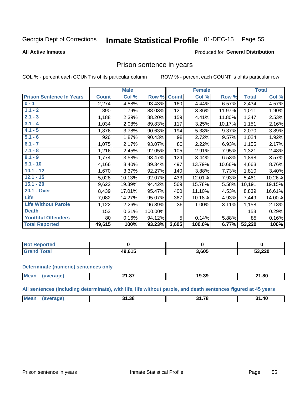#### Inmate Statistical Profile 01-DEC-15 Page 55

### **All Active Inmates**

### Produced for General Distribution

## Prison sentence in years

COL % - percent each COUNT is of its particular column

ROW % - percent each COUNT is of its particular row

|                                 |              | <b>Male</b> |         |              | <b>Female</b> |        |              | <b>Total</b> |
|---------------------------------|--------------|-------------|---------|--------------|---------------|--------|--------------|--------------|
| <b>Prison Sentence In Years</b> | <b>Count</b> | Col %       | Row %   | <b>Count</b> | Col %         | Row %  | <b>Total</b> | Col %        |
| $0 - 1$                         | 2,274        | 4.58%       | 93.43%  | 160          | 4.44%         | 6.57%  | 2,434        | 4.57%        |
| $1.1 - 2$                       | 890          | 1.79%       | 88.03%  | 121          | 3.36%         | 11.97% | 1,011        | 1.90%        |
| $2.1 - 3$                       | 1,188        | 2.39%       | 88.20%  | 159          | 4.41%         | 11.80% | 1,347        | 2.53%        |
| $3.1 - 4$                       | 1,034        | 2.08%       | 89.83%  | 117          | 3.25%         | 10.17% | 1,151        | 2.16%        |
| $4.1 - 5$                       | 1,876        | 3.78%       | 90.63%  | 194          | 5.38%         | 9.37%  | 2,070        | 3.89%        |
| $5.1 - 6$                       | 926          | 1.87%       | 90.43%  | 98           | 2.72%         | 9.57%  | 1,024        | 1.92%        |
| $6.1 - 7$                       | 1,075        | 2.17%       | 93.07%  | 80           | 2.22%         | 6.93%  | 1,155        | 2.17%        |
| $7.1 - 8$                       | 1,216        | 2.45%       | 92.05%  | 105          | 2.91%         | 7.95%  | 1,321        | 2.48%        |
| $8.1 - 9$                       | 1,774        | 3.58%       | 93.47%  | 124          | 3.44%         | 6.53%  | 1,898        | 3.57%        |
| $9.1 - 10$                      | 4,166        | 8.40%       | 89.34%  | 497          | 13.79%        | 10.66% | 4,663        | 8.76%        |
| $10.1 - 12$                     | 1,670        | 3.37%       | 92.27%  | 140          | 3.88%         | 7.73%  | 1,810        | 3.40%        |
| $12.1 - 15$                     | 5,028        | 10.13%      | 92.07%  | 433          | 12.01%        | 7.93%  | 5,461        | 10.26%       |
| $15.1 - 20$                     | 9,622        | 19.39%      | 94.42%  | 569          | 15.78%        | 5.58%  | 10,191       | 19.15%       |
| 20.1 - Over                     | 8,439        | 17.01%      | 95.47%  | 400          | 11.10%        | 4.53%  | 8,839        | 16.61%       |
| Life                            | 7,082        | 14.27%      | 95.07%  | 367          | 10.18%        | 4.93%  | 7,449        | 14.00%       |
| <b>Life Without Parole</b>      | 1,122        | 2.26%       | 96.89%  | 36           | 1.00%         | 3.11%  | 1,158        | 2.18%        |
| <b>Death</b>                    | 153          | 0.31%       | 100.00% |              |               |        | 153          | 0.29%        |
| <b>Youthful Offenders</b>       | 80           | 0.16%       | 94.12%  | 5            | 0.14%         | 5.88%  | 85           | 0.16%        |
| <b>Total Reported</b>           | 49,615       | 100%        | 93.23%  | 3,605        | 100.0%        | 6.77%  | 53,220       | 100%         |

| <b>Not Reported</b> |            |       |        |
|---------------------|------------|-------|--------|
| int<br>. Circ       | <b>CAE</b> | 3,605 | 53,220 |

### **Determinate (numeric) sentences only**

| <b>Mean</b> | $\sim$ $\sim$<br>- 1.07 | 19.39 | 21.80 |
|-------------|-------------------------|-------|-------|
|             |                         |       |       |

All sentences (including determinate), with life, life without parole, and death sentences figured at 45 years

| Me: | 1.38<br><u>т.</u> | $-$ | 1.40<br>94 |
|-----|-------------------|-----|------------|
|     |                   |     |            |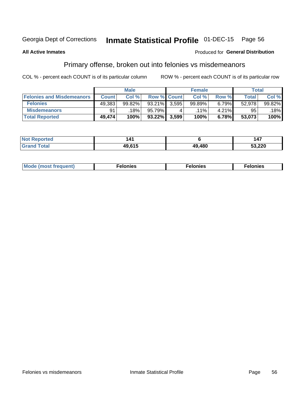#### **Inmate Statistical Profile 01-DEC-15** Page 56

## **All Active Inmates**

## Produced for General Distribution

## Primary offense, broken out into felonies vs misdemeanors

COL % - percent each COUNT is of its particular column

|                                  |              | <b>Male</b> |           |                    | <b>Female</b> |       | Total        |        |
|----------------------------------|--------------|-------------|-----------|--------------------|---------------|-------|--------------|--------|
| <b>Felonies and Misdemeanors</b> | <b>Count</b> | Col%        |           | <b>Row % Count</b> | Col%          | Row % | <b>Total</b> | Col %  |
| <b>Felonies</b>                  | 49,383       | 99.82%      | $93.21\%$ | 3.595              | 99.89%        | 6.79% | 52.978       | 99.82% |
| <b>Misdemeanors</b>              | 91           | 18%         | 95.79%    |                    | $.11\%$       | 4.21% | 95           | 18%    |
| <b>Total Reported</b>            | 49,474       | 100%        | $93.22\%$ | 3,599              | 100%          | 6.78% | 53,073       | 100%   |

| <b>Not</b><br>rted.  | $\overline{ }$ |        | $\overline{\phantom{a}}$ |
|----------------------|----------------|--------|--------------------------|
| ™otai<br><b>Gran</b> | $AQ$ $64F$     | 49,480 | 53,220                   |

| Mo | ____ | 11 C.S<br>. | onies<br>. |
|----|------|-------------|------------|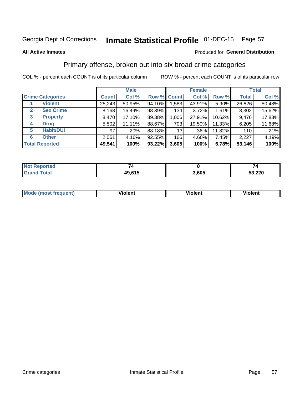#### **Inmate Statistical Profile 01-DEC-15** Page 57

### **All Active Inmates**

## Produced for General Distribution

## Primary offense, broken out into six broad crime categories

COL % - percent each COUNT is of its particular column

|                                  |              | <b>Male</b> |           |             | <b>Female</b> |        |              | <b>Total</b> |
|----------------------------------|--------------|-------------|-----------|-------------|---------------|--------|--------------|--------------|
| <b>Crime Categories</b>          | <b>Count</b> | Col %       |           | Row % Count | Col %         | Row %  | <b>Total</b> | Col %        |
| <b>Violent</b>                   | 25,243       | 50.95%      | 94.10%    | 1,583       | 43.91%        | 5.90%  | 26,826       | 50.48%       |
| <b>Sex Crime</b><br>$\mathbf{2}$ | 8,168        | 16.49%      | 98.39%    | 134         | 3.72%         | 1.61%  | 8,302        | 15.62%       |
| 3<br><b>Property</b>             | 8,470        | 17.10%      | 89.38%    | 1,006       | 27.91%        | 10.62% | 9,476        | 17.83%       |
| <b>Drug</b><br>4                 | 5,502        | 11.11%      | 88.67%    | 703         | 19.50%        | 11.33% | 6,205        | 11.68%       |
| <b>Habit/DUI</b><br>5            | 97           | .20%        | 88.18%    | 13          | $.36\%$       | 11.82% | 110          | .21%         |
| <b>Other</b><br>6                | 2,061        | 4.16%       | 92.55%    | 166         | 4.60%         | 7.45%  | 2,227        | 4.19%        |
| <b>Total Reported</b>            | 49,541       | 100%        | $93.22\%$ | 3,605       | 100%          | 6.78%  | 53,146       | 100%         |

| <b>orteg</b><br>NOT |        |      |        |
|---------------------|--------|------|--------|
| $F$ ntal            | 49,615 | ,605 | 53,220 |

| Mode<br>freauent)<br>anst tr | .<br>/iolent | <br>Violent | .<br><b>Tiolent</b> |
|------------------------------|--------------|-------------|---------------------|
|                              |              |             |                     |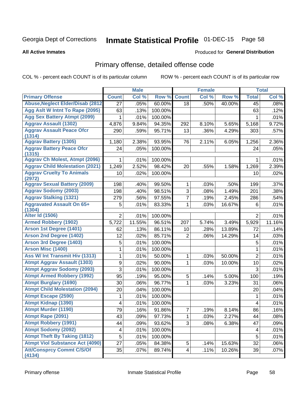# Inmate Statistical Profile 01-DEC-15 Page 58

**All Active Inmates** 

## Produced for General Distribution

## Primary offense, detailed offense code

COL % - percent each COUNT is of its particular column

|                                            |                 | <b>Male</b> |         | <b>Female</b>  |       |        |                | <b>Total</b> |
|--------------------------------------------|-----------------|-------------|---------|----------------|-------|--------|----------------|--------------|
| <b>Primary Offense</b>                     | <b>Count</b>    | Col %       | Row %   | <b>Count</b>   | Col % | Row %  | <b>Total</b>   | Col %        |
| <b>Abuse, Neglect Elder/Disab (2812)</b>   | 27              | .05%        | 60.00%  | 18             | .50%  | 40.00% | 45             | .08%         |
| Agg Aslt W Intnt To Rape (2095)            | 63              | .13%        | 100.00% |                |       |        | 63             | .12%         |
| <b>Agg Sex Battery Atmpt (2099)</b>        | 1               | .01%        | 100.00% |                |       |        | 1              | .01%         |
| <b>Aggrav Assault (1302)</b>               | 4,876           | 9.84%       | 94.35%  | 292            | 8.10% | 5.65%  | 5,168          | 9.72%        |
| <b>Aggrav Assault Peace Ofcr</b>           | 290             | .59%        | 95.71%  | 13             | .36%  | 4.29%  | 303            | .57%         |
| (1314)                                     |                 |             |         |                |       |        |                |              |
| <b>Aggrav Battery (1305)</b>               | 1,180           | 2.38%       | 93.95%  | 76             | 2.11% | 6.05%  | 1,256          | 2.36%        |
| <b>Aggrav Battery Peace Ofcr</b><br>(1315) | 24              | .05%        | 100.00% |                |       |        | 24             | .05%         |
| <b>Aggrav Ch Molest, Atmpt (2096)</b>      | 1               | .01%        | 100.00% |                |       |        | 1              | .01%         |
| <b>Aggrav Child Molestation (2021)</b>     | 1,249           | 2.52%       | 98.42%  | 20             | .55%  | 1.58%  | 1,269          | 2.39%        |
| <b>Aggrav Cruelty To Animals</b><br>(2972) | 10              | .02%        | 100.00% |                |       |        | 10             | .02%         |
| <b>Aggrav Sexual Battery (2009)</b>        | 198             | .40%        | 99.50%  | $\mathbf{1}$   | .03%  | .50%   | 199            | .37%         |
| <b>Aggrav Sodomy (2003)</b>                | 198             | .40%        | 98.51%  | 3              | .08%  | 1.49%  | 201            | .38%         |
| <b>Aggrav Stalking (1321)</b>              | 279             | .56%        | 97.55%  | 7              | .19%  | 2.45%  | 286            | .54%         |
| <b>Aggravated Assault On 65+</b>           | 5               | .01%        | 83.33%  | 1              | .03%  | 16.67% | 6              | .01%         |
| (1304)                                     |                 |             |         |                |       |        |                |              |
| <b>Alter Id (1506)</b>                     | $\overline{2}$  | .01%        | 100.00% |                |       |        | $\overline{2}$ | .01%         |
| <b>Armed Robbery (1902)</b>                | 5,722           | 11.55%      | 96.51%  | 207            | 5.74% | 3.49%  | 5,929          | 11.16%       |
| Arson 1st Degree (1401)                    | 62              | .13%        | 86.11%  | 10             | .28%  | 13.89% | 72             | .14%         |
| <b>Arson 2nd Degree (1402)</b>             | 12              | .02%        | 85.71%  | $\overline{2}$ | .06%  | 14.29% | 14             | .03%         |
| <b>Arson 3rd Degree (1403)</b>             | 5               | .01%        | 100.00% |                |       |        | 5              | .01%         |
| <b>Arson Misc (1400)</b>                   | 1               | .01%        | 100.00% |                |       |        | $\mathbf{1}$   | .01%         |
| Ass W/ Int Transmit Hiv (1313)             | 1               | .01%        | 50.00%  | 1              | .03%  | 50.00% | $\overline{2}$ | .01%         |
| <b>Atmpt Aggrav Assault (1303)</b>         | 9               | .02%        | 90.00%  | 1              | .03%  | 10.00% | 10             | .02%         |
| <b>Atmpt Aggrav Sodomy (2093)</b>          | 3               | .01%        | 100.00% |                |       |        | 3              | .01%         |
| <b>Atmpt Armed Robbery (1992)</b>          | 95              | .19%        | 95.00%  | 5              | .14%  | 5.00%  | 100            | .19%         |
| <b>Atmpt Burglary (1690)</b>               | 30              | .06%        | 96.77%  | 1              | .03%  | 3.23%  | 31             | .06%         |
| <b>Atmpt Child Molestation (2094)</b>      | 20              | .04%        | 100.00% |                |       |        | 20             | .04%         |
| <b>Atmpt Escape (2590)</b>                 | 1               | .01%        | 100.00% |                |       |        | 1              | .01%         |
| <b>Atmpt Kidnap (1390)</b>                 | 4               | .01%        | 100.00% |                |       |        | 4              | .01%         |
| <b>Atmpt Murder (1190)</b>                 | $\overline{79}$ | .16%        | 91.86%  | $\overline{7}$ | .19%  | 8.14%  | 86             | .16%         |
| Atmpt Rape (2091)                          | 43              | .09%        | 97.73%  | 1              | .03%  | 2.27%  | 44             | .08%         |
| <b>Atmpt Robbery (1991)</b>                | 44              | .09%        | 93.62%  | 3 <sup>1</sup> | .08%  | 6.38%  | 47             | .09%         |
| <b>Atmpt Sodomy (2092)</b>                 | 4               | .01%        | 100.00% |                |       |        | 4              | .01%         |
| <b>Atmpt Theft By Taking (1812)</b>        | $\overline{5}$  | .01%        | 100.00% |                |       |        | 5              | .01%         |
| <b>Atmpt Viol Substance Act (4090)</b>     | 27              | .05%        | 84.38%  | 5              | .14%  | 15.63% | 32             | .06%         |
| <b>Att/Consprcy Commt C/S/Of</b><br>(4134) | 35              | .07%        | 89.74%  | 4 <sup>1</sup> | .11%  | 10.26% | 39             | .07%         |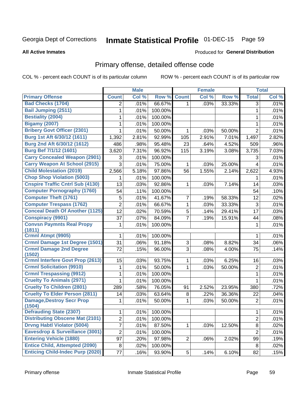# Inmate Statistical Profile 01-DEC-15 Page 59

### **All Active Inmates**

### Produced for General Distribution

## Primary offense, detailed offense code

COL % - percent each COUNT is of its particular column

|                                          |                         | <b>Male</b> |         | <b>Female</b>  |       |        |                | <b>Total</b> |
|------------------------------------------|-------------------------|-------------|---------|----------------|-------|--------|----------------|--------------|
| <b>Primary Offense</b>                   | <b>Count</b>            | Col %       | Row %   | <b>Count</b>   | Col % | Row %  | <b>Total</b>   | Col %        |
| <b>Bad Checks (1704)</b>                 | $\overline{2}$          | .01%        | 66.67%  | $\mathbf{1}$   | .03%  | 33.33% | 3              | .01%         |
| Bail Jumping (2511)                      | 1                       | .01%        | 100.00% |                |       |        | $\mathbf{1}$   | .01%         |
| <b>Bestiality (2004)</b>                 | 1                       | .01%        | 100.00% |                |       |        | 1              | .01%         |
| <b>Bigamy (2007)</b>                     | 1                       | .01%        | 100.00% |                |       |        | $\mathbf{1}$   | .01%         |
| <b>Bribery Govt Officer (2301)</b>       | 1                       | .01%        | 50.00%  | $\mathbf 1$    | .03%  | 50.00% | $\overline{2}$ | .01%         |
| Burg 1st Aft 6/30/12 (1611)              | 1,392                   | 2.81%       | 92.99%  | 105            | 2.91% | 7.01%  | 1,497          | 2.82%        |
| Burg 2nd Aft 6/30/12 (1612)              | 486                     | .98%        | 95.48%  | 23             | .64%  | 4.52%  | 509            | .96%         |
| Burg Bef 7/1/12 (1601)                   | 3,620                   | 7.31%       | 96.92%  | 115            | 3.19% | 3.08%  | 3,735          | 7.03%        |
| <b>Carry Concealed Weapon (2901)</b>     | 3                       | .01%        | 100.00% |                |       |        | 3              | .01%         |
| <b>Carry Weapon At School (2915)</b>     | 3                       | .01%        | 75.00%  | 1              | .03%  | 25.00% | 4              | .01%         |
| <b>Child Molestation (2019)</b>          | 2,566                   | 5.18%       | 97.86%  | 56             | 1.55% | 2.14%  | 2,622          | 4.93%        |
| <b>Chop Shop Violation (5003)</b>        | 1                       | .01%        | 100.00% |                |       |        | 1              | .01%         |
| <b>Cnspire Traffic Cntrl Sub (4130)</b>  | 13                      | .03%        | 92.86%  | 1              | .03%  | 7.14%  | 14             | .03%         |
| <b>Computer Pornography (1760)</b>       | 54                      | .11%        | 100.00% |                |       |        | 54             | .10%         |
| <b>Computer Theft (1761)</b>             | 5                       | .01%        | 41.67%  | $\overline{7}$ | .19%  | 58.33% | 12             | .02%         |
| <b>Computer Trespass (1762)</b>          | 2                       | .01%        | 66.67%  | $\mathbf{1}$   | .03%  | 33.33% | $\mathbf{3}$   | .01%         |
| <b>Conceal Death Of Another (1125)</b>   | 12                      | .02%        | 70.59%  | 5              | .14%  | 29.41% | 17             | .03%         |
| <b>Conspiracy (9901)</b>                 | 37                      | .07%        | 84.09%  | $\overline{7}$ | .19%  | 15.91% | 44             | .08%         |
| <b>Convsn Paymnts Real Propy</b>         | 1                       | .01%        | 100.00% |                |       |        | 1              | .01%         |
| (1811)                                   |                         |             |         |                |       |        |                |              |
| Crmnl Atmpt (9905)                       | 1                       | .01%        | 100.00% |                |       |        | 1              | .01%         |
| <b>Crmnl Damage 1st Degree (1501)</b>    | 31                      | .06%        | 91.18%  | 3              | .08%  | 8.82%  | 34             | .06%         |
| <b>Crmnl Damage 2nd Degree</b><br>(1502) | 72                      | .15%        | 96.00%  | 3              | .08%  | 4.00%  | 75             | .14%         |
| <b>Crmnl Interfere Govt Prop (2613)</b>  | 15                      | .03%        | 93.75%  | $\mathbf{1}$   | .03%  | 6.25%  | 16             | .03%         |
| <b>Crmnl Solicitation (9910)</b>         | $\mathbf{1}$            | .01%        | 50.00%  | $\mathbf 1$    | .03%  | 50.00% | $\overline{2}$ | .01%         |
| <b>Crmnl Trespassing (9912)</b>          | 1                       | .01%        | 100.00% |                |       |        | $\mathbf{1}$   | .01%         |
| <b>Cruelty To Animals (2971)</b>         | 1                       | .01%        | 100.00% |                |       |        | 1              | .01%         |
| <b>Cruelty To Children (2801)</b>        | 289                     | .58%        | 76.05%  | 91             | 2.52% | 23.95% | 380            | .72%         |
| <b>Cruelty To Elder Person (2811)</b>    | 14                      | .03%        | 63.64%  | 8              | .22%  | 36.36% | 22             | .04%         |
| <b>Damage, Destroy Secr Prop</b>         | 1                       | .01%        | 50.00%  | $\mathbf{1}$   | .03%  | 50.00% | $\overline{2}$ | .01%         |
| (1504)                                   |                         |             |         |                |       |        |                |              |
| <b>Defrauding State (2307)</b>           | 1                       | .01%        | 100.00% |                |       |        | 1              | .01%         |
| <b>Distributing Obscene Mat (2101)</b>   | $\overline{\mathbf{c}}$ | .01%        | 100.00% |                |       |        | $\overline{2}$ | .01%         |
| <b>Drvng Habtl Violator (5004)</b>       | 7                       | .01%        | 87.50%  | $\mathbf{1}$   | .03%  | 12.50% | $\bf 8$        | .02%         |
| Eavesdrop & Surveillance (3001)          | 2                       | .01%        | 100.00% |                |       |        | $\overline{2}$ | .01%         |
| <b>Entering Vehicle (1880)</b>           | 97                      | .20%        | 97.98%  | $\overline{2}$ | .06%  | 2.02%  | 99             | .19%         |
| <b>Entice Child, Attempted (2090)</b>    | 8                       | .02%        | 100.00% |                |       |        | 8              | .02%         |
| <b>Enticing Child-Indec Purp (2020)</b>  | 77                      | .16%        | 93.90%  | 5              | .14%  | 6.10%  | 82             | .15%         |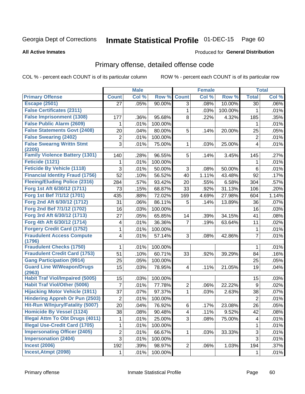#### **Inmate Statistical Profile 01-DEC-15** Page 60

### **All Active Inmates**

## **Produced for General Distribution**

## Primary offense, detailed offense code

COL % - percent each COUNT is of its particular column

|                                            |                         | <b>Male</b> |         |                         | <b>Female</b> |         |                           | <b>Total</b> |
|--------------------------------------------|-------------------------|-------------|---------|-------------------------|---------------|---------|---------------------------|--------------|
| <b>Primary Offense</b>                     | <b>Count</b>            | Col %       | Row %   | <b>Count</b>            | Col %         | Row %   | <b>Total</b>              | Col %        |
| <b>Escape (2501)</b>                       | 27                      | .05%        | 90.00%  | 3                       | .08%          | 10.00%  | 30                        | .06%         |
| <b>False Certificates (2311)</b>           |                         |             |         | $\mathbf{1}$            | .03%          | 100.00% | 1                         | .01%         |
| <b>False Imprisonment (1308)</b>           | 177                     | .36%        | 95.68%  | 8                       | .22%          | 4.32%   | 185                       | .35%         |
| <b>False Public Alarm (2609)</b>           | 1                       | .01%        | 100.00% |                         |               |         | 1                         | .01%         |
| <b>False Statements Govt (2408)</b>        | 20                      | .04%        | 80.00%  | 5                       | .14%          | 20.00%  | 25                        | .05%         |
| <b>False Swearing (2402)</b>               | $\overline{\mathbf{c}}$ | .01%        | 100.00% |                         |               |         | $\boldsymbol{2}$          | .01%         |
| <b>False Swearng Writtn Stmt</b><br>(2205) | 3                       | .01%        | 75.00%  | 1                       | .03%          | 25.00%  | 4                         | .01%         |
| <b>Family Violence Battery (1301)</b>      | 140                     | .28%        | 96.55%  | 5                       | .14%          | 3.45%   | 145                       | .27%         |
| Feticide (1121)                            | 1                       | .01%        | 100.00% |                         |               |         | 1                         | .01%         |
| <b>Feticide By Vehicle (1118)</b>          | 3                       | .01%        | 50.00%  | 3                       | .08%          | 50.00%  | $6\phantom{1}6$           | .01%         |
| <b>Financial Identity Fraud (1756)</b>     | 52                      | .10%        | 56.52%  | 40                      | 1.11%         | 43.48%  | 92                        | .17%         |
| <b>Fleeing/Eluding Police (2316)</b>       | 284                     | .57%        | 93.42%  | 20                      | .55%          | 6.58%   | 304                       | .57%         |
| Forg 1st Aft 6/30/12 (1711)                | 73                      | .15%        | 68.87%  | 33                      | .92%          | 31.13%  | 106                       | .20%         |
| Forg 1st Bef 7/1/12 (1701)                 | 435                     | .88%        | 72.02%  | 169                     | 4.69%         | 27.98%  | 604                       | 1.14%        |
| Forg 2nd Aft 6/30/12 (1712)                | 31                      | .06%        | 86.11%  | 5                       | .14%          | 13.89%  | 36                        | .07%         |
| Forg 2nd Bef 7/1/12 (1702)                 | 16                      | .03%        | 100.00% |                         |               |         | 16                        | .03%         |
| Forg 3rd Aft 6/30/12 (1713)                | 27                      | .05%        | 65.85%  | 14                      | .39%          | 34.15%  | 41                        | .08%         |
| Forg 4th Aft 6/30/12 (1714)                | 4                       | .01%        | 36.36%  | $\overline{7}$          | .19%          | 63.64%  | 11                        | .02%         |
| <b>Forgery Credit Card (1752)</b>          | 1                       | .01%        | 100.00% |                         |               |         | 1                         | .01%         |
| <b>Fraudulent Access Compute</b><br>(1796) | 4                       | .01%        | 57.14%  | 3                       | .08%          | 42.86%  | $\overline{7}$            | .01%         |
| <b>Fraudulent Checks (1750)</b>            | 1                       | .01%        | 100.00% |                         |               |         | $\mathbf 1$               | .01%         |
| <b>Fraudulent Credit Card (1753)</b>       | 51                      | .10%        | 60.71%  | 33                      | .92%          | 39.29%  | 84                        | .16%         |
| <b>Gang Participation (9914)</b>           | 25                      | .05%        | 100.00% |                         |               |         | 25                        | .05%         |
| <b>Guard Line W/Weapon/Drugs</b><br>(2963) | 15                      | .03%        | 78.95%  | $\overline{\mathbf{4}}$ | .11%          | 21.05%  | 19                        | .04%         |
| <b>Habit Traf Viol/Impaired (5005)</b>     | 15                      | .03%        | 100.00% |                         |               |         | 15                        | .03%         |
| <b>Habit Traf Viol/Other (5006)</b>        | 7                       | .01%        | 77.78%  | $\overline{c}$          | .06%          | 22.22%  | 9                         | .02%         |
| <b>Hijacking Motor Vehicle (1911)</b>      | 37                      | .07%        | 97.37%  | $\mathbf 1$             | .03%          | 2.63%   | 38                        | .07%         |
| <b>Hindering Appreh Or Pun (2503)</b>      | 2                       | .01%        | 100.00% |                         |               |         | $\overline{2}$            | .01%         |
| Hit-Run W/Injury/Fatality (5007)           | 20                      | .04%        | 76.92%  | 6                       | .17%          | 23.08%  | 26                        | .05%         |
| <b>Homicide By Vessel (1124)</b>           | 38                      | .08%        | 90.48%  | $4\vert$                | .11%          | 9.52%   | 42                        | .08%         |
| <b>Illegal Attm To Obt Drugs (4011)</b>    |                         | .01%        | 25.00%  | 3 <sup>1</sup>          | .08%          | 75.00%  | 4                         | .01%         |
| <b>Illegal Use-Credit Card (1705)</b>      | 1                       | .01%        | 100.00% |                         |               |         | 1                         | .01%         |
| <b>Impersonating Officer (2405)</b>        | 2                       | .01%        | 66.67%  | 1                       | .03%          | 33.33%  | $\ensuremath{\mathsf{3}}$ | .01%         |
| <b>Impersonation (2404)</b>                | $\overline{3}$          | .01%        | 100.00% |                         |               |         | 3                         | .01%         |
| <b>Incest (2006)</b>                       | 192                     | .39%        | 98.97%  | $\overline{2}$          | .06%          | 1.03%   | 194                       | .37%         |
| Incest, Atmpt (2098)                       | 1                       | .01%        | 100.00% |                         |               |         | 1                         | .01%         |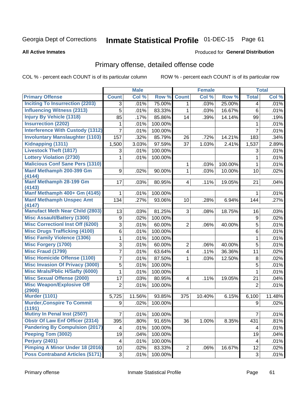#### **Inmate Statistical Profile 01-DEC-15** Page 61

### **All Active Inmates**

## Produced for General Distribution

## Primary offense, detailed offense code

COL % - percent each COUNT is of its particular column

|                                         |                | <b>Male</b> |                  |                         | <b>Female</b> |         |                | <b>Total</b> |
|-----------------------------------------|----------------|-------------|------------------|-------------------------|---------------|---------|----------------|--------------|
| <b>Primary Offense</b>                  | <b>Count</b>   | Col %       | Row <sup>%</sup> | <b>Count</b>            | Col %         | Row %   | <b>Total</b>   | Col %        |
| <b>Inciting To Insurrection (2203)</b>  | 3 <sup>1</sup> | .01%        | 75.00%           | 1                       | .03%          | 25.00%  | 4              | .01%         |
| <b>Influencing Witness (2313)</b>       | 5              | .01%        | 83.33%           | 1                       | .03%          | 16.67%  | 6              | .01%         |
| <b>Injury By Vehicle (1318)</b>         | 85             | .17%        | 85.86%           | 14                      | .39%          | 14.14%  | 99             | .19%         |
| <b>Insurrection (2202)</b>              | 1              | .01%        | 100.00%          |                         |               |         | 1              | .01%         |
| <b>Interference With Custody (1312)</b> | $\overline{7}$ | .01%        | 100.00%          |                         |               |         | $\overline{7}$ | .01%         |
| <b>Involuntary Manslaughter (1103)</b>  | 157            | .32%        | 85.79%           | 26                      | .72%          | 14.21%  | 183            | .34%         |
| Kidnapping (1311)                       | 1,500          | 3.03%       | 97.59%           | 37                      | 1.03%         | 2.41%   | 1,537          | 2.89%        |
| <b>Livestock Theft (1817)</b>           | 3              | .01%        | 100.00%          |                         |               |         | 3              | .01%         |
| <b>Lottery Violation (2730)</b>         | 1              | .01%        | 100.00%          |                         |               |         | 1              | .01%         |
| <b>Malicious Conf Sane Pers (1310)</b>  |                |             |                  | 1                       | .03%          | 100.00% | 1              | .01%         |
| Manf Methamph 200-399 Gm                | 9              | .02%        | 90.00%           | 1                       | .03%          | 10.00%  | 10             | .02%         |
| (4144)                                  |                |             |                  |                         |               |         |                |              |
| <b>Manf Methamph 28-199 Gm</b>          | 17             | .03%        | 80.95%           | $\overline{4}$          | .11%          | 19.05%  | 21             | .04%         |
| (4143)<br>Manf Methamph 400+ Gm (4145)  | $\mathbf{1}$   | .01%        | 100.00%          |                         |               |         | 1.             | .01%         |
| <b>Manf Methamph Unspec Amt</b>         | 134            | .27%        | 93.06%           | 10                      | .28%          | 6.94%   | 144            | .27%         |
| (4147)                                  |                |             |                  |                         |               |         |                |              |
| <b>Manufact Meth Near Child (2803)</b>  | 13             | .03%        | 81.25%           | 3                       | .08%          | 18.75%  | 16             | .03%         |
| <b>Misc Assault/Battery (1300)</b>      | 9              | .02%        | 100.00%          |                         |               |         | 9              | .02%         |
| <b>Misc Correctionl Inst Off (6200)</b> | 3              | .01%        | 60.00%           | $\overline{2}$          | .06%          | 40.00%  | 5              | .01%         |
| <b>Misc Drugs Trafficking (4100)</b>    | 6              | .01%        | 100.00%          |                         |               |         | 6              | .01%         |
| <b>Misc Family Violence (1306)</b>      | 1              | .01%        | 100.00%          |                         |               |         | 1              | .01%         |
| <b>Misc Forgery (1700)</b>              | 3              | .01%        | 60.00%           | $\overline{2}$          | .06%          | 40.00%  | 5              | .01%         |
| <b>Misc Fraud (1799)</b>                | $\overline{7}$ | .01%        | 63.64%           | $\overline{\mathbf{4}}$ | .11%          | 36.36%  | 11             | .02%         |
| <b>Misc Homicide Offense (1100)</b>     | 7              | .01%        | 87.50%           | 1                       | .03%          | 12.50%  | 8              | .02%         |
| <b>Misc Invasion Of Privacy (3000)</b>  | 5              | .01%        | 100.00%          |                         |               |         | 5              | .01%         |
| <b>Misc Mrals/Pblic H/Safty (6000)</b>  | 1              | .01%        | 100.00%          |                         |               |         | 1              | .01%         |
| <b>Misc Sexual Offense (2000)</b>       | 17             | .03%        | 80.95%           | $\overline{\mathbf{4}}$ | .11%          | 19.05%  | 21             | .04%         |
| <b>Misc Weapon/Explosive Off</b>        | $\overline{2}$ | .01%        | 100.00%          |                         |               |         | $\overline{2}$ | .01%         |
| (2900)                                  |                |             |                  |                         |               |         |                |              |
| <b>Murder (1101)</b>                    | 5,725          | 11.56%      | 93.85%           | 375                     | 10.40%        | 6.15%   | 6,100          | 11.48%       |
| <b>Murder, Conspire To Commit</b>       | 9              | .02%        | 100.00%          |                         |               |         | 9              | .02%         |
| (1191)<br>Mutiny In Penal Inst (2507)   | $\overline{7}$ | .01%        | 100.00%          |                         |               |         | $\overline{7}$ | .01%         |
| <b>Obstr Of Law Enf Officer (2314)</b>  | 395            | .80%        | 91.65%           | 36                      | 1.00%         | 8.35%   | 431            | .81%         |
| <b>Pandering By Compulsion (2017)</b>   | 4              | .01%        | 100.00%          |                         |               |         | 4              | .01%         |
| Peeping Tom (3002)                      | 19             | .04%        | 100.00%          |                         |               |         | 19             | .04%         |
| Perjury (2401)                          | 4              | .01%        | 100.00%          |                         |               |         | 4              | .01%         |
| <b>Pimping A Minor Under 18 (2016)</b>  | 10             | .02%        | 83.33%           | $\overline{2}$          | .06%          | 16.67%  | 12             | .02%         |
| <b>Poss Contraband Articles (5171)</b>  |                |             |                  |                         |               |         |                |              |
|                                         | 3              | .01%        | 100.00%          |                         |               |         | 3              | .01%         |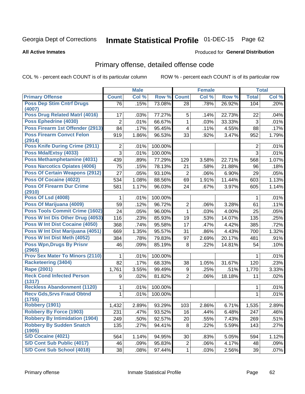# Inmate Statistical Profile 01-DEC-15 Page 62

### **All Active Inmates**

### Produced for General Distribution

## Primary offense, detailed offense code

COL % - percent each COUNT is of its particular column

|                                             |                | <b>Male</b> |         |                | <b>Female</b> |        |              | <b>Total</b> |
|---------------------------------------------|----------------|-------------|---------|----------------|---------------|--------|--------------|--------------|
| <b>Primary Offense</b>                      | <b>Count</b>   | Col %       | Row %   | <b>Count</b>   | Col %         | Row %  | <b>Total</b> | Col %        |
| <b>Poss Dep Stim Cntrf Drugs</b>            | 76             | .15%        | 73.08%  | 28             | .78%          | 26.92% | 104          | .20%         |
| (4007)                                      |                |             |         |                |               |        |              |              |
| Poss Drug Related Matrl (4016)              | 17             | .03%        | 77.27%  | 5              | .14%          | 22.73% | 22           | .04%         |
| Poss Ephedrine (4030)                       | $\overline{2}$ | .01%        | 66.67%  | 1              | .03%          | 33.33% | 3            | .01%         |
| Poss Firearm 1st Offender (2913)            | 84             | .17%        | 95.45%  | 4              | .11%          | 4.55%  | 88           | .17%         |
| <b>Poss Firearm Convct Felon</b><br>(2914)  | 919            | 1.86%       | 96.53%  | 33             | .92%          | 3.47%  | 952          | 1.79%        |
| <b>Poss Knife During Crime (2911)</b>       | $\overline{2}$ | .01%        | 100.00% |                |               |        | 2            | .01%         |
| Poss Mda/Extsy (4033)                       | 3              | .01%        | 100.00% |                |               |        | 3            | .01%         |
| Poss Methamphetamine (4031)                 | 439            | .89%        | 77.29%  | 129            | 3.58%         | 22.71% | 568          | 1.07%        |
| <b>Poss Narcotics Opiates (4006)</b>        | 75             | .15%        | 78.13%  | 21             | .58%          | 21.88% | 96           | .18%         |
| <b>Poss Of Certain Weapons (2912)</b>       | 27             | .05%        | 93.10%  | $\overline{2}$ | .06%          | 6.90%  | 29           | .05%         |
| <b>Poss Of Cocaine (4022)</b>               | 534            | 1.08%       | 88.56%  | 69             | 1.91%         | 11.44% | 603          | 1.13%        |
| <b>Poss Of Firearm Dur Crime</b>            | 581            | 1.17%       | 96.03%  | 24             | .67%          | 3.97%  | 605          | 1.14%        |
| (2910)                                      |                |             |         |                |               |        |              |              |
| <b>Poss Of Lsd (4008)</b>                   | 1              | .01%        | 100.00% |                |               |        | 1            | .01%         |
| Poss Of Marijuana (4009)                    | 59             | .12%        | 96.72%  | 2              | .06%          | 3.28%  | 61           | .11%         |
| Poss Tools Commit Crime (1602)              | 24             | .05%        | 96.00%  | $\mathbf 1$    | .03%          | 4.00%  | 25           | .05%         |
| Poss W Int Dis Other Drug (4053)            | 116            | .23%        | 85.93%  | 19             | .53%          | 14.07% | 135          | .25%         |
| <b>Poss W Int Dist Cocaine (4050)</b>       | 368            | .74%        | 95.58%  | 17             | .47%          | 4.42%  | 385          | .72%         |
| Poss W Int Dist Marijuana (4051)            | 669            | 1.35%       | 95.57%  | 31             | .86%          | 4.43%  | 700          | 1.32%        |
| Poss W Int Dist Meth (4052)                 | 384            | .78%        | 79.83%  | 97             | 2.69%         | 20.17% | 481          | .91%         |
| <b>Poss Wpn, Drugs By Prisnr</b>            | 46             | .09%        | 85.19%  | 8              | .22%          | 14.81% | 54           | .10%         |
| (2965)                                      |                |             |         |                |               |        |              |              |
| <b>Prov Sex Mater To Minors (2110)</b>      | 1              | .01%        | 100.00% |                |               |        | 1            | .01%         |
| <b>Racketeering (3404)</b>                  | 82             | .17%        | 68.33%  | 38             | 1.05%         | 31.67% | 120          | .23%         |
| <b>Rape (2001)</b>                          | 1,761          | 3.55%       | 99.49%  | 9              | .25%          | .51%   | 1,770        | 3.33%        |
| <b>Reck Cond Infected Person</b>            | 9              | .02%        | 81.82%  | $\overline{2}$ | .06%          | 18.18% | 11           | .02%         |
| (1317)                                      |                |             |         |                |               |        |              |              |
| <b>Reckless Abandonment (1120)</b>          | 1              | .01%        | 100.00% |                |               |        | 1            | .01%         |
| <b>Recv Gds, Srvs Fraud Obtnd</b><br>(1755) | $\mathbf{1}$   | .01%        | 100.00% |                |               |        | 1            | .01%         |
| Robbery (1901)                              | 1,432          | 2.89%       | 93.29%  | 103            | 2.86%         | 6.71%  | 1,535        | 2.89%        |
| <b>Robbery By Force (1903)</b>              | 231            | .47%        | 93.52%  | 16             | .44%          | 6.48%  | 247          | .46%         |
| <b>Robbery By Intimidation (1904)</b>       | 249            | .50%        | 92.57%  | 20             | .55%          | 7.43%  | 269          | .51%         |
| <b>Robbery By Sudden Snatch</b>             | 135            | .27%        | 94.41%  | 8              | .22%          | 5.59%  | 143          | .27%         |
| (1905)                                      |                |             |         |                |               |        |              |              |
| S/D Cocaine (4021)                          | 564            | 1.14%       | 94.95%  | 30             | .83%          | 5.05%  | 594          | 1.12%        |
| S/D Cont Sub Public (4017)                  | 46             | .09%        | 95.83%  | $\overline{2}$ | .06%          | 4.17%  | 48           | .09%         |
| S/D Cont Sub School (4018)                  | 38             | .08%        | 97.44%  | $\mathbf{1}$   | .03%          | 2.56%  | 39           | .07%         |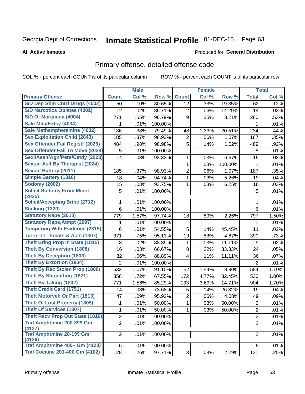# Inmate Statistical Profile 01-DEC-15 Page 63

### **All Active Inmates**

## Produced for General Distribution

## Primary offense, detailed offense code

COL % - percent each COUNT is of its particular column

|                                            |                | <b>Male</b> |         | <b>Female</b>  |       |         |                | <b>Total</b> |
|--------------------------------------------|----------------|-------------|---------|----------------|-------|---------|----------------|--------------|
| <b>Primary Offense</b>                     | <b>Count</b>   | Col %       | Row %   | <b>Count</b>   | Col % | Row %   | <b>Total</b>   | Col %        |
| S/D Dep Stim Cntrf Drugs (4002)            | 50             | .10%        | 80.65%  | 12             | .33%  | 19.35%  | 62             | .12%         |
| <b>S/D Narcotics Opiates (4001)</b>        | 12             | .02%        | 85.71%  | 2              | .06%  | 14.29%  | 14             | .03%         |
| S/D Of Marijuana (4004)                    | 271            | .55%        | 96.79%  | 9              | .25%  | 3.21%   | 280            | .53%         |
| Sale Mda/Extsy (4034)                      | 1              | .01%        | 100.00% |                |       |         | 1              | .01%         |
| Sale Methamphetamine (4032)                | 186            | .38%        | 79.49%  | 48             | 1.33% | 20.51%  | 234            | .44%         |
| <b>Sex Exploitation Child (2843)</b>       | 185            | .37%        | 98.93%  | 2              | .06%  | 1.07%   | 187            | .35%         |
| <b>Sex Offender Fail Registr (2026)</b>    | 484            | .98%        | 98.98%  | 5              | .14%  | 1.02%   | 489            | .92%         |
| <b>Sex Offender Fail To Move (2028)</b>    | 5              | .01%        | 100.00% |                |       |         | 5              | .01%         |
| Sexl/Asslt/Agn/Pers/Cstdy (2023)           | 14             | .03%        | 93.33%  | 1              | .03%  | 6.67%   | 15             | .03%         |
| <b>Sexual Aslt By Therapist (2024)</b>     |                |             |         | 1              | .03%  | 100.00% | 1              | .01%         |
| <b>Sexual Battery (2011)</b>               | 185            | .37%        | 98.93%  | $\overline{2}$ | .06%  | 1.07%   | 187            | .35%         |
| Simple Battery (1316)                      | 18             | .04%        | 94.74%  | 1              | .03%  | 5.26%   | 19             | .04%         |
| <b>Sodomy (2002)</b>                       | 15             | .03%        | 93.75%  | 1              | .03%  | 6.25%   | 16             | .03%         |
| <b>Solicit Sodomy From Minor</b><br>(2025) | 5              | .01%        | 100.00% |                |       |         | 5              | .01%         |
| <b>Solicit/Accepting Bribe (2712)</b>      | 1              | .01%        | 100.00% |                |       |         | 1              | .01%         |
| <b>Stalking (1320)</b>                     | 6              | .01%        | 100.00% |                |       |         | $6\phantom{1}$ | .01%         |
| <b>Statutory Rape (2018)</b>               | 779            | 1.57%       | 97.74%  | 18             | .50%  | 2.26%   | 797            | 1.50%        |
| <b>Statutory Rape, Atmpt (2097)</b>        | 1              | .01%        | 100.00% |                |       |         | 1              | .01%         |
| <b>Tampering With Evidence (2315)</b>      | 6              | .01%        | 54.55%  | 5              | .14%  | 45.45%  | 11             | .02%         |
| <b>Terrorist Threats &amp; Acts (1307)</b> | 371            | .75%        | 95.13%  | 19             | .53%  | 4.87%   | 390            | .73%         |
| <b>Theft Bring Prop In State (1815)</b>    | 8              | .02%        | 88.89%  | 1              | .03%  | 11.11%  | 9              | .02%         |
| <b>Theft By Conversion (1808)</b>          | 16             | .03%        | 66.67%  | 8              | .22%  | 33.33%  | 24             | .05%         |
| <b>Theft By Deception (1803)</b>           | 32             | .06%        | 88.89%  | 4              | .11%  | 11.11%  | 36             | .07%         |
| <b>Theft By Extortion (1804)</b>           | $\overline{2}$ | .01%        | 100.00% |                |       |         | 2              | .01%         |
| Theft By Rec Stolen Prop (1806)            | 532            | 1.07%       | 91.10%  | 52             | 1.44% | 8.90%   | 584            | 1.10%        |
| <b>Theft By Shoplifting (1821)</b>         | 358            | .72%        | 67.55%  | 172            | 4.77% | 32.45%  | 530            | 1.00%        |
| <b>Theft By Taking (1802)</b>              | 771            | 1.56%       | 85.29%  | 133            | 3.69% | 14.71%  | 904            | 1.70%        |
| <b>Theft Credit Card (1751)</b>            | 14             | .03%        | 73.68%  | 5              | .14%  | 26.32%  | 19             | .04%         |
| <b>Theft Motorveh Or Part (1813)</b>       | 47             | .09%        | 95.92%  | $\overline{2}$ | .06%  | 4.08%   | 49             | .09%         |
| <b>Theft Of Lost Property (1805)</b>       | 1              | .01%        | 50.00%  | 1              | .03%  | 50.00%  | $\mathbf 2$    | .01%         |
| <b>Theft Of Services (1807)</b>            | $\mathbf{1}$   | .01%        | 50.00%  | $\mathbf{1}$   | .03%  | 50.00%  | $\overline{2}$ | .01%         |
| <b>Theft Recv Prop Out State (1816)</b>    | $\overline{2}$ | .01%        | 100.00% |                |       |         | $\overline{2}$ | .01%         |
| <b>Traf Amphtmine 200-399 Gm</b>           | $\overline{2}$ | .01%        | 100.00% |                |       |         | $\overline{2}$ | .01%         |
| (4127)                                     |                |             |         |                |       |         |                |              |
| <b>Traf Amphtmine 28-199 Gm</b><br>(4126)  | $\overline{2}$ | .01%        | 100.00% |                |       |         | $\overline{2}$ | .01%         |
| Traf Amphtmine 400+ Gm (4128)              | 6              | .01%        | 100.00% |                |       |         | 6              | .01%         |
| <b>Traf Cocaine 201-400 Gm (4102)</b>      | 128            | .26%        | 97.71%  | 3 <sup>1</sup> | .08%  | 2.29%   | 131            | .25%         |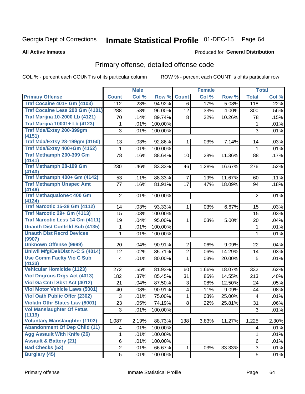# Inmate Statistical Profile 01-DEC-15 Page 64

Produced for General Distribution

### **All Active Inmates**

## Primary offense, detailed offense code

COL % - percent each COUNT is of its particular column

| Col %<br>Row %<br><b>Count</b><br>Col %<br>Row %<br>Col %<br><b>Primary Offense</b><br><b>Count</b><br><b>Total</b><br><b>Traf Cocaine 401+ Gm (4103)</b><br>.23%<br>94.92%<br>.17%<br>5.08%<br>112<br>118<br>.22%<br>6<br>Traf Cocaine Less 200 Gm (4101)<br>96.00%<br>12<br>.33%<br>300<br>288<br>.58%<br>4.00%<br>.56%<br><b>Traf Marijna 10-2000 Lb (4121)</b><br>70<br>89.74%<br>.14%<br>8<br>.22%<br>10.26%<br>.15%<br>78<br><b>Traf Marijna 10001+ Lb (4123)</b><br>.01%<br>100.00%<br>.01%<br>1<br>1<br><b>Traf Mda/Extsy 200-399gm</b><br>3<br>3<br>100.00%<br>.01%<br>.01% |
|--------------------------------------------------------------------------------------------------------------------------------------------------------------------------------------------------------------------------------------------------------------------------------------------------------------------------------------------------------------------------------------------------------------------------------------------------------------------------------------------------------------------------------------------------------------------------------------|
|                                                                                                                                                                                                                                                                                                                                                                                                                                                                                                                                                                                      |
|                                                                                                                                                                                                                                                                                                                                                                                                                                                                                                                                                                                      |
|                                                                                                                                                                                                                                                                                                                                                                                                                                                                                                                                                                                      |
|                                                                                                                                                                                                                                                                                                                                                                                                                                                                                                                                                                                      |
|                                                                                                                                                                                                                                                                                                                                                                                                                                                                                                                                                                                      |
|                                                                                                                                                                                                                                                                                                                                                                                                                                                                                                                                                                                      |
| (4151)                                                                                                                                                                                                                                                                                                                                                                                                                                                                                                                                                                               |
| <b>Traf Mda/Extsy 28-199gm (4150)</b><br>92.86%<br>.03%<br>13<br>.03%<br>.03%<br>7.14%<br>$\mathbf 1$<br>14                                                                                                                                                                                                                                                                                                                                                                                                                                                                          |
| Traf Mda/Extsy 400+Gm (4152)<br>.01%<br>100.00%<br>1<br>.01%<br>1                                                                                                                                                                                                                                                                                                                                                                                                                                                                                                                    |
| <b>Traf Methamph 200-399 Gm</b><br>78<br>11.36%<br>.16%<br>88.64%<br>88<br>.17%<br>10<br>.28%<br>(4141)                                                                                                                                                                                                                                                                                                                                                                                                                                                                              |
| <b>Traf Methamph 28-199 Gm</b><br>83.33%<br>.52%<br>230<br>1.28%<br>16.67%<br>276<br>.46%<br>46                                                                                                                                                                                                                                                                                                                                                                                                                                                                                      |
| (4140)                                                                                                                                                                                                                                                                                                                                                                                                                                                                                                                                                                               |
| Traf Methamph 400+ Gm (4142)<br>53<br>.11%<br>88.33%<br>$\overline{7}$<br>11.67%<br>.11%<br>.19%<br>60                                                                                                                                                                                                                                                                                                                                                                                                                                                                               |
| <b>Traf Methamph Unspec Amt</b><br>77<br>81.91%<br>17<br>.16%<br>.47%<br>18.09%<br>.18%<br>94                                                                                                                                                                                                                                                                                                                                                                                                                                                                                        |
| (4146)                                                                                                                                                                                                                                                                                                                                                                                                                                                                                                                                                                               |
| <b>Traf Methaqualone&lt; 400 Gm</b><br>$\overline{2}$<br>100.00%<br>$\overline{2}$<br>.01%<br>.01%<br>(4124)                                                                                                                                                                                                                                                                                                                                                                                                                                                                         |
| <b>Traf Narcotic 15-28 Gm (4112)</b><br>93.33%<br>14<br>.03%<br>6.67%<br>.03%<br>$\mathbf{1}$<br>.03%<br>15                                                                                                                                                                                                                                                                                                                                                                                                                                                                          |
| Traf Narcotic 29+ Gm (4113)<br>15<br>.03%<br>100.00%<br>15<br>.03%                                                                                                                                                                                                                                                                                                                                                                                                                                                                                                                   |
| <b>Traf Narcotic Less 14 Gm (4111)</b><br>95.00%<br>19<br>.04%<br>$\mathbf{1}$<br>.03%<br>5.00%<br>20<br>.04%                                                                                                                                                                                                                                                                                                                                                                                                                                                                        |
| <b>Unauth Dist Contrild Sub (4135)</b><br>100.00%<br>.01%<br>.01%<br>1<br>1                                                                                                                                                                                                                                                                                                                                                                                                                                                                                                          |
| <b>Unauth Dist Recrd Devices</b><br>100.00%<br>.01%<br>1<br>.01%<br>1                                                                                                                                                                                                                                                                                                                                                                                                                                                                                                                |
| (9907)                                                                                                                                                                                                                                                                                                                                                                                                                                                                                                                                                                               |
| <b>Unknown Offense (9999)</b><br>90.91%<br>$\overline{2}$<br>20<br>.04%<br>.06%<br>9.09%<br>22<br>.04%                                                                                                                                                                                                                                                                                                                                                                                                                                                                               |
| Uniwfl Mfg/Del/Dist N-C S (4014)<br>12<br>85.71%<br>$\overline{2}$<br>.02%<br>.06%<br>14.29%<br>.03%<br>14                                                                                                                                                                                                                                                                                                                                                                                                                                                                           |
| <b>Use Comm Facity Vio C Sub</b><br>.01%<br>4<br>.01%<br>80.00%<br>$\mathbf{1}$<br>.03%<br>20.00%<br>5                                                                                                                                                                                                                                                                                                                                                                                                                                                                               |
| (4133)<br><b>Vehicular Homicide (1123)</b>                                                                                                                                                                                                                                                                                                                                                                                                                                                                                                                                           |
| 81.93%<br>332<br>272<br>.55%<br>1.66%<br>18.07%<br>.62%<br>60<br><b>Viol Dngrous Drgs Act (4013)</b>                                                                                                                                                                                                                                                                                                                                                                                                                                                                                 |
| 182<br>.37%<br>85.45%<br>14.55%<br>213<br>.40%<br>31<br>.86%<br>Viol Ga Cntrl Sbst Act (4012)                                                                                                                                                                                                                                                                                                                                                                                                                                                                                        |
| 21<br>87.50%<br>3<br>12.50%<br>.04%<br>.08%<br>.05%<br>24<br><b>Viol Motor Vehicle Laws (5001)</b>                                                                                                                                                                                                                                                                                                                                                                                                                                                                                   |
| 90.91%<br>$\overline{\mathbf{4}}$<br>.11%<br>40<br>.08%<br>9.09%<br>44<br>.08%<br><b>Viol Oath Public Offcr (2302)</b>                                                                                                                                                                                                                                                                                                                                                                                                                                                               |
| 3<br>75.00%<br>25.00%<br>.01%<br>1<br>.03%<br>.01%<br>4<br>Violatn Othr States Law (8001)                                                                                                                                                                                                                                                                                                                                                                                                                                                                                            |
| 74.19%<br>23<br>.05%<br>8<br>.22%<br>25.81%<br>31<br>.06%<br><b>Vol Manslaughter Of Fetus</b>                                                                                                                                                                                                                                                                                                                                                                                                                                                                                        |
| $\overline{\omega}$<br>.01%<br>100.00%<br>$\overline{3}$<br>.01%<br>(1119)                                                                                                                                                                                                                                                                                                                                                                                                                                                                                                           |
| <b>Voluntary Manslaughter (1102)</b><br>1,087<br>2.19%<br>88.73%<br>138<br>3.83%<br>11.27%<br>1,225<br>2.30%                                                                                                                                                                                                                                                                                                                                                                                                                                                                         |
| <b>Abandonment Of Dep Child (11)</b><br>.01%<br>100.00%<br>.01%<br>4<br>4                                                                                                                                                                                                                                                                                                                                                                                                                                                                                                            |
| <b>Agg Assault With Knife (26)</b><br>.01%<br>100.00%<br>1<br>.01%<br>1                                                                                                                                                                                                                                                                                                                                                                                                                                                                                                              |
| <b>Assault &amp; Battery (21)</b><br>6<br>.01%<br>100.00%<br>6<br>.01%                                                                                                                                                                                                                                                                                                                                                                                                                                                                                                               |
| <b>Bad Checks (52)</b><br>$\overline{2}$<br>$\mathbf{3}$<br>.01%<br>66.67%<br>33.33%<br>.01%<br>1<br>.03%                                                                                                                                                                                                                                                                                                                                                                                                                                                                            |
| <b>Burglary (45)</b><br>5<br>100.00%<br>5<br>.01%<br>.01%                                                                                                                                                                                                                                                                                                                                                                                                                                                                                                                            |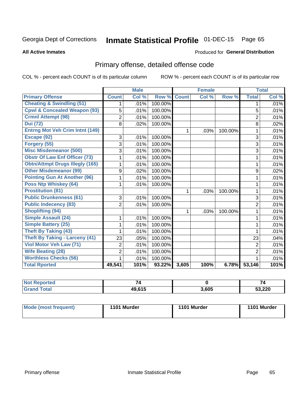#### **Inmate Statistical Profile 01-DEC-15** Page 65

**All Active Inmates** 

## Produced for General Distribution

## Primary offense, detailed offense code

COL % - percent each COUNT is of its particular column

|                                         |                | <b>Male</b> |         |              | <b>Female</b> |         | <b>Total</b>   |         |
|-----------------------------------------|----------------|-------------|---------|--------------|---------------|---------|----------------|---------|
| <b>Primary Offense</b>                  | <b>Count</b>   | Col %       | Row %   | <b>Count</b> | Col %         | Row %   | <b>Total</b>   | Col %   |
| <b>Cheating &amp; Swindling (51)</b>    |                | .01%        | 100.00% |              |               |         | 1              | .01%    |
| <b>Cpwl &amp; Concealed Weapon (93)</b> | 5              | .01%        | 100.00% |              |               |         | 5              | .01%    |
| <b>Crmnl Attempt (98)</b>               | $\overline{2}$ | .01%        | 100.00% |              |               |         | $\overline{2}$ | .01%    |
| <b>Dui (72)</b>                         | 8              | .02%        | 100.00% |              |               |         | 8              | $.02\%$ |
| <b>Entrng Mot Veh Crim Intnt (149)</b>  |                |             |         | 1            | .03%          | 100.00% | 1              | .01%    |
| Escape (92)                             | 3              | .01%        | 100.00% |              |               |         | 3              | .01%    |
| Forgery (55)                            | 3              | .01%        | 100.00% |              |               |         | 3              | .01%    |
| <b>Misc Misdemeanor (500)</b>           | 3              | .01%        | 100.00% |              |               |         | 3              | .01%    |
| <b>Obstr Of Law Enf Officer (73)</b>    |                | .01%        | 100.00% |              |               |         | 1              | .01%    |
| <b>Obtn/Attmpt Drugs Illegly (165)</b>  | 1              | .01%        | 100.00% |              |               |         | 1              | .01%    |
| <b>Other Misdemeanor (99)</b>           | 9              | .02%        | 100.00% |              |               |         | 9              | .02%    |
| <b>Pointing Gun At Another (96)</b>     |                | .01%        | 100.00% |              |               |         |                | .01%    |
| <b>Poss Ntp Whiskey (64)</b>            |                | .01%        | 100.00% |              |               |         | 1              | .01%    |
| <b>Prostitution (81)</b>                |                |             |         | 1            | .03%          | 100.00% | 1              | .01%    |
| <b>Public Drunkenness (61)</b>          | 3              | .01%        | 100.00% |              |               |         | 3              | .01%    |
| <b>Public Indecency (83)</b>            | $\overline{2}$ | .01%        | 100.00% |              |               |         | $\overline{2}$ | .01%    |
| <b>Shoplifting (94)</b>                 |                |             |         | 1            | .03%          | 100.00% | 1              | .01%    |
| <b>Simple Assault (24)</b>              | 1              | .01%        | 100.00% |              |               |         | 1              | .01%    |
| <b>Simple Battery (25)</b>              | 1              | .01%        | 100.00% |              |               |         | 1              | .01%    |
| <b>Theft By Taking (43)</b>             |                | .01%        | 100.00% |              |               |         |                | .01%    |
| <b>Theft By Taking - Larceny (41)</b>   | 23             | .05%        | 100.00% |              |               |         | 23             | .04%    |
| Viol Motor Veh Law (71)                 | $\overline{2}$ | .01%        | 100.00% |              |               |         | $\overline{2}$ | .01%    |
| <b>Wife Beating (28)</b>                | $\overline{2}$ | .01%        | 100.00% |              |               |         | $\overline{2}$ | .01%    |
| <b>Worthless Checks (56)</b>            |                | .01%        | 100.00% |              |               |         |                | .01%    |
| <b>Total Rported</b>                    | 49,541         | 101%        | 93.22%  | 3,605        | 100%          | 6.78%   | 53,146         | 101%    |

| 'ted | _      |       | 74     |
|------|--------|-------|--------|
|      | 49,615 | 3,605 | 53,220 |

| Mode (most frequent) | 1101 Murder | 1101 Murder | 1101 Murder |
|----------------------|-------------|-------------|-------------|
|                      |             |             |             |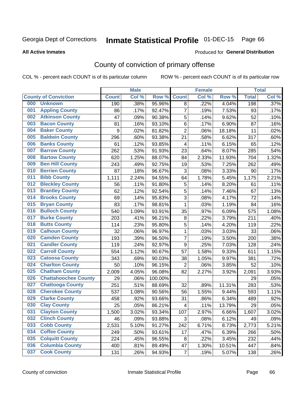# Inmate Statistical Profile 01-DEC-15 Page 66

### **All Active Inmates**

### Produced for General Distribution

## County of conviction of primary offense

COL % - percent each COUNT is of its particular column

|     |                             |              | <b>Male</b> |         |                          | <b>Female</b> |        |              | <b>Total</b> |
|-----|-----------------------------|--------------|-------------|---------|--------------------------|---------------|--------|--------------|--------------|
|     | <b>County of Conviction</b> | <b>Count</b> | Col %       | Row %   | <b>Count</b>             | Col %         | Row %  | <b>Total</b> | Col %        |
| 000 | <b>Unknown</b>              | 190          | .38%        | 95.96%  | 8                        | .22%          | 4.04%  | 198          | .37%         |
| 001 | <b>Appling County</b>       | 86           | .17%        | 92.47%  | $\overline{7}$           | .19%          | 7.53%  | 93           | .17%         |
| 002 | <b>Atkinson County</b>      | 47           | .09%        | 90.38%  | 5                        | .14%          | 9.62%  | 52           | .10%         |
| 003 | <b>Bacon County</b>         | 81           | .16%        | 93.10%  | 6                        | .17%          | 6.90%  | 87           | .16%         |
| 004 | <b>Baker County</b>         | 9            | .02%        | 81.82%  | $\overline{2}$           | .06%          | 18.18% | 11           | .02%         |
| 005 | <b>Baldwin County</b>       | 296          | .60%        | 93.38%  | 21                       | .58%          | 6.62%  | 317          | .60%         |
| 006 | <b>Banks County</b>         | 61           | .12%        | 93.85%  | $\overline{\mathbf{4}}$  | .11%          | 6.15%  | 65           | .12%         |
| 007 | <b>Barrow County</b>        | 262          | .53%        | 91.93%  | 23                       | .64%          | 8.07%  | 285          | .54%         |
| 008 | <b>Bartow County</b>        | 620          | 1.25%       | 88.07%  | 84                       | 2.33%         | 11.93% | 704          | 1.32%        |
| 009 | <b>Ben Hill County</b>      | 243          | .49%        | 92.75%  | 19                       | .53%          | 7.25%  | 262          | .49%         |
| 010 | <b>Berrien County</b>       | 87           | .18%        | 96.67%  | 3                        | .08%          | 3.33%  | 90           | .17%         |
| 011 | <b>Bibb County</b>          | 1,111        | 2.24%       | 94.55%  | 64                       | 1.78%         | 5.45%  | 1,175        | 2.21%        |
| 012 | <b>Bleckley County</b>      | 56           | .11%        | 91.80%  | 5                        | .14%          | 8.20%  | 61           | .11%         |
| 013 | <b>Brantley County</b>      | 62           | .12%        | 92.54%  | 5                        | .14%          | 7.46%  | 67           | .13%         |
| 014 | <b>Brooks County</b>        | 69           | .14%        | 95.83%  | $\overline{3}$           | .08%          | 4.17%  | 72           | .14%         |
| 015 | <b>Bryan County</b>         | 83           | .17%        | 98.81%  | $\mathbf 1$              | .03%          | 1.19%  | 84           | .16%         |
| 016 | <b>Bulloch County</b>       | 540          | 1.09%       | 93.91%  | 35                       | .97%          | 6.09%  | 575          | 1.08%        |
| 017 | <b>Burke County</b>         | 203          | .41%        | 96.21%  | 8                        | .22%          | 3.79%  | 211          | .40%         |
| 018 | <b>Butts County</b>         | 114          | .23%        | 95.80%  | 5                        | .14%          | 4.20%  | 119          | .22%         |
| 019 | <b>Calhoun County</b>       | 32           | .06%        | 96.97%  | $\mathbf{1}$             | .03%          | 3.03%  | 33           | .06%         |
| 020 | <b>Camden County</b>        | 193          | .39%        | 96.50%  | $\overline{7}$           | .19%          | 3.50%  | 200          | .38%         |
| 021 | <b>Candler County</b>       | 119          | .24%        | 92.97%  | 9                        | .25%          | 7.03%  | 128          | .24%         |
| 022 | <b>Carroll County</b>       | 554          | 1.12%       | 90.67%  | 57                       | 1.58%         | 9.33%  | 611          | 1.15%        |
| 023 | <b>Catoosa County</b>       | 343          | .69%        | 90.03%  | 38                       | 1.05%         | 9.97%  | 381          | .72%         |
| 024 | <b>Charlton County</b>      | 50           | .10%        | 96.15%  | $\overline{2}$           | .06%          | 3.85%  | 52           | .10%         |
| 025 | <b>Chatham County</b>       | 2,009        | 4.05%       | 96.08%  | 82                       | 2.27%         | 3.92%  | 2,091        | 3.93%        |
| 026 | <b>Chattahoochee County</b> | 29           | .06%        | 100.00% |                          |               |        | 29           | .05%         |
| 027 | <b>Chattooga County</b>     | 251          | .51%        | 88.69%  | 32                       | .89%          | 11.31% | 283          | .53%         |
| 028 | <b>Cherokee County</b>      | 537          | 1.08%       | 90.56%  | 56                       | 1.55%         | 9.44%  | 593          | 1.11%        |
| 029 | <b>Clarke County</b>        | 458          | .92%        | 93.66%  | 31                       | .86%          | 6.34%  | 489          | .92%         |
| 030 | <b>Clay County</b>          | 25           | .05%        | 86.21%  | $\overline{\mathcal{A}}$ | .11%          | 13.79% | 29           | .05%         |
| 031 | <b>Clayton County</b>       | 1,500        | 3.02%       | 93.34%  | 107                      | 2.97%         | 6.66%  | 1,607        | 3.02%        |
| 032 | <b>Clinch County</b>        | 46           | .09%        | 93.88%  | 3                        | .08%          | 6.12%  | 49           | .09%         |
| 033 | <b>Cobb County</b>          | 2,531        | 5.10%       | 91.27%  | 242                      | 6.71%         | 8.73%  | 2,773        | 5.21%        |
| 034 | <b>Coffee County</b>        | 249          | .50%        | 93.61%  | 17                       | .47%          | 6.39%  | 266          | .50%         |
| 035 | <b>Colquitt County</b>      | 224          | .45%        | 96.55%  | 8                        | .22%          | 3.45%  | 232          | .44%         |
| 036 | <b>Columbia County</b>      | 400          | .81%        | 89.49%  | 47                       | 1.30%         | 10.51% | 447          | .84%         |
| 037 | <b>Cook County</b>          | 131          | .26%        | 94.93%  | $\overline{7}$           | .19%          | 5.07%  | 138          | .26%         |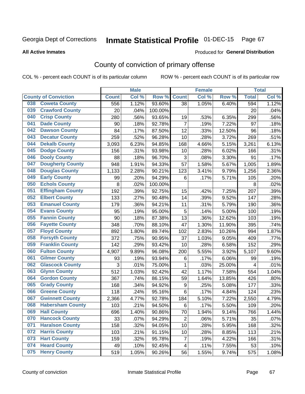# Inmate Statistical Profile 01-DEC-15 Page 67

**All Active Inmates** 

### Produced for General Distribution

## County of conviction of primary offense

COL % - percent each COUNT is of its particular column

|                                |              | <b>Male</b> |         |                | <b>Female</b> |        |              | <b>Total</b> |
|--------------------------------|--------------|-------------|---------|----------------|---------------|--------|--------------|--------------|
| <b>County of Conviction</b>    | <b>Count</b> | Col %       | Row %   | <b>Count</b>   | Col %         | Row %  | <b>Total</b> | Col %        |
| <b>Coweta County</b><br>038    | 556          | 1.12%       | 93.60%  | 38             | 1.05%         | 6.40%  | 594          | 1.12%        |
| <b>Crawford County</b><br>039  | 20           | .04%        | 100.00% |                |               |        | 20           | .04%         |
| <b>Crisp County</b><br>040     | 280          | .56%        | 93.65%  | 19             | .53%          | 6.35%  | 299          | .56%         |
| <b>Dade County</b><br>041      | 90           | .18%        | 92.78%  | $\overline{7}$ | .19%          | 7.22%  | 97           | .18%         |
| <b>Dawson County</b><br>042    | 84           | .17%        | 87.50%  | 12             | .33%          | 12.50% | 96           | .18%         |
| 043<br><b>Decatur County</b>   | 259          | .52%        | 96.28%  | 10             | .28%          | 3.72%  | 269          | .51%         |
| <b>Dekalb County</b><br>044    | 3,093        | 6.23%       | 94.85%  | 168            | 4.66%         | 5.15%  | 3,261        | 6.13%        |
| <b>Dodge County</b><br>045     | 156          | .31%        | 93.98%  | 10             | .28%          | 6.02%  | 166          | .31%         |
| <b>Dooly County</b><br>046     | 88           | .18%        | 96.70%  | 3              | .08%          | 3.30%  | 91           | .17%         |
| <b>Dougherty County</b><br>047 | 948          | 1.91%       | 94.33%  | 57             | 1.58%         | 5.67%  | 1,005        | 1.89%        |
| <b>Douglas County</b><br>048   | 1,133        | 2.28%       | 90.21%  | 123            | 3.41%         | 9.79%  | 1,256        | 2.36%        |
| <b>Early County</b><br>049     | 99           | .20%        | 94.29%  | 6              | .17%          | 5.71%  | 105          | .20%         |
| <b>Echols County</b><br>050    | 8            | .02%        | 100.00% |                |               |        | 8            | .02%         |
| <b>Effingham County</b><br>051 | 192          | .39%        | 92.75%  | 15             | .42%          | 7.25%  | 207          | .39%         |
| <b>Elbert County</b><br>052    | 133          | .27%        | 90.48%  | 14             | .39%          | 9.52%  | 147          | .28%         |
| <b>Emanuel County</b><br>053   | 179          | .36%        | 94.21%  | 11             | .31%          | 5.79%  | 190          | .36%         |
| <b>Evans County</b><br>054     | 95           | .19%        | 95.00%  | 5              | .14%          | 5.00%  | 100          | .19%         |
| <b>Fannin County</b><br>055    | 90           | .18%        | 87.38%  | 13             | .36%          | 12.62% | 103          | .19%         |
| <b>Fayette County</b><br>056   | 348          | .70%        | 88.10%  | 47             | 1.30%         | 11.90% | 395          | .74%         |
| <b>Floyd County</b><br>057     | 892          | 1.80%       | 89.74%  | 102            | 2.83%         | 10.26% | 994          | 1.87%        |
| <b>Forsyth County</b><br>058   | 372          | .75%        | 90.95%  | 37             | 1.03%         | 9.05%  | 409          | .77%         |
| <b>Franklin County</b><br>059  | 142          | .29%        | 93.42%  | 10             | .28%          | 6.58%  | 152          | .29%         |
| <b>Fulton County</b><br>060    | 4,907        | 9.89%       | 96.08%  | 200            | 5.55%         | 3.92%  | 5,107        | 9.60%        |
| <b>Gilmer County</b><br>061    | 93           | .19%        | 93.94%  | 6              | .17%          | 6.06%  | 99           | .19%         |
| <b>Glascock County</b><br>062  | 3            | .01%        | 75.00%  | 1              | .03%          | 25.00% | 4            | .01%         |
| 063<br><b>Glynn County</b>     | 512          | 1.03%       | 92.42%  | 42             | 1.17%         | 7.58%  | 554          | 1.04%        |
| <b>Gordon County</b><br>064    | 367          | .74%        | 86.15%  | 59             | 1.64%         | 13.85% | 426          | .80%         |
| 065<br><b>Grady County</b>     | 168          | .34%        | 94.92%  | 9              | .25%          | 5.08%  | 177          | .33%         |
| <b>Greene County</b><br>066    | 118          | .24%        | 95.16%  | $6\phantom{1}$ | .17%          | 4.84%  | 124          | .23%         |
| <b>Gwinnett County</b><br>067  | 2,366        | 4.77%       | 92.78%  | 184            | 5.10%         | 7.22%  | 2,550        | 4.79%        |
| <b>Habersham County</b><br>068 | 103          | .21%        | 94.50%  | 6              | .17%          | 5.50%  | 109          | .20%         |
| 069<br><b>Hall County</b>      | 696          | 1.40%       | 90.86%  | 70             | 1.94%         | 9.14%  | 766          | 1.44%        |
| <b>Hancock County</b><br>070   | 33           | .07%        | 94.29%  | $\overline{2}$ | .06%          | 5.71%  | 35           | .07%         |
| <b>Haralson County</b><br>071  | 158          | .32%        | 94.05%  | 10             | .28%          | 5.95%  | 168          | .32%         |
| <b>Harris County</b><br>072    | 103          | .21%        | 91.15%  | 10             | .28%          | 8.85%  | 113          | .21%         |
| <b>Hart County</b><br>073      | 159          | .32%        | 95.78%  | $\overline{7}$ | .19%          | 4.22%  | 166          | .31%         |
| <b>Heard County</b><br>074     | 49           | .10%        | 92.45%  | 4              | .11%          | 7.55%  | 53           | .10%         |
| <b>Henry County</b><br>075     | 519          | 1.05%       | 90.26%  | 56             | 1.55%         | 9.74%  | 575          | 1.08%        |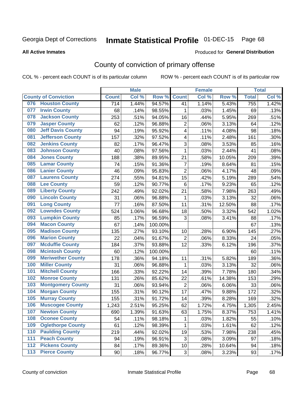# Inmate Statistical Profile 01-DEC-15 Page 68

### **All Active Inmates**

### Produced for General Distribution

## County of conviction of primary offense

COL % - percent each COUNT is of its particular column

|       |                             |                  | <b>Male</b> |                  |                | <b>Female</b> |        |              | <b>Total</b> |
|-------|-----------------------------|------------------|-------------|------------------|----------------|---------------|--------|--------------|--------------|
|       | <b>County of Conviction</b> | <b>Count</b>     | Col %       | Row <sup>%</sup> | <b>Count</b>   | Col %         | Row %  | <b>Total</b> | Col%         |
| 076   | <b>Houston County</b>       | $\overline{714}$ | 1.44%       | 94.57%           | 41             | 1.14%         | 5.43%  | 755          | 1.42%        |
| 077   | <b>Irwin County</b>         | 68               | .14%        | 98.55%           | 1              | .03%          | 1.45%  | 69           | .13%         |
| 078   | <b>Jackson County</b>       | 253              | .51%        | 94.05%           | 16             | .44%          | 5.95%  | 269          | .51%         |
| 079   | <b>Jasper County</b>        | 62               | .12%        | 96.88%           | $\overline{2}$ | .06%          | 3.13%  | 64           | .12%         |
| 080   | <b>Jeff Davis County</b>    | 94               | .19%        | 95.92%           | 4              | .11%          | 4.08%  | 98           | .18%         |
| 081   | <b>Jefferson County</b>     | 157              | .32%        | 97.52%           | 4              | .11%          | 2.48%  | 161          | .30%         |
| 082   | <b>Jenkins County</b>       | 82               | .17%        | 96.47%           | 3              | .08%          | 3.53%  | 85           | .16%         |
| 083   | <b>Johnson County</b>       | 40               | .08%        | 97.56%           | $\mathbf 1$    | .03%          | 2.44%  | 41           | .08%         |
| 084   | <b>Jones County</b>         | 188              | .38%        | 89.95%           | 21             | .58%          | 10.05% | 209          | .39%         |
| 085   | <b>Lamar County</b>         | 74               | .15%        | 91.36%           | $\overline{7}$ | .19%          | 8.64%  | 81           | .15%         |
| 086   | <b>Lanier County</b>        | 46               | .09%        | 95.83%           | $\overline{2}$ | .06%          | 4.17%  | 48           | .09%         |
| 087   | <b>Laurens County</b>       | 274              | .55%        | 94.81%           | 15             | .42%          | 5.19%  | 289          | .54%         |
| 088   | <b>Lee County</b>           | 59               | .12%        | 90.77%           | 6              | .17%          | 9.23%  | 65           | .12%         |
| 089   | <b>Liberty County</b>       | 242              | .49%        | 92.02%           | 21             | .58%          | 7.98%  | 263          | .49%         |
| 090   | <b>Lincoln County</b>       | 31               | .06%        | 96.88%           | 1              | .03%          | 3.13%  | 32           | .06%         |
| 091   | <b>Long County</b>          | 77               | .16%        | 87.50%           | 11             | .31%          | 12.50% | 88           | .17%         |
| 092   | <b>Lowndes County</b>       | 524              | 1.06%       | 96.68%           | 18             | .50%          | 3.32%  | 542          | 1.02%        |
| 093   | <b>Lumpkin County</b>       | 85               | .17%        | 96.59%           | 3              | .08%          | 3.41%  | 88           | .17%         |
| 094   | <b>Macon County</b>         | 67               | .14%        | 100.00%          |                |               |        | 67           | .13%         |
| 095   | <b>Madison County</b>       | 135              | .27%        | 93.10%           | 10             | .28%          | 6.90%  | 145          | .27%         |
| 096   | <b>Marion County</b>        | 22               | .04%        | 91.67%           | $\overline{2}$ | .06%          | 8.33%  | 24           | .05%         |
| 097   | <b>Mcduffie County</b>      | 184              | .37%        | 93.88%           | 12             | .33%          | 6.12%  | 196          | .37%         |
| 098   | <b>Mcintosh County</b>      | 60               | .12%        | 100.00%          |                |               |        | 60           | .11%         |
| 099   | <b>Meriwether County</b>    | 178              | .36%        | 94.18%           | 11             | .31%          | 5.82%  | 189          | .36%         |
| 100   | <b>Miller County</b>        | 31               | .06%        | 96.88%           | 1              | .03%          | 3.13%  | 32           | .06%         |
| 101   | <b>Mitchell County</b>      | 166              | .33%        | 92.22%           | 14             | .39%          | 7.78%  | 180          | .34%         |
| 102   | <b>Monroe County</b>        | 131              | .26%        | 85.62%           | 22             | .61%          | 14.38% | 153          | .29%         |
| 103   | <b>Montgomery County</b>    | 31               | .06%        | 93.94%           | $\overline{2}$ | .06%          | 6.06%  | 33           | .06%         |
| 104   | <b>Morgan County</b>        | 155              | .31%        | 90.12%           | 17             | .47%          | 9.88%  | 172          | .32%         |
| 105   | <b>Murray County</b>        | 155              | .31%        | 91.72%           | 14             | .39%          | 8.28%  | 169          | .32%         |
| 106   | <b>Muscogee County</b>      | 1,243            | 2.51%       | 95.25%           | 62             | 1.72%         | 4.75%  | 1,305        | 2.45%        |
| 107   | <b>Newton County</b>        | 690              | 1.39%       | 91.63%           | 63             | 1.75%         | 8.37%  | 753          | 1.41%        |
| 108   | <b>Oconee County</b>        | 54               | .11%        | 98.18%           | 1              | .03%          | 1.82%  | 55           | .10%         |
| 109   | <b>Oglethorpe County</b>    | 61               | .12%        | 98.39%           | 1              | .03%          | 1.61%  | 62           | .12%         |
| 110   | <b>Paulding County</b>      | 219              | .44%        | 92.02%           | 19             | .53%          | 7.98%  | 238          | .45%         |
| 111   | <b>Peach County</b>         | 94               | .19%        | 96.91%           | 3              | .08%          | 3.09%  | 97           | .18%         |
| 112   | <b>Pickens County</b>       | 84               | .17%        | 89.36%           | 10             | .28%          | 10.64% | 94           | .18%         |
| $113$ | <b>Pierce County</b>        | 90               | .18%        | 96.77%           | 3              | .08%          | 3.23%  | 93           | .17%         |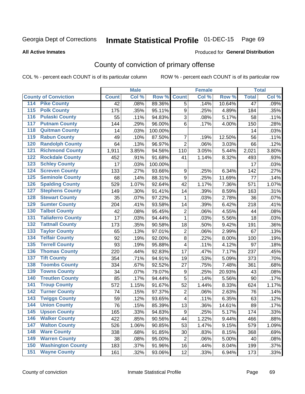# Inmate Statistical Profile 01-DEC-15 Page 69

**All Active Inmates** 

### Produced for General Distribution

## County of conviction of primary offense

COL % - percent each COUNT is of its particular column

|                                        |              | <b>Male</b> |         |                         | <b>Female</b> |        |                 | <b>Total</b> |
|----------------------------------------|--------------|-------------|---------|-------------------------|---------------|--------|-----------------|--------------|
| <b>County of Conviction</b>            | <b>Count</b> | Col %       | Row %   | <b>Count</b>            | Col %         | Row %  | <b>Total</b>    | Col %        |
| <b>Pike County</b><br>114              | 42           | .08%        | 89.36%  | 5                       | .14%          | 10.64% | $\overline{47}$ | .09%         |
| <b>Polk County</b><br>$\overline{115}$ | 175          | .35%        | 95.11%  | 9                       | .25%          | 4.89%  | 184             | .35%         |
| <b>Pulaski County</b><br>116           | 55           | .11%        | 94.83%  | 3                       | .08%          | 5.17%  | 58              | .11%         |
| <b>Putnam County</b><br>117            | 144          | .29%        | 96.00%  | 6                       | .17%          | 4.00%  | 150             | .28%         |
| 118<br><b>Quitman County</b>           | 14           | .03%        | 100.00% |                         |               |        | 14              | .03%         |
| <b>Rabun County</b><br>119             | 49           | .10%        | 87.50%  | $\overline{7}$          | .19%          | 12.50% | 56              | .11%         |
| <b>Randolph County</b><br>120          | 64           | .13%        | 96.97%  | $\overline{2}$          | .06%          | 3.03%  | 66              | .12%         |
| <b>Richmond County</b><br>121          | 1,911        | 3.85%       | 94.56%  | 110                     | 3.05%         | 5.44%  | 2,021           | 3.80%        |
| <b>Rockdale County</b><br>122          | 452          | .91%        | 91.68%  | 41                      | 1.14%         | 8.32%  | 493             | .93%         |
| <b>Schley County</b><br>123            | 17           | .03%        | 100.00% |                         |               |        | 17              | .03%         |
| <b>Screven County</b><br>124           | 133          | .27%        | 93.66%  | 9                       | .25%          | 6.34%  | 142             | .27%         |
| <b>Seminole County</b><br>125          | 68           | .14%        | 88.31%  | 9                       | .25%          | 11.69% | 77              | .14%         |
| 126<br><b>Spalding County</b>          | 529          | 1.07%       | 92.64%  | 42                      | 1.17%         | 7.36%  | 571             | 1.07%        |
| 127<br><b>Stephens County</b>          | 149          | .30%        | 91.41%  | 14                      | .39%          | 8.59%  | 163             | .31%         |
| <b>Stewart County</b><br>128           | 35           | .07%        | 97.22%  | 1                       | .03%          | 2.78%  | 36              | .07%         |
| <b>Sumter County</b><br>129            | 204          | .41%        | 93.58%  | 14                      | .39%          | 6.42%  | 218             | .41%         |
| <b>Talbot County</b><br>130            | 42           | .08%        | 95.45%  | $\overline{2}$          | .06%          | 4.55%  | 44              | .08%         |
| <b>Taliaferro County</b><br>131        | 17           | .03%        | 94.44%  | $\mathbf{1}$            | .03%          | 5.56%  | 18              | .03%         |
| <b>Tattnall County</b><br>132          | 173          | .35%        | 90.58%  | 18                      | .50%          | 9.42%  | 191             | .36%         |
| <b>Taylor County</b><br>133            | 65           | .13%        | 97.01%  | $\overline{2}$          | .06%          | 2.99%  | 67              | .13%         |
| <b>Telfair County</b><br>134           | 92           | .19%        | 92.00%  | 8                       | .22%          | 8.00%  | 100             | .19%         |
| <b>Terrell County</b><br>135           | 93           | .19%        | 95.88%  | $\overline{\mathbf{4}}$ | .11%          | 4.12%  | 97              | .18%         |
| <b>Thomas County</b><br>136            | 220          | .44%        | 92.83%  | 17                      | .47%          | 7.17%  | 237             | .45%         |
| <b>Tift County</b><br>137              | 354          | .71%        | 94.91%  | 19                      | .53%          | 5.09%  | 373             | .70%         |
| <b>Toombs County</b><br>138            | 334          | .67%        | 92.52%  | 27                      | .75%          | 7.48%  | 361             | .68%         |
| <b>Towns County</b><br>139             | 34           | .07%        | 79.07%  | 9                       | .25%          | 20.93% | 43              | .08%         |
| <b>Treutlen County</b><br>140          | 85           | .17%        | 94.44%  | 5                       | .14%          | 5.56%  | 90              | .17%         |
| <b>Troup County</b><br>141             | 572          | 1.15%       | 91.67%  | 52                      | 1.44%         | 8.33%  | 624             | 1.17%        |
| <b>Turner County</b><br>142            | 74           | .15%        | 97.37%  | $\overline{2}$          | .06%          | 2.63%  | 76              | .14%         |
| <b>Twiggs County</b><br>143            | 59           | .12%        | 93.65%  | $\overline{\mathbf{4}}$ | .11%          | 6.35%  | 63              | .12%         |
| <b>Union County</b><br>144             | 76           | .15%        | 85.39%  | 13                      | .36%          | 14.61% | 89              | .17%         |
| 145<br><b>Upson County</b>             | 165          | .33%        | 94.83%  | 9                       | .25%          | 5.17%  | 174             | .33%         |
| <b>Walker County</b><br>146            | 422          | .85%        | 90.56%  | 44                      | 1.22%         | 9.44%  | 466             | .88%         |
| <b>Walton County</b><br>147            | 526          | 1.06%       | 90.85%  | 53                      | 1.47%         | 9.15%  | 579             | 1.09%        |
| <b>Ware County</b><br>148              | 338          | .68%        | 91.85%  | 30                      | .83%          | 8.15%  | 368             | .69%         |
| <b>Warren County</b><br>149            | 38           | .08%        | 95.00%  | $\overline{2}$          | .06%          | 5.00%  | 40              | .08%         |
| <b>Washington County</b><br>150        | 183          | .37%        | 91.96%  | 16                      | .44%          | 8.04%  | 199             | .37%         |
| <b>Wayne County</b><br>151             | 161          | .32%        | 93.06%  | 12                      | .33%          | 6.94%  | 173             | .33%         |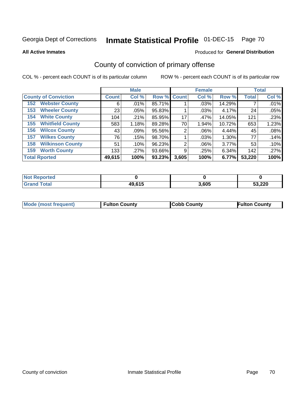# Inmate Statistical Profile 01-DEC-15 Page 70

**All Active Inmates** 

### Produced for General Distribution

## County of conviction of primary offense

COL % - percent each COUNT is of its particular column

|                                |              | <b>Male</b> |             |       | <b>Female</b> |          |              | <b>Total</b> |
|--------------------------------|--------------|-------------|-------------|-------|---------------|----------|--------------|--------------|
| <b>County of Conviction</b>    | <b>Count</b> | Col %       | Row % Count |       | Col %         | Row %    | <b>Total</b> | Col %        |
| <b>Webster County</b><br>152   | 6            | .01%        | 85.71%      |       | .03%          | 14.29%   |              | .01%         |
| <b>Wheeler County</b><br>153   | 23           | .05%        | 95.83%      |       | .03%          | 4.17%    | 24           | .05%         |
| <b>White County</b><br>154     | 104          | .21%        | 85.95%      | 17    | .47%          | 14.05%   | 121          | .23%         |
| <b>Whitfield County</b><br>155 | 583          | 1.18%       | 89.28%      | 70    | 1.94%         | 10.72%   | 653          | 1.23%        |
| <b>Wilcox County</b><br>156    | 43           | $.09\%$     | 95.56%      | 2     | .06%          | 4.44%    | 45           | .08%         |
| <b>Wilkes County</b><br>157    | 76           | .15%        | 98.70%      |       | .03%          | 1.30%    | 77           | .14%         |
| <b>Wilkinson County</b><br>158 | 51           | .10%        | 96.23%      | 2     | .06%          | $3.77\%$ | 53           | .10%         |
| <b>Worth County</b><br>159     | 133          | .27%        | 93.66%      | 9     | .25%          | 6.34%    | 142          | .27%         |
| <b>Total Rported</b>           | 49,615       | 100%        | 93.23%      | 3,605 | 100%          | 6.77%    | 53,220       | 100%         |

| <b>Not Reported</b> |        |       |        |
|---------------------|--------|-------|--------|
| <b>Grand Total</b>  | 49,615 | 3,605 | 53,220 |

| Mode (most frequent) | <b>Fulton County</b> | <b>Cobb County</b> | <b>Fulton County</b> |
|----------------------|----------------------|--------------------|----------------------|
|                      |                      |                    |                      |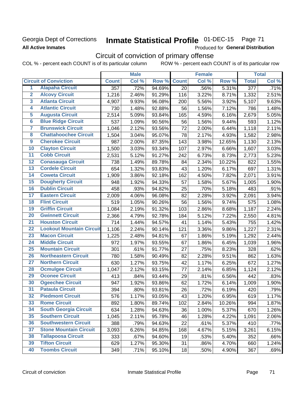## Georgia Dept of Corrections **All Active Inmates**

# Inmate Statistical Profile 01-DEC-15 Page 71

Produced for General Distribution

# Circuit of conviction of primary offense

COL % - percent each COUNT is of its particular column ROW % - percent each COUNT is of its particular row

|                         |                                 |              | <b>Male</b> |        |              | <b>Female</b> |        |                  | <b>Total</b> |
|-------------------------|---------------------------------|--------------|-------------|--------|--------------|---------------|--------|------------------|--------------|
|                         | <b>Circuit of Conviction</b>    | <b>Count</b> | Col %       | Row %  | <b>Count</b> | Col %         | Row %  | <b>Total</b>     | Col %        |
| 1                       | <b>Alapaha Circuit</b>          | 357          | .72%        | 94.69% | 20           | .56%          | 5.31%  | $\overline{377}$ | .71%         |
| $\overline{2}$          | <b>Alcovy Circuit</b>           | 1,216        | 2.46%       | 91.29% | 116          | 3.22%         | 8.71%  | 1,332            | 2.51%        |
| $\overline{\mathbf{3}}$ | <b>Atlanta Circuit</b>          | 4,907        | 9.93%       | 96.08% | 200          | 5.56%         | 3.92%  | 5,107            | 9.63%        |
| 4                       | <b>Atlantic Circuit</b>         | 730          | 1.48%       | 92.88% | 56           | 1.56%         | 7.12%  | 786              | 1.48%        |
| $\overline{5}$          | <b>Augusta Circuit</b>          | 2,514        | 5.09%       | 93.84% | 165          | 4.59%         | 6.16%  | 2,679            | 5.05%        |
| $\overline{\bf{6}}$     | <b>Blue Ridge Circuit</b>       | 537          | 1.09%       | 90.56% | 56           | 1.56%         | 9.44%  | 593              | 1.12%        |
| 7                       | <b>Brunswick Circuit</b>        | 1,046        | 2.12%       | 93.56% | 72           | 2.00%         | 6.44%  | 1,118            | 2.11%        |
| $\overline{\mathbf{8}}$ | <b>Chattahoochee Circuit</b>    | 1,504        | 3.04%       | 95.07% | 78           | 2.17%         | 4.93%  | 1,582            | 2.98%        |
| $\overline{9}$          | <b>Cherokee Circuit</b>         | 987          | 2.00%       | 87.35% | 143          | 3.98%         | 12.65% | 1,130            | 2.13%        |
| 10                      | <b>Clayton Circuit</b>          | 1,500        | 3.03%       | 93.34% | 107          | 2.97%         | 6.66%  | 1,607            | 3.03%        |
| $\overline{11}$         | <b>Cobb Circuit</b>             | 2,531        | 5.12%       | 91.27% | 242          | 6.73%         | 8.73%  | 2,773            | 5.23%        |
| $\overline{12}$         | <b>Conasauga Circuit</b>        | 738          | 1.49%       | 89.78% | 84           | 2.34%         | 10.22% | 822              | 1.55%        |
| 13                      | <b>Cordele Circuit</b>          | 654          | 1.32%       | 93.83% | 43           | 1.20%         | 6.17%  | 697              | 1.31%        |
| $\overline{14}$         | <b>Coweta Circuit</b>           | 1,909        | 3.86%       | 92.18% | 162          | 4.50%         | 7.82%  | 2,071            | 3.91%        |
| 15                      | <b>Dougherty Circuit</b>        | 948          | 1.92%       | 94.33% | 57           | 1.58%         | 5.67%  | 1,005            | 1.90%        |
| 16                      | <b>Dublin Circuit</b>           | 458          | .93%        | 94.82% | 25           | .70%          | 5.18%  | 483              | .91%         |
| 17                      | <b>Eastern Circuit</b>          | 2,009        | 4.06%       | 96.08% | 82           | 2.28%         | 3.92%  | 2,091            | 3.94%        |
| $\overline{18}$         | <b>Flint Circuit</b>            | 519          | 1.05%       | 90.26% | 56           | 1.56%         | 9.74%  | 575              | 1.08%        |
| 19                      | <b>Griffin Circuit</b>          | 1,084        | 2.19%       | 91.32% | 103          | 2.86%         | 8.68%  | 1,187            | 2.24%        |
| $\overline{20}$         | <b>Gwinnett Circuit</b>         | 2,366        | 4.79%       | 92.78% | 184          | 5.12%         | 7.22%  | 2,550            | 4.81%        |
| $\overline{21}$         | <b>Houston Circuit</b>          | 714          | 1.44%       | 94.57% | 41           | 1.14%         | 5.43%  | 755              | 1.42%        |
| $\overline{22}$         | <b>Lookout Mountain Circuit</b> | 1,106        | 2.24%       | 90.14% | 121          | 3.36%         | 9.86%  | 1,227            | 2.31%        |
| 23                      | <b>Macon Circuit</b>            | 1,225        | 2.48%       | 94.81% | 67           | 1.86%         | 5.19%  | 1,292            | 2.44%        |
| $\overline{24}$         | <b>Middle Circuit</b>           | 972          | 1.97%       | 93.55% | 67           | 1.86%         | 6.45%  | 1,039            | 1.96%        |
| $\overline{25}$         | <b>Mountain Circuit</b>         | 301          | .61%        | 91.77% | 27           | .75%          | 8.23%  | 328              | .62%         |
| 26                      | <b>Northeastern Circuit</b>     | 780          | 1.58%       | 90.49% | 82           | 2.28%         | 9.51%  | 862              | 1.63%        |
| $\overline{27}$         | <b>Northern Circuit</b>         | 630          | 1.27%       | 93.75% | 42           | 1.17%         | 6.25%  | 672              | 1.27%        |
| 28                      | <b>Ocmulgee Circuit</b>         | 1,047        | 2.12%       | 93.15% | 77           | 2.14%         | 6.85%  | 1,124            | 2.12%        |
| 29                      | <b>Oconee Circuit</b>           | 413          | .84%        | 93.44% | 29           | .81%          | 6.56%  | 442              | .83%         |
| 30                      | <b>Ogeechee Circuit</b>         | 947          | 1.92%       | 93.86% | 62           | 1.72%         | 6.14%  | 1,009            | 1.90%        |
| $\overline{31}$         | <b>Pataula Circuit</b>          | 394          | .80%        | 93.81% | 26           | .72%          | 6.19%  | 420              | .79%         |
| 32                      | <b>Piedmont Circuit</b>         | 576          | 1.17%       | 93.05% | 43           | 1.20%         | 6.95%  | 619              | 1.17%        |
| 33                      | <b>Rome Circuit</b>             | 892          | 1.80%       | 89.74% | 102          | 2.84%         | 10.26% | 994              | 1.87%        |
| 34                      | <b>South Georgia Circuit</b>    | 634          | 1.28%       | 94.63% | 36           | 1.00%         | 5.37%  | 670              | 1.26%        |
| 35                      | <b>Southern Circuit</b>         | 1,045        | 2.11%       | 95.78% | 46           | 1.28%         | 4.22%  | 1,091            | 2.06%        |
| 36                      | <b>Southwestern Circuit</b>     | 388          | .79%        | 94.63% | 22           | .61%          | 5.37%  | 410              | .77%         |
| 37                      | <b>Stone Mountain Circuit</b>   | 3,093        | 6.26%       | 94.85% | 168          | 4.67%         | 5.15%  | 3,261            | 6.15%        |
| 38                      | <b>Tallapoosa Circuit</b>       | 333          | .67%        | 94.60% | 19           | .53%          | 5.40%  | 352              | .66%         |
| 39                      | <b>Tifton Circuit</b>           | 629          | 1.27%       | 95.30% | 31           | .86%          | 4.70%  | 660              | 1.24%        |
| 40                      | <b>Toombs Circuit</b>           | 349          | .71%        | 95.10% | 18           | .50%          | 4.90%  | 367              | .69%         |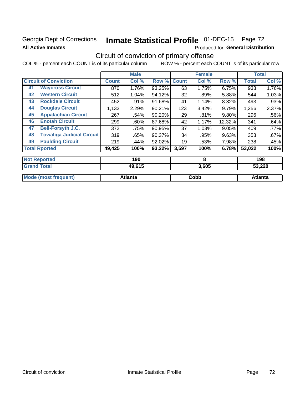## Georgia Dept of Corrections **All Active Inmates**

# Inmate Statistical Profile 01-DEC-15 Page 72

Produced for General Distribution

# Circuit of conviction of primary offense

COL % - percent each COUNT is of its particular column ROW % - percent each COUNT is of its particular row

|    |                                  |              | <b>Male</b> |           |              | <b>Female</b> |        |              | <b>Total</b> |
|----|----------------------------------|--------------|-------------|-----------|--------------|---------------|--------|--------------|--------------|
|    | <b>Circuit of Conviction</b>     | <b>Count</b> | Col %       | Row %     | <b>Count</b> | Col %         | Row %  | <b>Total</b> | Col %        |
| 41 | <b>Waycross Circuit</b>          | 870          | 1.76%       | 93.25%    | 63           | 1.75%         | 6.75%  | 933          | 1.76%        |
| 42 | <b>Western Circuit</b>           | 512          | 1.04%       | 94.12%    | 32           | .89%          | 5.88%  | 544          | 1.03%        |
| 43 | <b>Rockdale Circuit</b>          | 452          | .91%        | 91.68%    | 41           | 1.14%         | 8.32%  | 493          | .93%         |
| 44 | <b>Douglas Circuit</b>           | 1,133        | 2.29%       | 90.21%    | 123          | 3.42%         | 9.79%  | 1,256        | 2.37%        |
| 45 | <b>Appalachian Circuit</b>       | 267          | .54%        | 90.20%    | 29           | .81%          | 9.80%  | 296          | .56%         |
| 46 | <b>Enotah Circuit</b>            | 299          | .60%        | 87.68%    | 42           | 1.17%         | 12.32% | 341          | .64%         |
| 47 | <b>Bell-Forsyth J.C.</b>         | 372          | .75%        | 90.95%    | 37           | 1.03%         | 9.05%  | 409          | .77%         |
| 48 | <b>Towaliga Judicial Circuit</b> | 319          | .65%        | 90.37%    | 34           | .95%          | 9.63%  | 353          | .67%         |
| 49 | <b>Paulding Circuit</b>          | 219          | .44%        | $92.02\%$ | 19           | .53%          | 7.98%  | 238          | .45%         |
|    | <b>Total Rported</b>             | 49,425       | 100%        | 93.22%    | 3,597        | 100%          | 6.78%  | 53,022       | 100%         |
|    | <b>Not Reported</b>              |              | 190         |           |              | 8             |        |              | 198          |

| <b>Grand Total</b>          | 49,615  | 3,605 | 53,220  |
|-----------------------------|---------|-------|---------|
| <b>Mode (most frequent)</b> | Atlanta | Cobb  | Atlanta |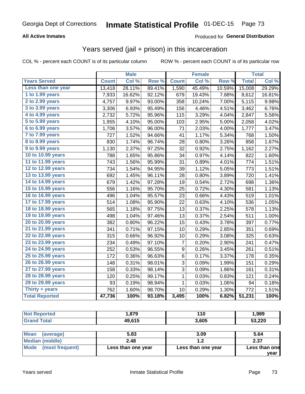# Georgia Dept of Corrections **Inmate Statistical Profile** 01-DEC-15 Page 73

## **All Active Inmates**

## Produced for **General Distribution**

## Years served (jail + prison) in this incarceration

COL % - percent each COUNT is of its particular column ROW % - percent each COUNT is of its particular row

|                       |              | <b>Male</b> |        |                | <b>Female</b> |        |              | <b>Total</b> |
|-----------------------|--------------|-------------|--------|----------------|---------------|--------|--------------|--------------|
| <b>Years Served</b>   | <b>Count</b> | Col %       | Row %  | <b>Count</b>   | Col %         | Row %  | <b>Total</b> | Col %        |
| Less than one year    | 13,418       | 28.11%      | 89.41% | 1,590          | 45.49%        | 10.59% | 15,008       | 29.29%       |
| 1 to 1.99 years       | 7,933        | 16.62%      | 92.12% | 679            | 19.43%        | 7.88%  | 8,612        | 16.81%       |
| 2 to 2.99 years       | 4,757        | 9.97%       | 93.00% | 358            | 10.24%        | 7.00%  | 5,115        | 9.98%        |
| 3 to 3.99 years       | 3,306        | 6.93%       | 95.49% | 156            | 4.46%         | 4.51%  | 3,462        | 6.76%        |
| 4 to 4.99 years       | 2,732        | 5.72%       | 95.96% | 115            | 3.29%         | 4.04%  | 2,847        | 5.56%        |
| 5 to 5.99 years       | 1,955        | 4.10%       | 95.00% | 103            | 2.95%         | 5.00%  | 2,058        | 4.02%        |
| 6 to 6.99 years       | 1,706        | 3.57%       | 96.00% | 71             | 2.03%         | 4.00%  | 1,777        | 3.47%        |
| 7 to 7.99 years       | 727          | 1.52%       | 94.66% | 41             | 1.17%         | 5.34%  | 768          | 1.50%        |
| 8 to 8.99 years       | 830          | 1.74%       | 96.74% | 28             | 0.80%         | 3.26%  | 858          | 1.67%        |
| 9 to 9.99 years       | 1,130        | 2.37%       | 97.25% | 32             | 0.92%         | 2.75%  | 1,162        | 2.27%        |
| 10 to 10.99 years     | 788          | 1.65%       | 95.86% | 34             | 0.97%         | 4.14%  | 822          | 1.60%        |
| 11 to 11.99 years     | 743          | 1.56%       | 95.99% | 31             | 0.89%         | 4.01%  | 774          | 1.51%        |
| 12 to 12.99 years     | 734          | 1.54%       | 94.95% | 39             | 1.12%         | 5.05%  | 773          | 1.51%        |
| 13 to 13.99 years     | 692          | 1.45%       | 96.11% | 28             | 0.80%         | 3.89%  | 720          | 1.41%        |
| 14 to 14.99 years     | 679          | 1.42%       | 97.28% | 19             | 0.54%         | 2.72%  | 698          | 1.36%        |
| 15 to 15.99 years     | 556          | 1.16%       | 95.70% | 25             | 0.72%         | 4.30%  | 581          | 1.13%        |
| 16 to 16.99 years     | 496          | 1.04%       | 95.57% | 23             | 0.66%         | 4.43%  | 519          | 1.01%        |
| 17 to 17.99 years     | 514          | 1.08%       | 95.90% | 22             | 0.63%         | 4.10%  | 536          | 1.05%        |
| 18 to 18.99 years     | 565          | 1.18%       | 97.75% | 13             | 0.37%         | 2.25%  | 578          | 1.13%        |
| 19 to 19.99 years     | 498          | 1.04%       | 97.46% | 13             | 0.37%         | 2.54%  | 511          | 1.00%        |
| 20 to 20.99 years     | 382          | 0.80%       | 96.22% | 15             | 0.43%         | 3.78%  | 397          | 0.77%        |
| 21 to 21.99 years     | 341          | 0.71%       | 97.15% | 10             | 0.29%         | 2.85%  | 351          | 0.69%        |
| 22 to 22.99 years     | 315          | 0.66%       | 96.92% | 10             | 0.29%         | 3.08%  | 325          | 0.63%        |
| 23 to 23.99 years     | 234          | 0.49%       | 97.10% | $\overline{7}$ | 0.20%         | 2.90%  | 241          | 0.47%        |
| 24 to 24.99 years     | 252          | 0.53%       | 96.55% | 9              | 0.26%         | 3.45%  | 261          | 0.51%        |
| 25 to 25.99 years     | 172          | 0.36%       | 96.63% | 6              | 0.17%         | 3.37%  | 178          | 0.35%        |
| 26 to 26.99 years     | 148          | 0.31%       | 98.01% | 3              | 0.09%         | 1.99%  | 151          | 0.29%        |
| 27 to 27.99 years     | 158          | 0.33%       | 98.14% | 3              | 0.09%         | 1.86%  | 161          | 0.31%        |
| 28 to 28.99 years     | 120          | 0.25%       | 99.17% | $\mathbf 1$    | 0.03%         | 0.83%  | 121          | 0.24%        |
| 29 to 29.99 years     | 93           | 0.19%       | 98.94% | 1              | 0.03%         | 1.06%  | 94           | 0.18%        |
| Thirty + years        | 762          | 1.60%       | 98.70% | 10             | 0.29%         | 1.30%  | 772          | 1.51%        |
| <b>Total Reported</b> | 47,736       | 100%        | 93.18% | 3,495          | 100%          | 6.82%  | 51,231       | 100%         |

| <b>Not Reported</b>     | 1.879              | 110                | 1.989         |
|-------------------------|--------------------|--------------------|---------------|
| <b>Grand Total</b>      | 49.615             | 3.605              | 53,220        |
| Mean<br>(average)       | 5.83               | 3.09               | 5.64          |
|                         |                    |                    |               |
| <b>Median (middle)</b>  | 2.48               | 1.2                | 2.37          |
| Mode<br>(most frequent) | Less than one year | Less than one year | Less than one |

**year**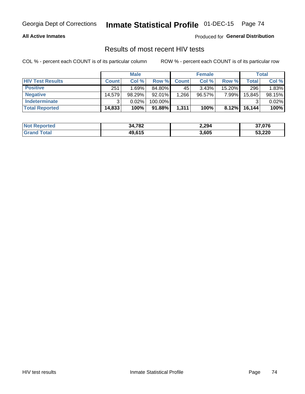#### **All Active Inmates**

Produced for **General Distribution**

## Results of most recent HIV tests

|                         | <b>Male</b>  |        |           | <b>Female</b> |           |           | <b>Total</b> |        |
|-------------------------|--------------|--------|-----------|---------------|-----------|-----------|--------------|--------|
| <b>HIV Test Results</b> | <b>Count</b> | Col %  | Row %I    | <b>Count</b>  | Col %     | Row %     | $\tau$ otal  | Col %  |
| <b>Positive</b>         | 251          | 1.69%  | 84.80%    | 45            | 3.43%     | $15.20\%$ | 296          | 1.83%  |
| <b>Negative</b>         | 14.579       | 98.29% | 92.01%    | .266          | $96.57\%$ | 7.99%     | 15,845       | 98.15% |
| <b>Indeterminate</b>    | ว            | 0.02%  | 100.00%   |               |           |           |              | 0.02%  |
| <b>Total Reported</b>   | 14,833       | 100%   | $91.88\%$ | 1,311         | 100%      | 8.12%     | 16,144       | 100%   |

| <b>Not Reported</b>   | 34,782 | 2,294 | 37,076 |
|-----------------------|--------|-------|--------|
| Total<br><b>Grand</b> | 49,615 | 3,605 | 53,220 |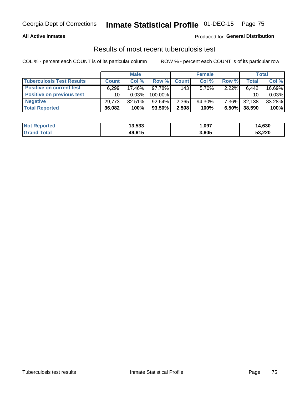#### **All Active Inmates**

### Produced for **General Distribution**

### Results of most recent tuberculosis test

|                                  | <b>Male</b>     |           |           | <b>Female</b>    |           |          | Total  |        |
|----------------------------------|-----------------|-----------|-----------|------------------|-----------|----------|--------|--------|
| <b>Tuberculosis Test Results</b> | <b>Count</b>    | Col%      | Row %I    | <b>Count</b>     | Col%      | Row %    | Total  | Col %  |
| <b>Positive on current test</b>  | 6,299           | 17.46%    | 97.78%    | 143 <sub>1</sub> | $5.70\%$  | 2.22%    | 6,442  | 16.69% |
| <b>Positive on previous test</b> | 10 <sup>1</sup> | 0.03%     | 100.00%   |                  |           |          | 10     | 0.03%  |
| <b>Negative</b>                  | 29.773          | $82.51\%$ | $92.64\%$ | 2,365            | $94.30\%$ | $7.36\%$ | 32,138 | 83.28% |
| <b>Total Reported</b>            | 36,082          | 100%      | $93.50\%$ | 2,508            | 100%      | $6.50\%$ | 38,590 | 100%   |

| <b>Not Reported</b>     | 13,533 | 1,097 | 14,630 |
|-------------------------|--------|-------|--------|
| <b>Total</b><br>' Grand | 49,615 | 3,605 | 53,220 |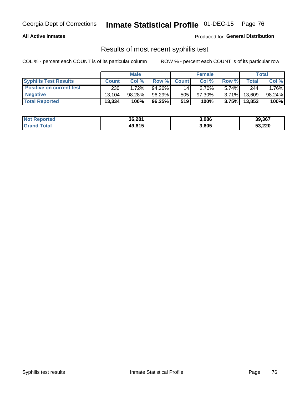#### **All Active Inmates**

Produced for **General Distribution**

### Results of most recent syphilis test

|                                 | <b>Male</b>  |           |        | <b>Female</b> |           |          | Total   |        |
|---------------------------------|--------------|-----------|--------|---------------|-----------|----------|---------|--------|
| <b>Syphilis Test Results</b>    | <b>Count</b> | Col%      | Row %  | <b>Count</b>  | Col %     | Row %    | Total I | Col %  |
| <b>Positive on current test</b> | 230          | 1.72%     | 94.26% | 14            | 2.70%     | $5.74\%$ | 244     | 1.76%  |
| <b>Negative</b>                 | 13.104       | $98.28\%$ | 96.29% | 505           | $97.30\%$ | $3.71\%$ | 13,609  | 98.24% |
| <b>Total Reported</b>           | 13,334       | 100%      | 96.25% | 519           | 100%      | 3.75%    | 13,853  | 100%   |

| <b>Not Reported</b> | 36,281 | 3,086 | 39,367 |
|---------------------|--------|-------|--------|
| <b>Srand Total</b>  | 49,615 | 3,605 | 53,220 |